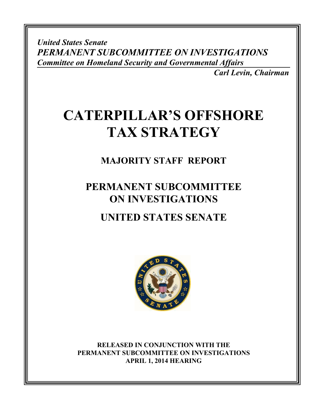*United States Senate PERMANENT SUBCOMMITTEE ON INVESTIGATIONS Committee on Homeland Security and Governmental Affairs*

 *Carl Levin, Chairman*

# **CATERPILLAR'S OFFSHORE TAX STRATEGY**

## **MAJORITY STAFF REPORT**

# **PERMANENT SUBCOMMITTEE ON INVESTIGATIONS**

# **UNITED STATES SENATE**



**RELEASED IN CONJUNCTION WITH THE PERMANENT SUBCOMMITTEE ON INVESTIGATIONS APRIL 1, 2014 HEARING**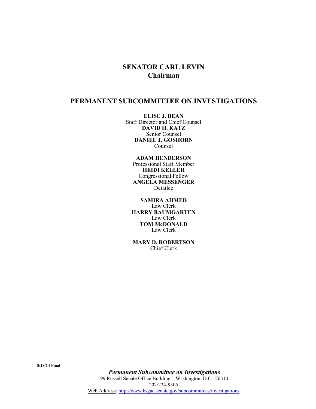#### **SENATOR CARL LEVIN Chairman**

#### **PERMANENT SUBCOMMITTEE ON INVESTIGATIONS**

**ELISE J. BEAN** Staff Director and Chief Counsel **DAVID H. KATZ** Senior Counsel **DANIEL J. GOSHORN** Counsel

**ADAM HENDERSON** Professional Staff Member **HEIDI KELLER** Congressional Fellow **ANGELA MESSENGER** Detailee

**SAMIRA AHMED** Law Clerk **HARRY BAUMGARTEN** Law Clerk **TOM McDONALD** Law Clerk

**MARY D. ROBERTSON** Chief Clerk

**8/28/14 Final**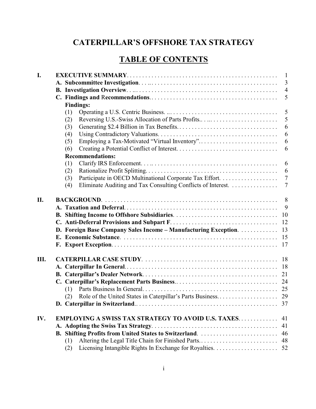### **CATERPILLAR'S OFFSHORE TAX STRATEGY**

### **TABLE OF CONTENTS**

| I.  |                                                                     | $\blacksquare$ |
|-----|---------------------------------------------------------------------|----------------|
|     |                                                                     | $\overline{3}$ |
|     |                                                                     | $\overline{4}$ |
|     |                                                                     | 5              |
|     | <b>Findings:</b>                                                    |                |
|     | (1)                                                                 | 5              |
|     | Reversing U.S.-Swiss Allocation of Parts Profits<br>(2)             | 5              |
|     | (3)                                                                 | 6              |
|     | (4)                                                                 | 6              |
|     | Employing a Tax-Motivated "Virtual Inventory"<br>(5)                | 6              |
|     | (6)                                                                 | 6              |
|     | <b>Recommendations:</b>                                             |                |
|     | (1)                                                                 | 6              |
|     | (2)                                                                 | 6              |
|     | (3)                                                                 | $\overline{7}$ |
|     | Eliminate Auditing and Tax Consulting Conflicts of Interest.<br>(4) | $\overline{7}$ |
|     |                                                                     |                |
| II. |                                                                     | 9              |
|     |                                                                     |                |
|     |                                                                     |                |
|     |                                                                     |                |
|     | D. Foreign Base Company Sales Income - Manufacturing Exception.     | 13             |
|     |                                                                     | 15             |
|     |                                                                     |                |
| Ш.  |                                                                     |                |
|     |                                                                     |                |
|     |                                                                     |                |
|     |                                                                     |                |
|     | (1)                                                                 |                |
|     | (2)                                                                 |                |
|     |                                                                     |                |
|     | <b>EMPLOYING A SWISS TAX STRATEGY TO AVOID U.S. TAXES.</b>          |                |
| IV. |                                                                     | 41             |
|     |                                                                     | 41             |
|     | B. Shifting Profits from United States to Switzerland.              | 46             |
|     | Altering the Legal Title Chain for Finished Parts<br>(1)            | 48             |
|     | (2)                                                                 | 52             |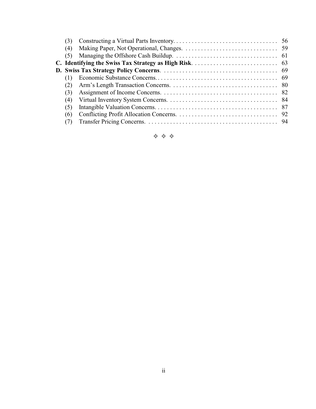| (3) |  |
|-----|--|
| (4) |  |
|     |  |
|     |  |
|     |  |
|     |  |
| (2) |  |
| (3) |  |
| (4) |  |
| (5) |  |
| (6) |  |
|     |  |

 $\Leftrightarrow$   $\Leftrightarrow$   $\Leftrightarrow$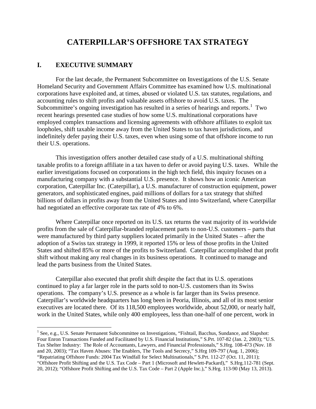### **CATERPILLAR'S OFFSHORE TAX STRATEGY**

#### **I. EXECUTIVE SUMMARY**

l

For the last decade, the Permanent Subcommittee on Investigations of the U.S. Senate Homeland Security and Government Affairs Committee has examined how U.S. multinational corporations have exploited and, at times, abused or violated U.S. tax statutes, regulations, and accounting rules to shift profits and valuable assets offshore to avoid U.S. taxes. The Subcommittee's ongoing investigation has resulted in a series of hearings and reports.<sup>[1](#page-4-0)</sup> Two recent hearings presented case studies of how some U.S. multinational corporations have employed complex transactions and licensing agreements with offshore affiliates to exploit tax loopholes, shift taxable income away from the United States to tax haven jurisdictions, and indefinitely defer paying their U.S. taxes, even when using some of that offshore income to run their U.S. operations.

This investigation offers another detailed case study of a U.S. multinational shifting taxable profits to a foreign affiliate in a tax haven to defer or avoid paying U.S. taxes. While the earlier investigations focused on corporations in the high tech field, this inquiry focuses on a manufacturing company with a substantial U.S. presence. It shows how an iconic American corporation, Caterpillar Inc. (Caterpillar), a U.S. manufacturer of construction equipment, power generators, and sophisticated engines, paid millions of dollars for a tax strategy that shifted billions of dollars in profits away from the United States and into Switzerland, where Caterpillar had negotiated an effective corporate tax rate of 4% to 6%.

Where Caterpillar once reported on its U.S. tax returns the vast majority of its worldwide profits from the sale of Caterpillar-branded replacement parts to non-U.S. customers – parts that were manufactured by third party suppliers located primarily in the United States – after the adoption of a Swiss tax strategy in 1999, it reported 15% or less of those profits in the United States and shifted 85% or more of the profits to Switzerland. Caterpillar accomplished that profit shift without making any real changes in its business operations. It continued to manage and lead the parts business from the United States.

Caterpillar also executed that profit shift despite the fact that its U.S. operations continued to play a far larger role in the parts sold to non-U.S. customers than its Swiss operations. The company's U.S. presence as a whole is far larger than its Swiss presence. Caterpillar's worldwide headquarters has long been in Peoria, Illinois, and all of its most senior executives are located there. Of its 118,500 employees worldwide, about 52,000, or nearly half, work in the United States, while only 400 employees, less than one-half of one percent, work in

<span id="page-4-0"></span><sup>1</sup> See, e.g., U.S. Senate Permanent Subcommittee on Investigations, "Fishtail, Bacchus, Sundance, and Slapshot: Four Enron Transactions Funded and Facilitated by U.S. Financial Institutions," S.Prt. 107-82 (Jan. 2, 2003); "U.S. Tax Shelter Industry: The Role of Accountants, Lawyers, and Financial Professionals," S.Hrg. 108-473 (Nov. 18 and 20, 2003); "Tax Haven Abuses: The Enablers, The Tools and Secrecy," S.Hrg 109-797 (Aug. 1, 2006); "Repatriating Offshore Funds: 2004 Tax Windfall for Select Multinationals," S.Prt. 112-27 (Oct. 11, 2011); "Offshore Profit Shifting and the U.S. Tax Code – Part 1 (Microsoft and Hewlett-Packard)," S.Hrg.112-781 (Sept. 20, 2012); "Offshore Profit Shifting and the U.S. Tax Code – Part 2 (Apple Inc.)," S.Hrg. 113-90 (May 13, 2013).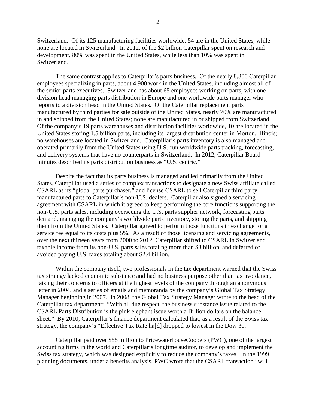2

Switzerland. Of its 125 manufacturing facilities worldwide, 54 are in the United States, while none are located in Switzerland. In 2012, of the \$2 billion Caterpillar spent on research and development, 80% was spent in the United States, while less than 10% was spent in Switzerland.

The same contrast applies to Caterpillar's parts business. Of the nearly 8,300 Caterpillar employees specializing in parts, about 4,900 work in the United States, including almost all of the senior parts executives. Switzerland has about 65 employees working on parts, with one division head managing parts distribution in Europe and one worldwide parts manager who reports to a division head in the United States. Of the Caterpillar replacement parts manufactured by third parties for sale outside of the United States, nearly 70% are manufactured in and shipped from the United States; none are manufactured in or shipped from Switzerland. Of the company's 19 parts warehouses and distribution facilities worldwide, 10 are located in the United States storing 1.5 billion parts, including its largest distribution center in Morton, Illinois; no warehouses are located in Switzerland. Caterpillar's parts inventory is also managed and operated primarily from the United States using U.S.-run worldwide parts tracking, forecasting, and delivery systems that have no counterparts in Switzerland. In 2012, Caterpillar Board minutes described its parts distribution business as "U.S. centric."

Despite the fact that its parts business is managed and led primarily from the United States, Caterpillar used a series of complex transactions to designate a new Swiss affiliate called CSARL as its "global parts purchaser," and license CSARL to sell Caterpillar third party manufactured parts to Caterpillar's non-U.S. dealers. Caterpillar also signed a servicing agreement with CSARL in which it agreed to keep performing the core functions supporting the non-U.S. parts sales, including overseeing the U.S. parts supplier network, forecasting parts demand, managing the company's worldwide parts inventory, storing the parts, and shipping them from the United States. Caterpillar agreed to perform those functions in exchange for a service fee equal to its costs plus 5%. As a result of those licensing and servicing agreements, over the next thirteen years from 2000 to 2012, Caterpillar shifted to CSARL in Switzerland taxable income from its non-U.S. parts sales totaling more than \$8 billion, and deferred or avoided paying U.S. taxes totaling about \$2.4 billion.

Within the company itself, two professionals in the tax department warned that the Swiss tax strategy lacked economic substance and had no business purpose other than tax avoidance, raising their concerns to officers at the highest levels of the company through an anonymous letter in 2004, and a series of emails and memoranda by the company's Global Tax Strategy Manager beginning in 2007. In 2008, the Global Tax Strategy Manager wrote to the head of the Caterpillar tax department: "With all due respect, the business substance issue related to the CSARL Parts Distribution is the pink elephant issue worth a Billion dollars on the balance sheet." By 2010, Caterpillar's finance department calculated that, as a result of the Swiss tax strategy, the company's "Effective Tax Rate ha[d] dropped to lowest in the Dow 30."

Caterpillar paid over \$55 million to PricewaterhouseCoopers (PWC), one of the largest accounting firms in the world and Caterpillar's longtime auditor, to develop and implement the Swiss tax strategy, which was designed explicitly to reduce the company's taxes. In the 1999 planning documents, under a benefits analysis, PWC wrote that the CSARL transaction "will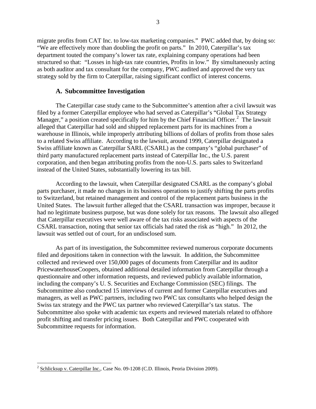migrate profits from CAT Inc. to low-tax marketing companies." PWC added that, by doing so: "We are effectively more than doubling the profit on parts." In 2010, Caterpillar's tax department touted the company's lower tax rate, explaining company operations had been structured so that: "Losses in high-tax rate countries, Profits in low." By simultaneously acting as both auditor and tax consultant for the company, PWC audited and approved the very tax strategy sold by the firm to Caterpillar, raising significant conflict of interest concerns.

#### **A. Subcommittee Investigation**

The Caterpillar case study came to the Subcommittee's attention after a civil lawsuit was filed by a former Caterpillar employee who had served as Caterpillar's "Global Tax Strategy Manager," a position created specifically for him by the Chief Financial Officer.<sup>[2](#page-6-0)</sup> The lawsuit alleged that Caterpillar had sold and shipped replacement parts for its machines from a warehouse in Illinois, while improperly attributing billions of dollars of profits from those sales to a related Swiss affiliate. According to the lawsuit, around 1999, Caterpillar designated a Swiss affiliate known as Caterpillar SARL (CSARL) as the company's "global purchaser" of third party manufactured replacement parts instead of Caterpillar Inc., the U.S. parent corporation, and then began attributing profits from the non-U.S. parts sales to Switzerland instead of the United States, substantially lowering its tax bill.

According to the lawsuit, when Caterpillar designated CSARL as the company's global parts purchaser, it made no changes in its business operations to justify shifting the parts profits to Switzerland, but retained management and control of the replacement parts business in the United States. The lawsuit further alleged that the CSARL transaction was improper, because it had no legitimate business purpose, but was done solely for tax reasons. The lawsuit also alleged that Caterpillar executives were well aware of the tax risks associated with aspects of the CSARL transaction, noting that senior tax officials had rated the risk as "high." In 2012, the lawsuit was settled out of court, for an undisclosed sum.

As part of its investigation, the Subcommittee reviewed numerous corporate documents filed and depositions taken in connection with the lawsuit. In addition, the Subcommittee collected and reviewed over 150,000 pages of documents from Caterpillar and its auditor PricewaterhouseCoopers, obtained additional detailed information from Caterpillar through a questionnaire and other information requests, and reviewed publicly available information, including the company's U. S. Securities and Exchange Commission (SEC) filings. The Subcommittee also conducted 15 interviews of current and former Caterpillar executives and managers, as well as PWC partners, including two PWC tax consultants who helped design the Swiss tax strategy and the PWC tax partner who reviewed Caterpillar's tax status. The Subcommittee also spoke with academic tax experts and reviewed materials related to offshore profit shifting and transfer pricing issues. Both Caterpillar and PWC cooperated with Subcommittee requests for information.

l

<span id="page-6-0"></span> $2 \text{ Schlicksup v.}$  Caterpillar Inc., Case No. 09-1208 (C.D. Illinois, Peoria Division 2009).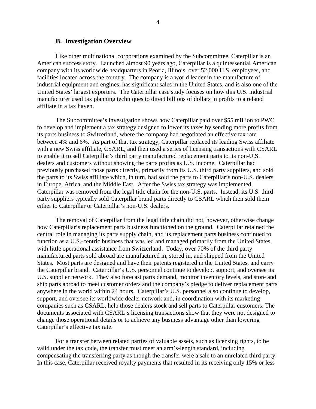#### **B. Investigation Overview**

Like other multinational corporations examined by the Subcommittee, Caterpillar is an American success story. Launched almost 90 years ago, Caterpillar is a quintessential American company with its worldwide headquarters in Peoria, Illinois, over 52,000 U.S. employees, and facilities located across the country. The company is a world leader in the manufacture of industrial equipment and engines, has significant sales in the United States, and is also one of the United States' largest exporters. The Caterpillar case study focuses on how this U.S. industrial manufacturer used tax planning techniques to direct billions of dollars in profits to a related affiliate in a tax haven.

The Subcommittee's investigation shows how Caterpillar paid over \$55 million to PWC to develop and implement a tax strategy designed to lower its taxes by sending more profits from its parts business to Switzerland, where the company had negotiated an effective tax rate between 4% and 6%. As part of that tax strategy, Caterpillar replaced its leading Swiss affiliate with a new Swiss affiliate, CSARL, and then used a series of licensing transactions with CSARL to enable it to sell Caterpillar's third party manufactured replacement parts to its non-U.S. dealers and customers without showing the parts profits as U.S. income. Caterpillar had previously purchased those parts directly, primarily from its U.S. third party suppliers, and sold the parts to its Swiss affiliate which, in turn, had sold the parts to Caterpillar's non-U.S. dealers in Europe, Africa, and the Middle East. After the Swiss tax strategy was implemented, Caterpillar was removed from the legal title chain for the non-U.S. parts. Instead, its U.S. third party suppliers typically sold Caterpillar brand parts directly to CSARL which then sold them either to Caterpillar or Caterpillar's non-U.S. dealers.

The removal of Caterpillar from the legal title chain did not, however, otherwise change how Caterpillar's replacement parts business functioned on the ground. Caterpillar retained the central role in managing its parts supply chain, and its replacement parts business continued to function as a U.S.-centric business that was led and managed primarily from the United States, with little operational assistance from Switzerland. Today, over 70% of the third party manufactured parts sold abroad are manufactured in, stored in, and shipped from the United States. Most parts are designed and have their patents registered in the United States, and carry the Caterpillar brand. Caterpillar's U.S. personnel continue to develop, support, and oversee its U.S. supplier network. They also forecast parts demand, monitor inventory levels, and store and ship parts abroad to meet customer orders and the company's pledge to deliver replacement parts anywhere in the world within 24 hours. Caterpillar's U.S. personnel also continue to develop, support, and oversee its worldwide dealer network and, in coordination with its marketing companies such as CSARL, help those dealers stock and sell parts to Caterpillar customers. The documents associated with CSARL's licensing transactions show that they were not designed to change those operational details or to achieve any business advantage other than lowering Caterpillar's effective tax rate.

For a transfer between related parties of valuable assets, such as licensing rights, to be valid under the tax code, the transfer must meet an arm's-length standard, including compensating the transferring party as though the transfer were a sale to an unrelated third party. In this case, Caterpillar received royalty payments that resulted in its receiving only 15% or less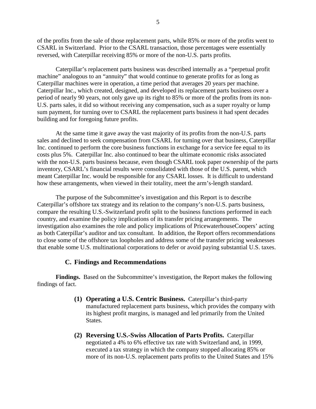of the profits from the sale of those replacement parts, while 85% or more of the profits went to CSARL in Switzerland. Prior to the CSARL transaction, those percentages were essentially reversed, with Caterpillar receiving 85% or more of the non-U.S. parts profits.

Caterpillar's replacement parts business was described internally as a "perpetual profit machine" analogous to an "annuity" that would continue to generate profits for as long as Caterpillar machines were in operation, a time period that averages 20 years per machine. Caterpillar Inc., which created, designed, and developed its replacement parts business over a period of nearly 90 years, not only gave up its right to 85% or more of the profits from its non-U.S. parts sales, it did so without receiving any compensation, such as a super royalty or lump sum payment, for turning over to CSARL the replacement parts business it had spent decades building and for foregoing future profits.

At the same time it gave away the vast majority of its profits from the non-U.S. parts sales and declined to seek compensation from CSARL for turning over that business, Caterpillar Inc. continued to perform the core business functions in exchange for a service fee equal to its costs plus 5%. Caterpillar Inc. also continued to bear the ultimate economic risks associated with the non-U.S. parts business because, even though CSARL took paper ownership of the parts inventory, CSARL's financial results were consolidated with those of the U.S. parent, which meant Caterpillar Inc. would be responsible for any CSARL losses. It is difficult to understand how these arrangements, when viewed in their totality, meet the arm's-length standard.

The purpose of the Subcommittee's investigation and this Report is to describe Caterpillar's offshore tax strategy and its relation to the company's non-U.S. parts business, compare the resulting U.S.-Switzerland profit split to the business functions performed in each country, and examine the policy implications of its transfer pricing arrangements. The investigation also examines the role and policy implications of PricewaterhouseCoopers' acting as both Caterpillar's auditor and tax consultant. In addition, the Report offers recommendations to close some of the offshore tax loopholes and address some of the transfer pricing weaknesses that enable some U.S. multinational corporations to defer or avoid paying substantial U.S. taxes.

#### **C. Findings and Recommendations**

**Findings.** Based on the Subcommittee's investigation, the Report makes the following findings of fact.

- **(1) Operating a U.S. Centric Business.** Caterpillar's third-party manufactured replacement parts business, which provides the company with its highest profit margins, is managed and led primarily from the United States.
- **(2) Reversing U.S.-Swiss Allocation of Parts Profits.** Caterpillar negotiated a 4% to 6% effective tax rate with Switzerland and, in 1999, executed a tax strategy in which the company stopped allocating 85% or more of its non-U.S. replacement parts profits to the United States and 15%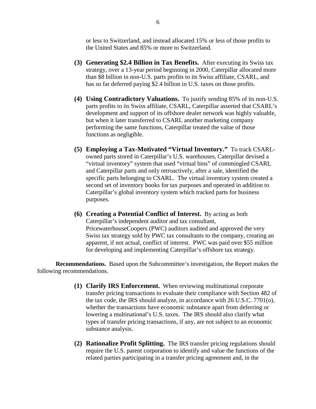or less to Switzerland, and instead allocated 15% or less of those profits to the United States and 85% or more to Switzerland.

- **(3) Generating \$2.4 Billion in Tax Benefits.** After executing its Swiss tax strategy, over a 13-year period beginning in 2000, Caterpillar allocated more than \$8 billion in non-U.S. parts profits to its Swiss affiliate, CSARL, and has so far deferred paying \$2.4 billion in U.S. taxes on those profits.
- **(4) Using Contradictory Valuations.** To justify sending 85% of its non-U.S. parts profits to its Swiss affiliate, CSARL, Caterpillar asserted that CSARL's development and support of its offshore dealer network was highly valuable, but when it later transferred to CSARL another marketing company performing the same functions, Caterpillar treated the value of those functions as negligible.
- **(5) Employing a Tax-Motivated "Virtual Inventory."** To track CSARLowned parts stored in Caterpillar's U.S. warehouses, Caterpillar devised a "virtual inventory" system that used "virtual bins" of commingled CSARL and Caterpillar parts and only retroactively, after a sale, identified the specific parts belonging to CSARL. The virtual inventory system created a second set of inventory books for tax purposes and operated in addition to Caterpillar's global inventory system which tracked parts for business purposes.
- **(6) Creating a Potential Conflict of Interest.** By acting as both Caterpillar's independent auditor and tax consultant, PricewaterhouseCoopers (PWC) auditors audited and approved the very Swiss tax strategy sold by PWC tax consultants to the company, creating an apparent, if not actual, conflict of interest. PWC was paid over \$55 million for developing and implementing Caterpillar's offshore tax strategy.

**Recommendations.** Based upon the Subcommittee's investigation, the Report makes the following recommendations.

- **(1) Clarify IRS Enforcement.** When reviewing multinational corporate transfer pricing transactions to evaluate their compliance with Section 482 of the tax code, the IRS should analyze, in accordance with 26 U.S.C. 7701(o), whether the transactions have economic substance apart from deferring or lowering a multinational's U.S. taxes. The IRS should also clarify what types of transfer pricing transactions, if any, are not subject to an economic substance analysis.
- **(2) Rationalize Profit Splitting.** The IRS transfer pricing regulations should require the U.S. parent corporation to identify and value the functions of the related parties participating in a transfer pricing agreement and, in the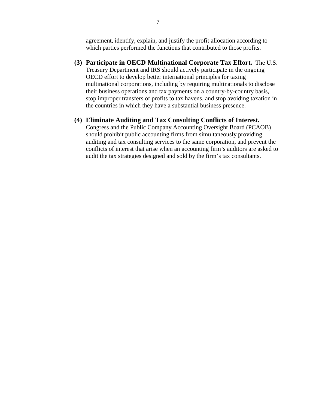agreement, identify, explain, and justify the profit allocation according to which parties performed the functions that contributed to those profits.

- **(3) Participate in OECD Multinational Corporate Tax Effort.** The U.S. Treasury Department and IRS should actively participate in the ongoing OECD effort to develop better international principles for taxing multinational corporations, including by requiring multinationals to disclose their business operations and tax payments on a country-by-country basis, stop improper transfers of profits to tax havens, and stop avoiding taxation in the countries in which they have a substantial business presence.
- **(4) Eliminate Auditing and Tax Consulting Conflicts of Interest.**  Congress and the Public Company Accounting Oversight Board (PCAOB) should prohibit public accounting firms from simultaneously providing auditing and tax consulting services to the same corporation, and prevent the conflicts of interest that arise when an accounting firm's auditors are asked to audit the tax strategies designed and sold by the firm's tax consultants.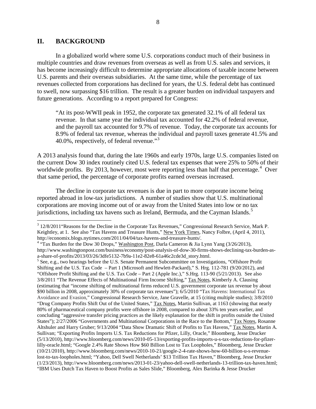#### **II. BACKGROUND**

l

In a globalized world where some U.S. corporations conduct much of their business in multiple countries and draw revenues from overseas as well as from U.S. sales and services, it has become increasingly difficult to determine appropriate allocations of taxable income between U.S. parents and their overseas subsidiaries. At the same time, while the percentage of tax revenues collected from corporations has declined for years, the U.S. federal debt has continued to swell, now surpassing \$16 trillion. The result is a greater burden on individual taxpayers and future generations. According to a report prepared for Congress:

"At its post-WWII peak in 1952, the corporate tax generated 32.1% of all federal tax revenue. In that same year the individual tax accounted for 42.2% of federal revenue, and the payroll tax accounted for 9.7% of revenue. Today, the corporate tax accounts for 8.9% of federal tax revenue, whereas the individual and payroll taxes generate 41.5% and 40.0%, respectively, of federal revenue." $3$ 

A 2013 analysis found that, during the late 1960s and early 1970s, large U.S. companies listed on the current Dow 30 index routinely cited U.S. federal tax expenses that were 25% to 50% of their worldwide profits. By 2013, however, most were reporting less than half that percentage.<sup>[4](#page-11-1)</sup> Over that same period, the percentage of corporate profits earned overseas increased.

The decline in corporate tax revenues is due in part to more corporate income being reported abroad in low-tax jurisdictions. A number of studies show that U.S. multinational corporations are moving income out of or away from the United States into low or no tax jurisdictions, including tax havens such as Ireland, Bermuda, and the Cayman Islands.<sup>[5](#page-11-2)</sup>

<span id="page-11-2"></span> $5$  See, e.g., two hearings before the U.S. Senate Permanent Subcommittee on Investigations, "Offshore Profit Shifting and the U.S. Tax Code – Part 1 (Microsoft and Hewlett-Packard)," S. Hrg. 112-781 (9/20/2012), and "Offshore Profit Shifting and the U.S. Tax Code – Part 2 (Apple Inc.)," S.Hrg. 113-90 (5/21/2013). See also 3/8/2011 "The Revenue Effects of Multinational Firm Income Shifting," Tax Notes, Kimberly A. Clausing (estimating that "income shifting of multinational firms reduced U.S. government corporate tax revenue by about \$90 billion in 2008, approximately 30% of corporate tax revenues"); 6/5/2010 "Tax Havens: International Tax Avoidance and Evasion," Congressional Research Service, Jane Gravelle, at 15 (citing multiple studies); 3/8/2010 "Drug Company Profits Shift Out of the United States," Tax Notes, Martin Sullivan, at 1163 (showing that nearly 80% of pharmaceutical company profits were offshore in 2008, compared to about 33% ten years earlier, and concluding "aggressive transfer pricing practices as the likely explanation for the shift in profits outside the United States"); 2/27/2006 "Governments and Multinational Corporations in the Race to the Bottom," Tax Notes, Rosanne Altshuler and Harry Gruber; 9/13/2004 "Data Show Dramatic Shift of Profits to Tax Havens," Tax Notes, Martin A. Sullivan; "Exporting Profits Imports U.S. Tax Reductions for Pfizer, Lilly, Oracle," Bloomberg, Jesse Drucker (5/13/2010), http://www.bloomberg.com/news/2010-05-13/exporting-profits-imports-u-s-tax-reductions-for-pfizerlilly-oracle.html; "Google 2.4% Rate Shows How \$60 Billion Lost to Tax Loopholes," Bloomberg, Jesse Drucker (10/21/2010), http://www.bloomberg.com/news/2010-10-21/google-2-4-rate-shows-how-60-billion-u-s-revenuelost-to-tax-loopholes.html; "Yahoo, Dell Swell Netherlands' \$13 Trillion Tax Haven," Bloomberg, Jesse Drucker (1/23/2013), http://www.bloomberg.com/news/2013-01-23/yahoo-dell-swell-netherlands-13-trillion-tax-haven.html; "IBM Uses Dutch Tax Haven to Boost Profits as Sales Slide," Bloomberg, Alex Barinka & Jesse Drucker

<span id="page-11-0"></span><sup>&</sup>lt;sup>3</sup> 12/8/2011 "Reasons for the Decline in the Corporate Tax Revenues," Congressional Research Service, Mark P. Keightley, at 1. See also "Tax Havens and Treasure Hunts," New York Times, Nancy Folbre, (April 4, 2011), http://economix.blogs.nytimes.com/2011/04/04/tax-havens-and-treasure-hunts/.

<span id="page-11-1"></span><sup>&</sup>lt;sup>4</sup> "Tax Burden for the Dow 30 Drops," Washington Post, Darla Cameron & Jia Lynn Yang (3/26/2013), http://www.washingtonpost.com/business/economy/post-analysis-of-dow-30-firms-shows-declining-tax-burden-as-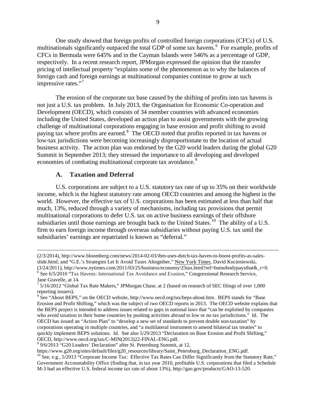One study showed that foreign profits of controlled foreign corporations (CFCs) of U.S. multinationals significantly outpaced the total GDP of some tax havens.<sup>[6](#page-12-0)</sup> For example, profits of CFCs in Bermuda were 645% and in the Cayman Islands were 546% as a percentage of GDP, respectively. In a recent research report, JPMorgan expressed the opinion that the transfer pricing of intellectual property "explains some of the phenomenon as to why the balances of foreign cash and foreign earnings at multinational companies continue to grow at such impressive rates."<sup>[7](#page-12-1)</sup>

The erosion of the corporate tax base caused by the shifting of profits into tax havens is not just a U.S. tax problem. In July 2013, the Organisation for Economic Co-operation and Development (OECD), which consists of 34 member countries with advanced economies including the United States, developed an action plan to assist governments with the growing challenge of multinational corporations engaging in base erosion and profit shifting to avoid paying tax where profits are earned.<sup>[8](#page-12-2)</sup> The OECD noted that profits reported in tax havens or low-tax jurisdictions were becoming increasingly disproportionate to the location of actual business activity. The action plan was endorsed by the G20 world leaders during the global G20 Summit in September 2013; they stressed the importance to all developing and developed economies of combating multinational corporate tax avoidance.<sup>[9](#page-12-3)</sup>

#### **A. Taxation and Deferral**

 $\overline{\phantom{a}}$ 

U.S. corporations are subject to a U.S. statutory tax rate of up to 35% on their worldwide income, which is the highest statutory rate among OECD countries and among the highest in the world. However, the effective tax of U.S. corporations has been estimated at less than half that much, 13%, reduced through a variety of mechanisms, including tax provisions that permit multinational corporations to defer U.S. tax on active business earnings of their offshore subsidiaries until those earnings are brought back to the United States.<sup>[10](#page-12-4)</sup> The ability of a U.S. firm to earn foreign income through overseas subsidiaries without paying U.S. tax until the subsidiaries' earnings are repatriated is known as "deferral."

<sup>(2/3/2014),</sup> http://www.bloomberg.com/news/2014-02-03/ibm-uses-dutch-tax-haven-to-boost-profits-as-salesslide.html; and "G.E.'s Strategies Let It Avoid Taxes Altogether," New York Times, David Kocieniewski,  $(3/24/2011)$ , http://www.nytimes.com/2011/03/25/business/economy/25tax.html?ref=butnobodypaysthat& $r=0$ .  $6$  See 6/5/2010 "Tax Havens: International Tax Avoidance and Evasion," Congressional Research Service, Jane Gravelle, at 14.

<span id="page-12-1"></span><span id="page-12-0"></span> $7$  5/16/2012 "Global Tax Rate Makers," JPMorgan Chase, at 2 (based on research of SEC filings of over 1,000 reporting issuers).

<span id="page-12-2"></span><sup>8</sup> See "About BEPS," on the OECD website, http://www.oecd.org/tax/beps-about.htm. BEPS stands for "Base Erosion and Profit Shifting," which was the subject of two OECD reports in 2013. The OECD website explains that the BEPS project is intended to address issues related to gaps in national laws that "can be exploited by companies who avoid taxation in their home countries by pushing activities abroad to low or no tax jurisdictions." Id. The OECD has issued an "Action Plan" to "develop a new set of standards to prevent double non-taxation" by corporations operating in multiple countries, and "a multilateral instrument to amend bilateral tax treaties" to quickly implement BEPS solutions. Id. See also  $5/29/2013$  "Declaration on Base Erosion and Profit Shifting," OECD, http://www.oecd.org/tax/C-MIN(2013)22-FINAL-ENG.pdf.<br><sup>9</sup> 9/6/2013 "G20 Leaders' Declaration" after St. Petersburg Summit, at 12,

<span id="page-12-3"></span>

<span id="page-12-4"></span>https://www.g20.org/sites/default/files/g20\_resources/library/Saint\_Petersburg\_Declaration\_ENG.pdf. <sup>10</sup> See, e.g., 5/2013 "Corporate Income Tax: Effective Tax Rates Can Differ Significantly from the Statutory Rate," Government Accountability Office (finding that, in tax year 2010, profitable U.S. corporations that filed a Schedule M-3 had an effective U.S. federal income tax rate of about 13%), http://gao.gov/products/GAO-13-520.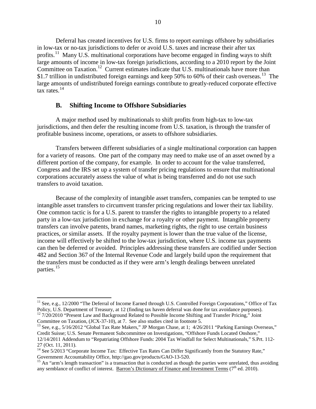Deferral has created incentives for U.S. firms to report earnings offshore by subsidiaries in low-tax or no-tax jurisdictions to defer or avoid U.S. taxes and increase their after tax profits.<sup>11</sup> Many U.S. multinational corporations have become engaged in finding ways to shift large amounts of income in low-tax foreign jurisdictions, according to a 2010 report by the Joint Committee on Taxation.<sup>[12](#page-13-1)</sup> Current estimates indicate that U.S. multinationals have more than \$1.7 trillion in undistributed foreign earnings and keep 50% to 60% of their cash overseas.<sup>[13](#page-13-2)</sup> The large amounts of undistributed foreign earnings contribute to greatly-reduced corporate effective tax rates.[14](#page-13-3) 

#### **B. Shifting Income to Offshore Subsidiaries**

 $\overline{\phantom{a}}$ 

A major method used by multinationals to shift profits from high-tax to low-tax jurisdictions, and then defer the resulting income from U.S. taxation, is through the transfer of profitable business income, operations, or assets to offshore subsidiaries.

Transfers between different subsidiaries of a single multinational corporation can happen for a variety of reasons. One part of the company may need to make use of an asset owned by a different portion of the company, for example. In order to account for the value transferred, Congress and the IRS set up a system of transfer pricing regulations to ensure that multinational corporations accurately assess the value of what is being transferred and do not use such transfers to avoid taxation.

Because of the complexity of intangible asset transfers, companies can be tempted to use intangible asset transfers to circumvent transfer pricing regulations and lower their tax liability. One common tactic is for a U.S. parent to transfer the rights to intangible property to a related party in a low-tax jurisdiction in exchange for a royalty or other payment. Intangible property transfers can involve patents, brand names, marketing rights, the right to use certain business practices, or similar assets. If the royalty payment is lower than the true value of the license, income will effectively be shifted to the low-tax jurisdiction, where U.S. income tax payments can then be deferred or avoided. Principles addressing these transfers are codified under Section 482 and Section 367 of the Internal Revenue Code and largely build upon the requirement that the transfers must be conducted as if they were arm's length dealings between unrelated parties.<sup>15</sup>

<span id="page-13-0"></span><sup>&</sup>lt;sup>11</sup> See, e.g., 12/2000 "The Deferral of Income Earned through U.S. Controlled Foreign Corporations," Office of Tax Policy, U.S. Department of Treasury, at 12 (finding tax haven deferral was done for tax avoidance purposes).  $12$  7/20/2010 "Present Law and Background Related to Possible Income Shifting and Transfer Pricing," Joint Committee on Taxation, (JCX-37-10), at 7. See also studies cited in footnote 5.

<span id="page-13-2"></span><span id="page-13-1"></span><sup>&</sup>lt;sup>13</sup> See, e.g., 5/16/2012 "Global Tax Rate Makers," JP Morgan Chase, at 1; 4/26/2011 "Parking Earnings Overseas," Credit Suisse; U.S. Senate Permanent Subcommittee on Investigations, "Offshore Funds Located Onshore," 12/14/2011 Addendum to "Repatriating Offshore Funds: 2004 Tax Windfall for Select Multinationals," S.Prt. 112- 27 (Oct. 11, 2011).

<span id="page-13-3"></span><sup>&</sup>lt;sup>14</sup> See 5/2013 "Corporate Income Tax: Effective Tax Rates Can Differ Significantly from the Statutory Rate," Government Accountability Office, http://gao.gov/products/GAO-13-520.<br><sup>15</sup> An "arm's length transaction" is a transaction that is conducted as though the parties were unrelated, thus avoiding

<span id="page-13-4"></span>any semblance of conflict of interest. Barron's Dictionary of Finance and Investment Terms  $(7<sup>th</sup>$  ed. 2010).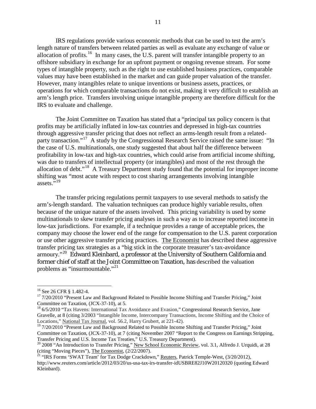IRS regulations provide various economic methods that can be used to test the arm's length nature of transfers between related parties as well as evaluate any exchange of value or allocation of profits.[16](#page-14-0) In many cases, the U.S. parent will transfer intangible property to an offshore subsidiary in exchange for an upfront payment or ongoing revenue stream. For some types of intangible property, such as the right to use established business practices, comparable values may have been established in the market and can guide proper valuation of the transfer. However, many intangibles relate to unique inventions or business assets, practices, or operations for which comparable transactions do not exist, making it very difficult to establish an arm's length price. Transfers involving unique intangible property are therefore difficult for the

IRS to evaluate and challenge.

The Joint Committee on Taxation has stated that a "principal tax policy concern is that profits may be artificially inflated in low-tax countries and depressed in high-tax countries through aggressive transfer pricing that does not reflect an arms-length result from a related-party transaction."<sup>[17](#page-14-1)</sup> A study by the Congressional Research Service raised the same issue: "In the case of U.S. multinationals, one study suggested that about half the difference between profitability in low-tax and high-tax countries, which could arise from artificial income shifting, was due to transfers of intellectual property (or intangibles) and most of the rest through the allocation of debt."[18](#page-14-2) A Treasury Department study found that the potential for improper income shifting was "most acute with respect to cost sharing arrangements involving intangible assets<sup>5,[19](#page-14-3)</sup>

The transfer pricing regulations permit taxpayers to use several methods to satisfy the arm's-length standard. The valuation techniques can produce highly variable results, often because of the unique nature of the assets involved. This pricing variability is used by some multinationals to skew transfer pricing analyses in such a way as to increase reported income in low-tax jurisdictions. For example, if a technique provides a range of acceptable prices, the company may choose the lower end of the range for compensation to the U.S. parent corporation or use other aggressive transfer pricing practices. The Economist has described these aggressive transfer pricing tax strategies as a "big stick in the corporate treasurer's tax-avoidance armoury."<sup>20</sup> Edward Kleinbard, a professor at the University of Southern California and former chief of staff at the Joint Committee on Taxation, has described the valuation problems as "insurmountable."<sup>21</sup>

<span id="page-14-0"></span><sup>&</sup>lt;sup>16</sup> See 26 CFR § 1.482-4.

<span id="page-14-1"></span> $17$  7/20/2010 "Present Law and Background Related to Possible Income Shifting and Transfer Pricing," Joint Committee on Taxation, (JCX-37-10), at 5.

<span id="page-14-2"></span> $^{18}$  6/5/2010 "Tax Havens: International Tax Avoidance and Evasion," Congressional Research Service, Jane Gravelle, at 8 (citing 3/2003 "Intangible Income, Intercompany Transactions, Income Shifting and the Choice of Locations," National Tax Journal, vol. 56.2, Harry Grubert, at 221-42).

<span id="page-14-3"></span> $19$  7/20/2010 "Present Law and Background Related to Possible Income Shifting and Transfer Pricing," Joint Committee on Taxation, (JCX-37-10), at 7 (citing November 2007 "Report to the Congress on Earnings Stripping, Transfer Pricing and U.S. Income Tax Treaties," U.S. Treasury Department).

<span id="page-14-4"></span><sup>&</sup>lt;sup>20</sup> 2008 "An Introduction to Transfer Pricing," New School Economic Review, vol. 3.1, Alfredo J. Urquidi, at 28 (citing "Moving Pieces"), The Economist, (2/22/2007).<br><sup>21</sup> "IRS Forms 'SWAT Team' for Tax Dodge Crackdown," <u>Reuters</u>, Patrick Temple-West, (3/20/2012),

<span id="page-14-5"></span><http://www.reuters.com/article/2012/03/20/us-usa-tax-irs-transfer-idUSBRE82J10W20120320> (quoting Edward Kleinbard).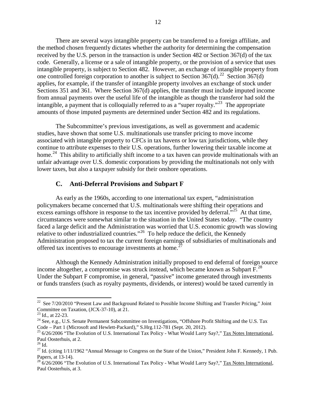There are several ways intangible property can be transferred to a foreign affiliate, and the method chosen frequently dictates whether the authority for determining the compensation received by the U.S. person in the transaction is under Section 482 or Section 367(d) of the tax code. Generally, a license or a sale of intangible property, or the provision of a service that uses intangible property, is subject to Section 482. However, an exchange of intangible property from one controlled foreign corporation to another is subject to Section  $367(d)$ .<sup>[22](#page-15-0)</sup> Section 367(d) applies, for example, if the transfer of intangible property involves an exchange of stock under Sections 351 and 361. Where Section 367(d) applies, the transfer must include imputed income from annual payments over the useful life of the intangible as though the transferor had sold the intangible, a payment that is colloquially referred to as a "super royalty."<sup>[23](#page-15-1)</sup> The appropriate amounts of those imputed payments are determined under Section 482 and its regulations.

The Subcommittee's previous investigations, as well as government and academic studies, have shown that some U.S. multinationals use transfer pricing to move income associated with intangible property to CFCs in tax havens or low tax jurisdictions, while they continue to attribute expenses to their U.S. operations, further lowering their taxable income at home.<sup>[24](#page-15-2)</sup> This ability to artificially shift income to a tax haven can provide multinationals with an unfair advantage over U.S. domestic corporations by providing the multinationals not only with lower taxes, but also a taxpayer subsidy for their onshore operations.

#### **C. Anti-Deferral Provisions and Subpart F**

As early as the 1960s, according to one international tax expert, "administration policymakers became concerned that U.S. multinationals were shifting their operations and excess earnings offshore in response to the tax incentive provided by deferral. $^{325}$  At that time, circumstances were somewhat similar to the situation in the United States today. "The country faced a large deficit and the Administration was worried that U.S. economic growth was slowing relative to other industrialized countries."<sup>[26](#page-15-4)</sup> To help reduce the deficit, the Kennedy Administration proposed to tax the current foreign earnings of subsidiaries of multinationals and offered tax incentives to encourage investments at home.<sup>27</sup>

Although the Kennedy Administration initially proposed to end deferral of foreign source income altogether, a compromise was struck instead, which became known as Subpart  $F^{28}$  $F^{28}$  $F^{28}$ . Under the Subpart F compromise, in general, "passive" income generated through investments or funds transfers (such as royalty payments, dividends, or interest) would be taxed currently in

 $\overline{\phantom{a}}$ 

<span id="page-15-0"></span> $22$  See 7/20/2010 "Present Law and Background Related to Possible Income Shifting and Transfer Pricing," Joint

<span id="page-15-2"></span>

<span id="page-15-1"></span>Committee on Taxation, (JCX-37-10), at 21.<br>
<sup>23</sup> Id., at 22-23.<br>
<sup>24</sup> See, e.g., U.S. Senate Permanent Subcommittee on Investigations, "Offshore Profit Shifting and the U.S. Tax<br>
Code – Part 1 (Microsoft and Hewlett-Packa

<span id="page-15-3"></span><sup>&</sup>lt;sup>25</sup> 6/26/2006 "The Evolution of U.S. International Tax Policy - What Would Larry Say?," Tax Notes International, Paul Oosterhuis, at 2.<br><sup>26</sup> Id.

<span id="page-15-4"></span>

<span id="page-15-5"></span><sup>&</sup>lt;sup>27</sup> Id. (citing  $1/11/1962$  "Annual Message to Congress on the State of the Union," President John F. Kennedy, 1 Pub. Papers, at 13-14).

<span id="page-15-6"></span> $^{28}$  6/26/2006 "The Evolution of U.S. International Tax Policy - What Would Larry Say?," Tax Notes International, Paul Oosterhuis, at 3.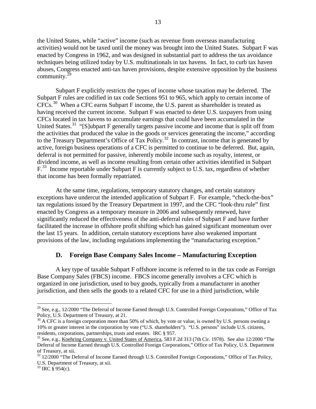the United States, while "active" income (such as revenue from overseas manufacturing activities) would not be taxed until the money was brought into the United States. Subpart F was enacted by Congress in 1962, and was designed in substantial part to address the tax avoidance techniques being utilized today by U.S. multinationals in tax havens. In fact, to curb tax haven abuses, Congress enacted anti-tax haven provisions, despite extensive opposition by the business community.[29](#page-16-0)

Subpart F explicitly restricts the types of income whose taxation may be deferred. The Subpart F rules are codified in tax code Sections 951 to 965, which apply to certain income of  $CFCs$ <sup>[30](#page-16-1)</sup> When a CFC earns Subpart F income, the U.S. parent as shareholder is treated as having received the current income. Subpart F was enacted to deter U.S. taxpayers from using CFCs located in tax havens to accumulate earnings that could have been accumulated in the United States.<sup>31</sup> "[S]ubpart F generally targets passive income and income that is split off from the activities that produced the value in the goods or services generating the income," according to the Treasury Department's Office of Tax Policy.<sup>32</sup> In contrast, income that is generated by active, foreign business operations of a CFC is permitted to continue to be deferred. But, again, deferral is not permitted for passive, inherently mobile income such as royalty, interest, or dividend income, as well as income resulting from certain other activities identified in Subpart  $F<sup>33</sup>$  $F<sup>33</sup>$  $F<sup>33</sup>$  Income reportable under Subpart F is currently subject to U.S. tax, regardless of whether that income has been formally repatriated.

At the same time, regulations, temporary statutory changes, and certain statutory exceptions have undercut the intended application of Subpart F. For example, "check-the-box" tax regulations issued by the Treasury Department in 1997, and the CFC "look-thru rule" first enacted by Congress as a temporary measure in 2006 and subsequently renewed, have significantly reduced the effectiveness of the anti-deferral rules of Subpart F and have further facilitated the increase in offshore profit shifting which has gained significant momentum over the last 15 years. In addition, certain statutory exceptions have also weakened important provisions of the law, including regulations implementing the "manufacturing exception."

#### **D. Foreign Base Company Sales Income – Manufacturing Exception**

A key type of taxable Subpart F offshore income is referred to in the tax code as Foreign Base Company Sales (FBCS) income. FBCS income generally involves a CFC which is organized in one jurisdiction, used to buy goods, typically from a manufacturer in another jurisdiction, and then sells the goods to a related CFC for use in a third jurisdiction, while

 $\overline{\phantom{a}}$ 

<span id="page-16-0"></span><sup>&</sup>lt;sup>29</sup> See, e.g., 12/2000 "The Deferral of Income Earned through U.S. Controlled Foreign Corporations," Office of Tax Policy, U.S. Department of Treasury, at 21.

<span id="page-16-1"></span><sup>&</sup>lt;sup>30</sup> A CFC is a foreign corporation more than 50% of which, by vote or value, is owned by U.S. persons owning a 10% or greater interest in the corporation by vote ("U.S. shareholders"). "U.S. persons" include U.S. citizens, residents, corporations, partnerships, trusts and estates. IRC § 957.

<span id="page-16-2"></span> $31$  See, e.g., Koehring Company v. United States of America, 583 F.2d 313 (7th Cir. 1978). See also 12/2000 "The Deferral of Income Earned through U.S. Controlled Foreign Corporations," Office of Tax Policy, U.S. Department of Treasury, at xii.

<span id="page-16-3"></span><sup>&</sup>lt;sup>32</sup> 12/2000 "The Deferral of Income Earned through U.S. Controlled Foreign Corporations," Office of Tax Policy, U.S. Department of Treasury, at xii.

<span id="page-16-4"></span> $33$  IRC  $\overline{\S}$  954(c).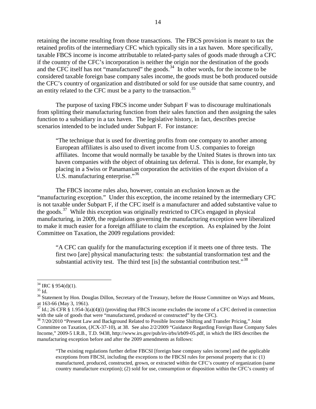retaining the income resulting from those transactions. The FBCS provision is meant to tax the retained profits of the intermediary CFC which typically sits in a tax haven. More specifically, taxable FBCS income is income attributable to related-party sales of goods made through a CFC if the country of the CFC's incorporation is neither the origin nor the destination of the goods and the CFC itself has not "manufactured" the goods.<sup>34</sup> In other words, for the income to be considered taxable foreign base company sales income, the goods must be both produced outside the CFC's country of organization and distributed or sold for use outside that same country, and an entity related to the CFC must be a party to the transaction.<sup>35</sup>

The purpose of taxing FBCS income under Subpart F was to discourage multinationals from splitting their manufacturing function from their sales function and then assigning the sales function to a subsidiary in a tax haven. The legislative history, in fact, describes precise scenarios intended to be included under Subpart F. For instance:

"The technique that is used for diverting profits from one company to another among European affiliates is also used to divert income from U.S. companies to foreign affiliates. Income that would normally be taxable by the United States is thrown into tax haven companies with the object of obtaining tax deferral. This is done, for example, by placing in a Swiss or Panamanian corporation the activities of the export division of a U.S. manufacturing enterprise."<sup>[36](#page-17-2)</sup>

The FBCS income rules also, however, contain an exclusion known as the "manufacturing exception." Under this exception, the income retained by the intermediary CFC is not taxable under Subpart F, if the CFC itself is a manufacturer and added substantive value to the goods. $37$  While this exception was originally restricted to CFCs engaged in physical manufacturing, in 2009, the regulations governing the manufacturing exception were liberalized to make it much easier for a foreign affiliate to claim the exception. As explained by the Joint Committee on Taxation, the 2009 regulations provided:

"A CFC can qualify for the manufacturing exception if it meets one of three tests. The first two [are] physical manufacturing tests: the substantial transformation test and the substantial activity test. The third test [is] the substantial contribution test."<sup>[38](#page-17-4)</sup>

"The existing regulations further define FBCSI [foreign base company sales income] and the applicable exceptions from FBCSI, including the exceptions to the FBCSI rules for personal property that is: (1) manufactured, produced, constructed, grown, or extracted within the CFC's country of organization (same country manufacture exception); (2) sold for use, consumption or disposition within the CFC's country of

 $34$  IRC § 954(d)(1).

<span id="page-17-2"></span><span id="page-17-1"></span><span id="page-17-0"></span> $\frac{35}{35}$  Id. 36 Statement by Hon. Douglas Dillon, Secretary of the Treasury, before the House Committee on Ways and Means, at 163-66 (May 3, 1961).

<span id="page-17-3"></span><sup>&</sup>lt;sup>37</sup> Id.; 26 CFR § 1.954-3(a)(4)(i) (providing that FBCS income excludes the income of a CFC derived in connection with the sale of goods that were "manufactured, produced or constructed" by the CFC).

<span id="page-17-4"></span> $38$  7/20/2010 "Present Law and Background Related to Possible Income Shifting and Transfer Pricing," Joint Committee on Taxation, (JCX-37-10), at 38. See also 2/2/2009 "Guidance Regarding Foreign Base Company Sales Income," 2009-5 I.R.B., T.D. 9438, http://www.irs.gov/pub/irs-irbs/irb09-05.pdf, in which the IRS describes the manufacturing exception before and after the 2009 amendments as follows: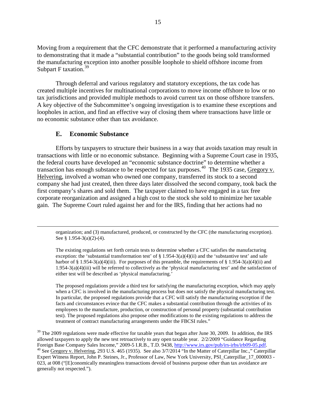Moving from a requirement that the CFC demonstrate that it performed a manufacturing activity to demonstrating that it made a "substantial contribution" to the goods being sold transformed the manufacturing exception into another possible loophole to shield offshore income from Subpart F taxation. $39$ 

Through deferral and various regulatory and statutory exceptions, the tax code has created multiple incentives for multinational corporations to move income offshore to low or no tax jurisdictions and provided multiple methods to avoid current tax on those offshore transfers. A key objective of the Subcommittee's ongoing investigation is to examine these exceptions and loopholes in action, and find an effective way of closing them where transactions have little or no economic substance other than tax avoidance.

#### **E. Economic Substance**

 $\overline{\phantom{a}}$ 

Efforts by taxpayers to structure their business in a way that avoids taxation may result in transactions with little or no economic substance. Beginning with a Supreme Court case in 1935, the federal courts have developed an "economic substance doctrine" to determine whether a transaction has enough substance to be respected for tax purposes.<sup>[40](#page-18-1)</sup> The 1935 case, Gregory v. Helvering, involved a woman who owned one company, transferred its stock to a second company she had just created, then three days later dissolved the second company, took back the first company's shares and sold them. The taxpayer claimed to have engaged in a tax free corporate reorganization and assigned a high cost to the stock she sold to minimize her taxable gain. The Supreme Court ruled against her and for the IRS, finding that her actions had no

The proposed regulations provide a third test for satisfying the manufacturing exception, which may apply when a CFC is involved in the manufacturing process but does not satisfy the physical manufacturing test. In particular, the proposed regulations provide that a CFC will satisfy the manufacturing exception if the facts and circumstances evince that the CFC makes a substantial contribution through the activities of its employees to the manufacture, production, or construction of personal property (substantial contribution test). The proposed regulations also propose other modifications to the existing regulations to address the treatment of contract manufacturing arrangements under the FBCSI rules."

<span id="page-18-1"></span><span id="page-18-0"></span> $39$  The 2009 regulations were made effective for taxable years that began after June 30, 2009. In addition, the IRS allowed taxpayers to apply the new test retroactively to any open taxable year. 2/2/2009 "Guidance Regarding<br>Foreign Base Company Sales Income," 2009-5 I.R.B., T.D. 9438, http://www.irs.gov/pub/irs-irbs/irb09-05.pdf. <sup>40</sup> See Gregory v. Helvering, 293 U.S. 465 (1935). See also  $3/7/2014$  "In the Matter of Caterpillar Inc.," Caterpillar Expert Witness Report, John P. Steines, Jr., Professor of Law, New York University, PSI\_Caterpillar\_17\_000003 - 023, at 008 ("[E]conomically meaningless transactions devoid of business purpose other than tax avoidance are generally not respected.").

organization; and (3) manufactured, produced, or constructed by the CFC (the manufacturing exception). See § 1.954-3(a)(2)-(4).

The existing regulations set forth certain tests to determine whether a CFC satisfies the manufacturing exception: the 'substantial transformation test' of  $\S 1.954-3(a)(4)(ii)$  and the 'substantive test' and safe harbor of § 1.954-3(a)(4)(iii). For purposes of this preamble, the requirements of § 1.954-3(a)(4)(ii) and 1.954-3(a)(4)(iii) will be referred to collectively as the 'physical manufacturing test' and the satisfaction of either test will be described as 'physical manufacturing.'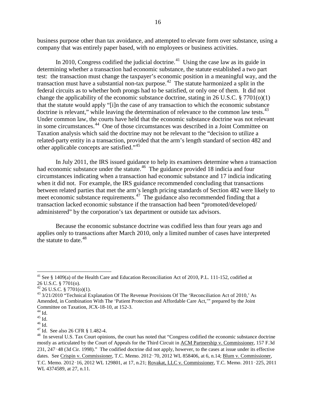business purpose other than tax avoidance, and attempted to elevate form over substance, using a company that was entirely paper based, with no employees or business activities.

In 2010, Congress codified the judicial doctrine.<sup>41</sup> Using the case law as its guide in determining whether a transaction had economic substance, the statute established a two part test: the transaction must change the taxpayer's economic position in a meaningful way, and the transaction must have a substantial non-tax purpose.<sup>42</sup> The statute harmonized a split in the federal circuits as to whether both prongs had to be satisfied, or only one of them. It did not change the applicability of the economic substance doctrine, stating in 26 U.S.C.  $\S 7701(0)(1)$ that the statute would apply "[i]n the case of any transaction to which the economic substance doctrine is relevant," while leaving the determination of relevance to the common law tests.<sup>43</sup> Under common law, the courts have held that the economic substance doctrine was not relevant in some circumstances. [44](#page-19-3) One of those circumstances was described in a Joint Committee on Taxation analysis which said the doctrine may not be relevant to the "decision to utilize a related-party entity in a transaction, provided that the arm's length standard of section 482 and other applicable concepts are satisfied."[45](#page-19-4) 

In July 2011, the IRS issued guidance to help its examiners determine when a transaction had economic substance under the statute.<sup>46</sup> The guidance provided 18 indicia and four circumstances indicating when a transaction had economic substance and 17 indicia indicating when it did not. For example, the IRS guidance recommended concluding that transactions between related parties that met the arm's length pricing standards of Section 482 were likely to meet economic substance requirements.<sup>47</sup> The guidance also recommended finding that a transaction lacked economic substance if the transaction had been "promoted/developed/ administered" by the corporation's tax department or outside tax advisors.

Because the economic substance doctrine was codified less than four years ago and applies only to transactions after March 2010, only a limited number of cases have interpreted the statute to date.  $48$ 

l

<span id="page-19-0"></span><sup>&</sup>lt;sup>41</sup> See § 1409(a) of the Health Care and Education Reconciliation Act of 2010, P.L. 111-152, codified at 26 U.S.C. § 7701(o)(1).<br><sup>42</sup> 26 U.S.C. § 7701(o)(1).

<span id="page-19-2"></span><span id="page-19-1"></span> $43$  3/21/2010 "Technical Explanation Of The Revenue Provisions Of The 'Reconciliation Act of 2010,' As Amended, in Combination With The 'Patient Protection and Affordable Care Act,'" prepared by the Joint

<span id="page-19-6"></span><span id="page-19-5"></span>

<span id="page-19-7"></span>

<span id="page-19-4"></span><span id="page-19-3"></span><sup>&</sup>lt;sup>44</sup> Id.<br><sup>45</sup> Id.  $\frac{45}{10}$ .<br><sup>47</sup> Id. See also 26 CFR § 1.482-4.<br><sup>48</sup> In several U.S. Tax Court opinions, the court has noted that "Congress codified the economic substance doctrine mostly as articulated by the Court of Appeals for the Third Circuit in ACM Partnership v. Commissioner, 157 F.3d 231, 247‑48 (3d Cir. 1998)." The codified doctrine did not apply, however, to the cases at issue under its effective dates. See Crispin v. Commissioner, T.C. Memo. 2012<sup>-70</sup>, 2012 WL 858406, at 6, n.14; Blum v. Commissioner, T.C. Memo. 2012‑16, 2012 WL 129801, at 17, n.21; Rovakat, LLC v. Commissioner, T.C. Memo. 2011‑225, 2011 WL 4374589, at 27, n.11.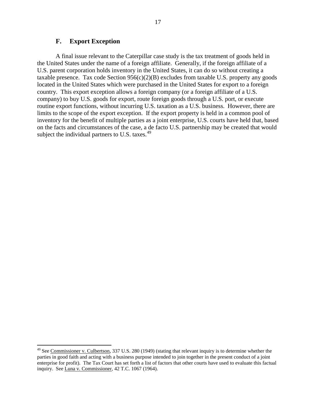#### **F. Export Exception**

l

A final issue relevant to the Caterpillar case study is the tax treatment of goods held in the United States under the name of a foreign affiliate. Generally, if the foreign affiliate of a U.S. parent corporation holds inventory in the United States, it can do so without creating a taxable presence. Tax code Section  $956(c)(2)(B)$  excludes from taxable U.S. property any goods located in the United States which were purchased in the United States for export to a foreign country. This export exception allows a foreign company (or a foreign affiliate of a U.S. company) to buy U.S. goods for export, route foreign goods through a U.S. port, or execute routine export functions, without incurring U.S. taxation as a U.S. business. However, there are limits to the scope of the export exception. If the export property is held in a common pool of inventory for the benefit of multiple parties as a joint enterprise, U.S. courts have held that, based on the facts and circumstances of the case, a de facto U.S. partnership may be created that would subject the individual partners to U.S. taxes. $49$ 

<span id="page-20-0"></span><sup>&</sup>lt;sup>49</sup> See Commissioner v. Culbertson, 337 U.S. 280 (1949) (stating that relevant inquiry is to determine whether the parties in good faith and acting with a business purpose intended to join together in the present conduct of a joint enterprise for profit). The Tax Court has set forth a list of factors that other courts have used to evaluate this factual inquiry. See Luna v. Commissioner, 42 T.C. 1067 (1964).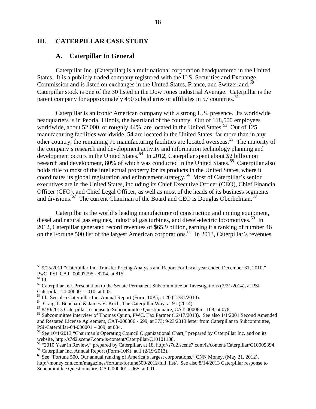#### **III. CATERPILLAR CASE STUDY**

#### **A. Caterpillar In General**

Caterpillar Inc. (Caterpillar) is a multinational corporation headquartered in the United States. It is a publicly traded company registered with the U.S. Securities and Exchange Commission and is listed on exchanges in the United States, France, and Switzerland.<sup>[50](#page-21-0)</sup> Caterpillar stock is one of the 30 listed in the Dow Jones Industrial Average. Caterpillar is the parent company for approximately 450 subsidiaries or affiliates in 57 countries.<sup>[51](#page-21-1)</sup>

Caterpillar is an iconic American company with a strong U.S. presence. Its worldwide headquarters is in Peoria, Illinois, the heartland of the country. Out of 118,500 employees worldwide, about 52,000, or roughly 44%, are located in the United States.<sup>52</sup> Out of 125 manufacturing facilities worldwide, 54 are located in the United States, far more than in any other country; the remaining 71 manufacturing facilities are located overseas.<sup>53</sup> The majority of the company's research and development activity and information technology planning and development occurs in the United States.<sup>[54](#page-21-4)</sup> In 2012, Caterpillar spent about \$2 billion on research and development, 80% of which was conducted in the United States.<sup>[55](#page-21-5)</sup> Caterpillar also holds title to most of the intellectual property for its products in the United States, where it coordinates its global registration and enforcement strategy.[56](#page-21-6) Most of Caterpillar's senior executives are in the United States, including its Chief Executive Officer (CEO), Chief Financial Officer (CFO), and Chief Legal Officer, as well as most of the heads of its business segments and divisions.<sup>[57](#page-21-7)</sup> The current Chairman of the Board and CEO is Douglas Oberhelman.<sup>58</sup>

Caterpillar is the world's leading manufacturer of construction and mining equipment, diesel and natural gas engines, industrial gas turbines, and diesel-electric locomotives.<sup>[59](#page-21-9)</sup> In 2012, Caterpillar generated record revenues of \$65.9 billion, earning it a ranking of number 46 on the Fortune 500 list of the largest American corporations.<sup>[60](#page-21-10)</sup> In 2013, Caterpillar's revenues

 $\overline{\phantom{a}}$ 

<span id="page-21-0"></span> $50$  9/15/2011 "Caterpillar Inc. Transfer Pricing Analysis and Report For fiscal year ended December 31, 2010,"<br>PwC PSI CAT 00007795 - 8204. at 815.

<span id="page-21-2"></span><span id="page-21-1"></span><sup>&</sup>lt;sup>51</sup> Id.<br><sup>52</sup> Caterpillar Inc. Presentation to the Senate Permanent Subcommittee on Investigations (2/21/2014), at PSI-<br>Caterpillar-14-000001 - 010, at 002.

<span id="page-21-4"></span>

<span id="page-21-6"></span><span id="page-21-5"></span>

<span id="page-21-3"></span><sup>&</sup>lt;sup>53</sup> Id. See also Caterpillar Inc. Annual Report (Form-10K), at 20 (12/31/2010).<br><sup>54</sup> Craig T. Bouchard & James V. Koch, <u>The Caterpillar Way</u>, at 91 (2014).<br><sup>55</sup> 8/30/2013 Caterpillar response to Subcommittee Questionnair and Restated License Agreement, CAT-000306 - 699, at 373; 9/23/2013 letter from Caterpillar to Subcommittee, PSI-Caterpillar-04-000001 - 009, at 004.

<span id="page-21-7"></span> $^{57}$  See 10/1/2013 "Chairman's Operating Council Organizational Chart," prepared by Caterpillar Inc. and on its

<span id="page-21-8"></span>website, http://s7d2.scene7.com/is/content/Caterpillar/C10101108.<br><sup>58</sup> "2010 Year in Review," prepared by Caterpillar, at 18, http://s7d2.scene7.com/is/content/Caterpillar/C10005394.<br><sup>59</sup> Caterpillar Inc. Annual Report (Fo

<span id="page-21-10"></span><span id="page-21-9"></span> $60$  See "Fortune 500, Our annual ranking of America's largest corporations," CNN Money, (May 21, 2012), http://money.cnn.com/magazines/fortune/fortune500/2012/full\_list/. See also 8/14/2013 Caterpillar response to Subcommittee Questionnaire, CAT-000001 - 065, at 001.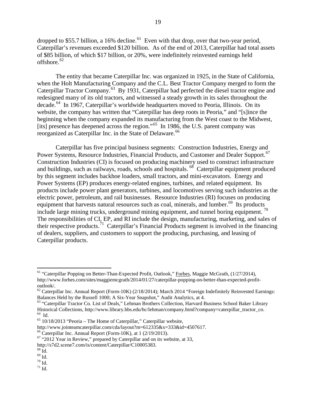dropped to \$55.7 billion, a 16% decline.<sup>[61](#page-22-0)</sup> Even with that drop, over that two-year period, Caterpillar's revenues exceeded \$120 billion. As of the end of 2013, Caterpillar had total assets of \$85 billion, of which \$17 billion, or 20%, were indefinitely reinvested earnings held offshore. [62](#page-22-1)

The entity that became Caterpillar Inc. was organized in 1925, in the State of California, when the Holt Manufacturing Company and the C.L. Best Tractor Company merged to form the Caterpillar Tractor Company.<sup>63</sup> By 1931, Caterpillar had perfected the diesel tractor engine and redesigned many of its old tractors, and witnessed a steady growth in its sales throughout the decade.<sup>[64](#page-22-3)</sup> In 1967, Caterpillar's worldwide headquarters moved to Peoria, Illinois. On its website, the company has written that "Caterpillar has deep roots in Peoria," and "[s]ince the beginning when the company expanded its manufacturing from the West coast to the Midwest, [its] presence has deepened across the region."<sup>65</sup> In 1986, the U.S. parent company was reorganized as Caterpillar Inc. in the State of Delaware.<sup>[66](#page-22-5)</sup>

Caterpillar has five principal business segments: Construction Industries, Energy and Power Systems, Resource Industries, Financial Products, and Customer and Dealer Support.<sup>[67](#page-22-6)</sup> Construction Industries (CI) is focused on producing machinery used to construct infrastructure and buildings, such as railways, roads, schools and hospitals.<sup>[68](#page-22-7)</sup> Caterpillar equipment produced by this segment includes backhoe loaders, small tractors, and mini-excavators. Energy and Power Systems (EP) produces energy-related engines, turbines, and related equipment. Its products include power plant generators, turbines, and locomotives serving such industries as the electric power, petroleum, and rail businesses. Resource Industries (RI) focuses on producing equipment that harvests natural resources such as coal, minerals, and lumber. $^{69}$  Its products include large mining trucks, underground mining equipment, and tunnel boring equipment.  $\frac{70}{2}$  $\frac{70}{2}$  $\frac{70}{2}$ The responsibilities of CI, EP, and RI include the design, manufacturing, marketing, and sales of their respective products.[71](#page-22-10) Caterpillar's Financial Products segment is involved in the financing of dealers, suppliers, and customers to support the producing, purchasing, and leasing of Caterpillar products.

<span id="page-22-0"></span><sup>&</sup>lt;sup>61</sup> "Caterpillar Popping on Better-Than-Expected Profit, Outlook," Forbes, Maggie McGrath, (1/27/2014), http://www.forbes.com/sites/maggiemcgrath/2014/01/27/caterpillar-popping-on-better-than-expected-profitoutlook/.  $\overline{\phantom{a}}$ 

<span id="page-22-1"></span> $^{62}$  Caterpillar Inc. Annual Report (Form-10K) (2/18/2014); March 2014 "Foreign Indefinitely Reinvested Earnings: Balances Held by the Russell 1000; A Six-Year Snapshot," Audit Analytics, at 4.

<span id="page-22-2"></span><sup>&</sup>lt;sup>63</sup> ["Caterpillar Tractor Co. List of Deals,"](http://www.webcitation.org/5u2jB9nzf) Lehman Brothers Collection, Harvard Business School Baker Library Historical Collections, http://www.library.hbs.edu/hc/lehman/company.html?company=caterpillar\_tractor\_co.

<span id="page-22-4"></span><span id="page-22-3"></span><sup>&</sup>lt;sup>65</sup> 10/18/2013 "Peoria – The Home of Caterpillar," Caterpillar website,<br>http://www.jointeamcaterpillar.com/cda/layout?m=612335&x=333&id=4507617.

<span id="page-22-5"></span><sup>&</sup>lt;sup>66</sup> Caterpillar Inc. Annual Report (Form-10K), at 1 (2/19/2013). <sup>67</sup> "2012 Year in Review," prepared by Caterpillar and on its website, at 33,

<span id="page-22-7"></span><span id="page-22-6"></span>http://s7d2.scene7.com/is/content/Caterpillar/C10005383.<br>
68 Id.<br>
<sup>69</sup> Id.<br>
<sup>70</sup> Id.<br>
<sup>71</sup> Id.

<span id="page-22-8"></span>

<span id="page-22-10"></span><span id="page-22-9"></span>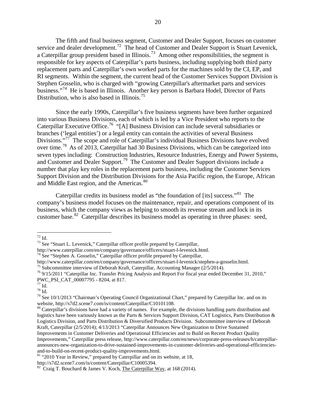The fifth and final business segment, Customer and Dealer Support, focuses on customer service and dealer development.<sup>[72](#page-23-0)</sup> The head of Customer and Dealer Support is Stuart Levenick, a Caterpillar group president based in Illinois.[73](#page-23-1) Among other responsibilities, the segment is responsible for key aspects of Caterpillar's parts business, including supplying both third party replacement parts and Caterpillar's own worked parts for the machines sold by the CI, EP, and RI segments. Within the segment, the current head of the Customer Services Support Division is Stephen Gosselin, who is charged with "growing Caterpillar's aftermarket parts and services business."<sup>74</sup> He is based in Illinois. Another key person is Barbara Hodel, Director of Parts Distribution, who is also based in Illinois.<sup>[75](#page-23-3)</sup>

Since the early 1990s, Caterpillar's five business segments have been further organized into various Business Divisions, each of which is led by a Vice President who reports to the Caterpillar Executive Office.[76](#page-23-4) "[A] Business Division can include several subsidiaries or branches ('legal entities') or a legal entity can contain the activities of several Business Divisions."<sup>[77](#page-23-5)</sup> The scope and role of Caterpillar's individual Business Divisions have evolved over time.[78](#page-23-6) As of 2013, Caterpillar had 30 Business Divisions, which can be categorized into seven types including: Construction Industries, Resource Industries, Energy and Power Systems, and Customer and Dealer Support.[79](#page-23-7) The Customer and Dealer Support divisions include a number that play key roles in the replacement parts business, including the Customer Services Support Division and the Distribution Divisions for the Asia Pacific region, the Europe, African and Middle East region, and the Americas.<sup>80</sup>

Caterpillar credits its business model as "the foundation of [its] success."<sup>81</sup> The company's business model focuses on the maintenance, repair, and operations component of its business, which the company views as helping to smooth its revenue stream and lock in its customer base.<sup>[82](#page-23-10)</sup> Caterpillar describes its business model as operating in three phases: seed,

<span id="page-23-0"></span> $72$  Id.

<span id="page-23-1"></span><sup>&</sup>lt;sup>73</sup> See "Stuart L. Levenick," Caterpillar officer profile prepared by Caterpillar, http://www.caterpillar.com/en/company/governance/officers/stuart-1-levenick.html.

<span id="page-23-2"></span><sup>&</sup>lt;sup>74</sup> See "Stephen A. Gosselin," Caterpillar officer profile prepared by Caterpillar,<br>http://www.caterpillar.com/en/company/governance/officers/stuart-l-levenick/stephen-a-gosselin.html.

<span id="page-23-4"></span><span id="page-23-3"></span><sup>&</sup>lt;sup>75</sup> Subcommittee interview of Deborah Kraft, Caterpillar, Accounting Manager  $(2/5/2014)$ .<br><sup>76</sup> 9/15/2011 "Caterpillar Inc. Transfer Pricing Analysis and Report For fiscal year ended December 31, 2010,"<br>PWC\_PSI\_CAT\_00007

<span id="page-23-7"></span><span id="page-23-6"></span><span id="page-23-5"></span> $\frac{78}{78}$  Id.<br><sup>79</sup> See 10/1/2013 "Chairman's Operating Council Organizational Chart," prepared by Caterpillar Inc. and on its website, http://s7d2.scene7.com/is/content/Caterpillar/C10101108.<br><sup>80</sup> Caterpillar's divisions have had a variety of names. For example, the divisions handling parts distribution and

<span id="page-23-8"></span>logistics have been variously known as the Parts & Services Support Division, CAT Logistics, Parts Distribution & Logistics Division, and Parts Distribution & Diversified Products Division. Subcommittee interview of Deborah Kraft, Caterpillar (2/5/2014); 4/13/2013 "Caterpillar Announces New Organization to Drive Sustained Improvements in Customer Deliveries and Operational Efficiencies and to Build on Recent Product Quality Improvements," Caterpillar press release, http://www.caterpillar.com/en/news/corporate-press-releases/h/caterpillarannounces-new-organization-to-drive-sustained-improvements-in-customer-deliveries-and-operational-efficienciesand-to-build-on-recent-product-quality-improvements.html.<br><sup>81</sup> "2010 Year in Review," prepared by Caterpillar and on its website, at 18,

<span id="page-23-9"></span>http://s7d2.scene7.com/is/content/Caterpillar/C10005394.

<span id="page-23-10"></span> $82$  Craig T. Bouchard & James V. Koch, The Caterpillar Way, at 168 (2014).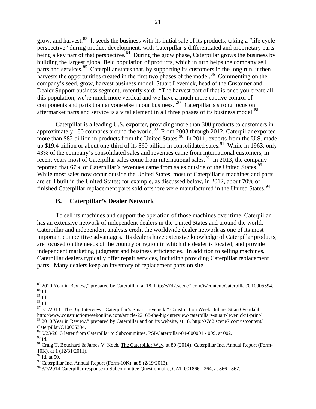grow, and harvest.<sup>[83](#page-24-0)</sup> It seeds the business with its initial sale of its products, taking a "life cycle perspective" during product development, with Caterpillar's differentiated and proprietary parts being a key part of that perspective.<sup>[84](#page-24-1)</sup> During the grow phase, Caterpillar grows the business by building the largest global field population of products, which in turn helps the company sell parts and services.<sup>85</sup> Caterpillar states that, by supporting its customers in the long run, it then harvests the opportunities created in the first two phases of the model.<sup>86</sup> Commenting on the company's seed, grow, harvest business model, Stuart Levenick, head of the Customer and Dealer Support business segment, recently said: "The harvest part of that is once you create all this population, we're much more vertical and we have a much more captive control of components and parts than anyone else in our business."[87](#page-24-4) Caterpillar's strong focus on aftermarket parts and service is a vital element in all three phases of its business model.<sup>88</sup>

Caterpillar is a leading U.S. exporter, providing more than 300 products to customers in approximately 180 countries around the world.<sup>[89](#page-24-6)</sup> From 2008 through 2012, Caterpillar exported more than \$82 billion in products from the United States.<sup>[90](#page-24-7)</sup> In 2011, exports from the U.S. made up \$19.4 billion or about one-third of its \$60 billion in consolidated sales.<sup>91</sup> While in 1963, only 43% of the company's consolidated sales and revenues came from international customers, in recent years most of Caterpillar sales come from international sales.<sup>92</sup> In 2013, the company reported that 67% of Caterpillar's revenues came from sales outside of the United States.<sup>93</sup> While most sales now occur outside the United States, most of Caterpillar's machines and parts are still built in the United States; for example, as discussed below, in 2012, about 70% of finished Caterpillar replacement parts sold offshore were manufactured in the United States.<sup>[94](#page-24-11)</sup>

#### **B. Caterpillar's Dealer Network**

To sell its machines and support the operation of those machines over time, Caterpillar has an extensive network of independent dealers in the United States and around the world. Caterpillar and independent analysts credit the worldwide dealer network as one of its most important competitive advantages. Its dealers have extensive knowledge of Caterpillar products, are focused on the needs of the country or region in which the dealer is located, and provide independent marketing judgment and business efficiencies. In addition to selling machines, Caterpillar dealers typically offer repair services, including providing Caterpillar replacement parts. Many dealers keep an inventory of replacement parts on site.

 $\overline{\phantom{a}}$ 

<span id="page-24-1"></span><span id="page-24-0"></span><sup>&</sup>lt;sup>83</sup> 2010 Year in Review," prepared by Caterpillar, at 18, http://s7d2.scene7.com/is/content/Caterpillar/C10005394.<br><sup>84</sup> Id.<br><sup>85</sup> Id.<br><sup>87</sup> 5/1/2013 "The Big Interview: Caterpillar's Stuart Levenick," Construction Week Onli

<span id="page-24-2"></span>

<span id="page-24-4"></span><span id="page-24-3"></span>http://www.constructionweekonline.com/article-22168-the-big-interview-caterpillars-stuart-levenick/1/print/. 88 2010 Year in Review," prepared by Caterpillar and on its website, at 18, http://s7d2.scene7.com/is/content/ Caterpillar/C10005394.

<span id="page-24-7"></span><span id="page-24-6"></span><span id="page-24-5"></span><sup>89</sup> 9/23/2013 letter from Caterpillar to Subcommittee, PSI-Caterpillar-04-000001 - 009, at 002.  $^{90}$  Id.

<span id="page-24-8"></span><sup>&</sup>lt;sup>91</sup> Craig T. Bouchard & James V. Koch, The Caterpillar Way, at 80 (2014); Caterpillar Inc. Annual Report (Form-10K), at 1 (12/31/2011).

<span id="page-24-9"></span><sup>92</sup> Id. at 50.

<span id="page-24-10"></span> $93$  Caterpillar Inc. Annual Report (Form-10K), at 8 (2/19/2013).

<span id="page-24-11"></span> $94$  3/7/2014 Caterpillar response to Subcommittee Questionnaire, CAT-001866 - 264, at 866 - 867.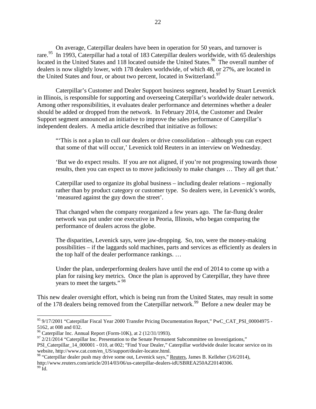On average, Caterpillar dealers have been in operation for 50 years, and turnover is rare.<sup>[95](#page-25-0)</sup> In 1993, Caterpillar had a total of 183 Caterpillar dealers worldwide, with 65 dealerships located in the United States and 118 located outside the United States.<sup>[96](#page-25-1)</sup> The overall number of dealers is now slightly lower, with 178 dealers worldwide, of which 48, or 27%, are located in the United States and four, or about two percent, located in Switzerland. [97](#page-25-2)

Caterpillar's Customer and Dealer Support business segment, headed by Stuart Levenick in Illinois, is responsible for supporting and overseeing Caterpillar's worldwide dealer network. Among other responsibilities, it evaluates dealer performance and determines whether a dealer should be added or dropped from the network. In February 2014, the Customer and Dealer Support segment announced an initiative to improve the sales performance of Caterpillar's independent dealers. A media article described that initiative as follows:

"'This is not a plan to cull our dealers or drive consolidation – although you can expect that some of that will occur,' Levenick told Reuters in an interview on Wednesday.

'But we do expect results. If you are not aligned, if you're not progressing towards those results, then you can expect us to move judiciously to make changes … They all get that.'

Caterpillar used to organize its global business – including dealer relations – regionally rather than by product category or customer type. So dealers were, in Levenick's words, 'measured against the guy down the street'.

That changed when the company reorganized a few years ago. The far-flung dealer network was put under one executive in Peoria, Illinois, who began comparing the performance of dealers across the globe.

The disparities, Levenick says, were jaw-dropping. So, too, were the money-making possibilities – if the laggards sold machines, parts and services as efficiently as dealers in the top half of the dealer performance rankings. …

Under the plan, underperforming dealers have until the end of 2014 to come up with a plan for raising key metrics. Once the plan is approved by Caterpillar, they have three years to meet the targets." [98](#page-25-3)

This new dealer oversight effort, which is being run from the United States, may result in some of the 178 dealers being removed from the Caterpillar network.<sup>99</sup> Before a new dealer may be

 $\overline{\phantom{a}}$ 

<span id="page-25-0"></span><sup>&</sup>lt;sup>95</sup> 9/17/2001 "Caterpillar Fiscal Year 2000 Transfer Pricing Documentation Report," PwC\_CAT\_PSI\_00004975 -5162, at 008 and 032.<br><sup>96</sup> Caterpillar Inc. Annual Report (Form-10K), at 2 (12/31/1993).

<span id="page-25-1"></span>

<span id="page-25-2"></span> $^{97}$  2/21/2014 "Caterpillar Inc. Presentation to the Senate Permanent Subcommittee on Investigations,"

PSI\_Caterpillar\_14\_000001 - 010, at 002; "Find Your Dealer," Caterpillar worldwide dealer locator service on its website, http://www.cat.com/en\_US/support/dealer-locator.html.

<span id="page-25-4"></span><span id="page-25-3"></span><sup>&</sup>lt;sup>98</sup> "Caterpillar dealer push may drive some out, Levenick says," Reuters, James B. Kelleher (3/6/2014), http://www.reuters.com/article/2014/03/06/us-caterpillar-dealers-idUSBREA250AZ20140306. 99 Id.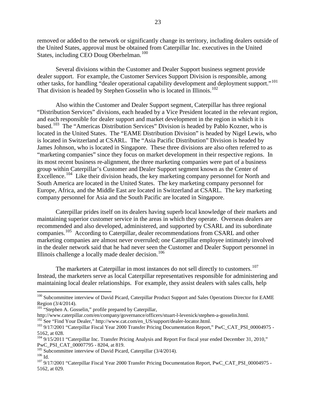removed or added to the network or significantly change its territory, including dealers outside of the United States, approval must be obtained from Caterpillar Inc. executives in the United States, including CEO Doug Oberhelman.<sup>[100](#page-26-0)</sup>

Several divisions within the Customer and Dealer Support business segment provide dealer support. For example, the Customer Services Support Division is responsible, among other tasks, for handling "dealer operational capability development and deployment support."[101](#page-26-1)  That division is headed by Stephen Gosselin who is located in Illinois.<sup>[102](#page-26-2)</sup>

Also within the Customer and Dealer Support segment, Caterpillar has three regional "Distribution Services" divisions, each headed by a Vice President located in the relevant region, and each responsible for dealer support and market development in the region in which it is based.<sup>[103](#page-26-3)</sup> The "Americas Distribution Services" Division is headed by Pablo Kozner, who is located in the United States. The "EAME Distribution Division" is headed by Nigel Lewis, who is located in Switzerland at CSARL. The "Asia Pacific Distribution" Division is headed by James Johnson, who is located in Singapore. These three divisions are also often referred to as "marketing companies" since they focus on market development in their respective regions. In its most recent business re-alignment, the three marketing companies were part of a business group within Caterpillar's Customer and Dealer Support segment known as the Center of Excellence.<sup>[104](#page-26-4)</sup> Like their division heads, the key marketing company personnel for North and South America are located in the United States. The key marketing company personnel for Europe, Africa, and the Middle East are located in Switzerland at CSARL. The key marketing company personnel for Asia and the South Pacific are located in Singapore.

Caterpillar prides itself on its dealers having superb local knowledge of their markets and maintaining superior customer service in the areas in which they operate. Overseas dealers are recommended and also developed, administered, and supported by CSARL and its subordinate companies.[105](#page-26-5) According to Caterpillar, dealer recommendations from CSARL and other marketing companies are almost never overruled; one Caterpillar employee intimately involved in the dealer network said that he had never seen the Customer and Dealer Support personnel in Illinois challenge a locally made dealer decision.<sup>[106](#page-26-6)</sup>

The marketers at Caterpillar in most instances do not sell directly to customers.<sup>[107](#page-26-7)</sup> Instead, the marketers serve as local Caterpillar representatives responsible for administering and maintaining local dealer relationships. For example, they assist dealers with sales calls, help

l

<span id="page-26-0"></span><sup>&</sup>lt;sup>100</sup> Subcommittee interview of David Picard, Caterpillar [Product Support and Sales Operations Director](https://www.linkedin.com/search?search=&title=Product+Support+and+Sales+Operations+Director&sortCriteria=R&keepFacets=true¤tTitle=CP&trk=prof-exp-title) for EAME Region (3/4/2014).

<span id="page-26-1"></span><sup>&</sup>lt;sup>101</sup> "Stephen A. Gosselin," profile prepared by Caterpillar,<br>http://www.caterpillar.com/en/company/governance/officers/stuart-l-levenick/stephen-a-gosselin.html.

<span id="page-26-3"></span><span id="page-26-2"></span><sup>&</sup>lt;sup>102</sup> See "Find Your Dealer," http://www.cat.com/en\_US/support/dealer-locator.html.<br><sup>103</sup> 9/17/2001 "Caterpillar Fiscal Year 2000 Transfer Pricing Documentation Report," PwC\_CAT\_PSI\_00004975 -5162, at 028.

<span id="page-26-4"></span><sup>&</sup>lt;sup>104</sup> 9/15/2011 "Caterpillar Inc. Transfer Pricing Analysis and Report For fiscal year ended December 31, 2010,"<br>PwC PSI CAT 00007795 - 8204, at 819.

<span id="page-26-7"></span>

<span id="page-26-6"></span><span id="page-26-5"></span><sup>&</sup>lt;sup>105</sup> Subcommittee interview of David Picard, Caterpillar (3/4/2014).<br><sup>106</sup> Id. <sup>107</sup> 9/17/2001 "Caterpillar Fiscal Year 2000 Transfer Pricing Documentation Report, PwC\_CAT\_PSI\_00004975 -5162, at 029.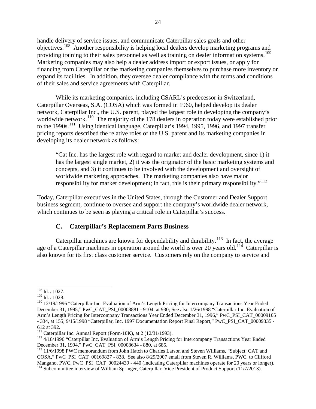handle delivery of service issues, and communicate Caterpillar sales goals and other objectives.[108](#page-27-0) Another responsibility is helping local dealers develop marketing programs and providing training to their sales personnel as well as training on dealer information systems.<sup>[109](#page-27-1)</sup> Marketing companies may also help a dealer address import or export issues, or apply for financing from Caterpillar or the marketing companies themselves to purchase more inventory or expand its facilities. In addition, they oversee dealer compliance with the terms and conditions of their sales and service agreements with Caterpillar.

While its marketing companies, including CSARL's predecessor in Switzerland, Caterpillar Overseas, S.A. (COSA) which was formed in 1960, helped develop its dealer network, Caterpillar Inc., the U.S. parent, played the largest role in developing the company's worldwide network.<sup>[110](#page-27-2)</sup> The majority of the 178 dealers in operation today were established prior to the 1990s.<sup>[111](#page-27-3)</sup> Using identical language, Caterpillar's 1994, 1995, 1996, and 1997 transfer pricing reports described the relative roles of the U.S. parent and its marketing companies in developing its dealer network as follows:

"Cat Inc. has the largest role with regard to market and dealer development, since 1) it has the largest single market, 2) it was the originator of the basic marketing systems and concepts, and 3) it continues to be involved with the development and oversight of worldwide marketing approaches. The marketing companies also have major responsibility for market development; in fact, this is their primary responsibility."<sup>[112](#page-27-4)</sup>

Today, Caterpillar executives in the United States, through the Customer and Dealer Support business segment, continue to oversee and support the company's worldwide dealer network, which continues to be seen as playing a critical role in Caterpillar's success.

#### **C. Caterpillar's Replacement Parts Business**

Caterpillar machines are known for dependability and durability.<sup>[113](#page-27-5)</sup> In fact, the average age of a Caterpillar machines in operation around the world is over 20 years old.<sup>[114](#page-27-6)</sup> Caterpillar is also known for its first class customer service. Customers rely on the company to service and

 $108$  Id. at 027.  $\overline{\phantom{a}}$ 

<span id="page-27-2"></span><span id="page-27-1"></span><span id="page-27-0"></span><sup>&</sup>lt;sup>109</sup> Id. at 028.<br><sup>110</sup> 12/19/1996 "Caterpillar Inc. Evaluation of Arm's Length Pricing for Intercompany Transactions Year Ended December 31, 1995," PwC\_CAT\_PSI\_00008881 - 9104, at 930; See also 1/26/1998 "Caterpillar Inc. Evaluation of Arm's Length Pricing for Intercompany Transactions Year Ended December 31, 1996," PwC\_PSI\_CAT\_00009105 - 334, at 155; 9/15/1998 "Caterpillar, Inc. 1997 Documentation Report Final Report," PwC\_PSI\_CAT\_00009335 -

<span id="page-27-3"></span><sup>612</sup> at 392.<br> $^{111}$  Caterpillar Inc. Annual Report (Form-10K), at 2 (12/31/1993).

<span id="page-27-4"></span><sup>&</sup>lt;sup>112</sup> 4/18/1996 "Caterpillar Inc. Evaluation of Arm's Length Pricing for Intercompany Transactions Year Ended<br>December 31, 1994," PwC\_CAT\_PSI\_00008634 - 880, at 685.

<span id="page-27-5"></span><sup>&</sup>lt;sup>113</sup> 11/6/1998 PWC memorandum from John Hatch to Charles Larson and Steven Williams, "Subject: CAT and COSA," PwC\_PSI\_CAT\_00169827 - 838. See also 8/29/2007 email from Steven R. Williams, PWC, to Clifford Mangano, PWC, PwC\_PSI\_CAT\_00024439 - 440 (indicating Caterpillar machines operate for 20 years or longer).

<span id="page-27-6"></span> $114$  Subcommittee interview of William Springer, Caterpillar, Vice President of Product Support (11/7/2013).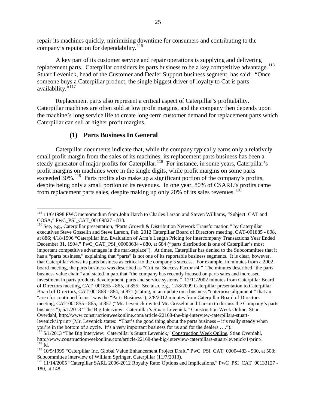repair its machines quickly, minimizing downtime for consumers and contributing to the company's reputation for dependability.<sup>[115](#page-28-0)</sup>

A key part of its customer service and repair operations is supplying and delivering replacement parts. Caterpillar considers its parts business to be a key competitive advantage.<sup>[116](#page-28-1)</sup> Stuart Levenick, head of the Customer and Dealer Support business segment, has said: "Once someone buys a Caterpillar product, the single biggest driver of loyalty to Cat is parts availability."<sup>[117](#page-28-2)</sup>

Replacement parts also represent a critical aspect of Caterpillar's profitability. Caterpillar machines are often sold at low profit margins, and the company then depends upon the machine's long service life to create long-term customer demand for replacement parts which Caterpillar can sell at higher profit margins.

#### **(1) Parts Business In General**

 $\overline{\phantom{a}}$ 

Caterpillar documents indicate that, while the company typically earns only a relatively small profit margin from the sales of its machines, its replacement parts business has been a steady generator of major profits for Caterpillar.<sup>[118](#page-28-3)</sup> For instance, in some years, Caterpillar's profit margins on machines were in the single digits, while profit margins on some parts exceeded 30%.<sup>[119](#page-28-4)</sup> Parts profits also make up a significant portion of the company's profits, despite being only a small portion of its revenues. In one year, 80% of CSARL's profits came from replacement parts sales, despite making up only  $20\%$  of its sales revenues.<sup>[120](#page-28-5)</sup>

<span id="page-28-0"></span><sup>&</sup>lt;sup>115</sup> 11/6/1998 PWC memorandum from John Hatch to Charles Larson and Steven Williams, "Subject: CAT and COSA," PwC\_PSI\_CAT\_00169827 - 838. <sup>116</sup> See, e.g., Caterpillar presentation, "Parts Growth & Distribution Network Transformation," by Caterpillar

<span id="page-28-1"></span>executives Steve Gosselin and Steve Larson, Feb. 2012 Caterpillar Board of Directors meeting, CAT-001885 - 898, at 886; 4/18/1996 "Caterpillar Inc. Evaluation of Arm's Length Pricing for Intercompany Transactions Year Ended December 31, 1994," PwC\_CAT\_PSI\_00008634 - 880, at 684 ("parts distribution is one of Caterpillar's most important competitive advantages in the marketplace"). At times, Caterpillar has denied to the Subcommittee that it has a "parts business," explaining that "parts" is not one of its reportable business segments. It is clear, however, that Caterpillar views its parts business as critical to the company's success. For example, in minutes from a 2002 board meeting, the parts business was described as "Critical Success Factor #4." The minutes described "the parts business value chain" and stated in part that "the company has recently focused on parts sales and increased investment in parts products development, parts and service systems." 12/11/2002 minutes from Caterpillar Board of Directors meeting, CAT\_001855 - 865, at 855. See also, e.g., 12/8/2009 Caterpillar presentation to Caterpillar Board of Directors, CAT-001868 - 884, at 871 (stating, in an update on a business "enterprise alignment," that an "area for continued focus" was the "Parts Business"); 2/8/2012 minutes from Caterpillar Board of Directors meeting, CAT-001855 - 865, at 857 ("Mr. Levenick invited Mr. Gosselin and Larson to discuss the Company's parts business."); 5/1/2013 "The Big Interview: Caterpillar's Stuart Levenick," Construction Week Online, Stian Overdahl, http://www.constructionweekonline.com/article-22168-the-big-interview-caterpillars-stuartlevenick/1/print/ (Mr. Levenick states: "That's the good thing about the parts business – it's really steady when you're in the bottom of a cycle. It's a very important business for us and for the dealers ….").

<span id="page-28-2"></span><sup>&</sup>lt;sup>117</sup> 5/1/2013 "The Big Interview: Caterpillar's Stuart Levenick," Construction Week Online, Stian Overdahl, http://www.constructionweekonline.com/article-22168-the-big-interview-caterpillars-stuart-levenick/1/print/. <sup>118</sup> Id.

<span id="page-28-4"></span><span id="page-28-3"></span><sup>&</sup>lt;sup>119</sup> 10/5/1999 "Caterpillar Inc. Global Value Enhancement Project Draft," PwC\_PSI\_CAT\_00004483 - 530, at 508;<br>Subcommittee interview of William Springer, Caterpillar (11/7/2013).

<span id="page-28-5"></span> $^{120}$  11/14/2005 "Caterpillar SARL 2006-2012 Royalty Rate: Options and Implications," PwC\_PSI\_CAT\_00133127 -180, at 148.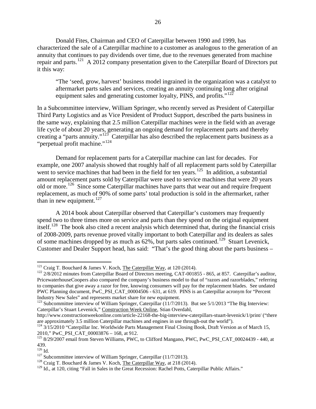Donald Fites, Chairman and CEO of Caterpillar between 1990 and 1999, has characterized the sale of a Caterpillar machine to a customer as analogous to the generation of an annuity that continues to pay dividends over time, due to the revenues generated from machine repair and parts.[121](#page-29-0) A 2012 company presentation given to the Caterpillar Board of Directors put it this way:

"The 'seed, grow, harvest' business model ingrained in the organization was a catalyst to aftermarket parts sales and services, creating an annuity continuing long after original equipment sales and generating customer loyalty, PINS, and profits."<sup>[122](#page-29-1)</sup>

In a Subcommittee interview, William Springer, who recently served as President of Caterpillar Third Party Logistics and as Vice President of Product Support, described the parts business in the same way, explaining that 2.5 million Caterpillar machines were in the field with an average life cycle of about 20 years, generating an ongoing demand for replacement parts and thereby creating a "parts annuity."<sup>123</sup> Caterpillar has also described the replacement parts business as a "perpetual profit machine."<sup>[124](#page-29-3)</sup>

Demand for replacement parts for a Caterpillar machine can last for decades. For example, one 2007 analysis showed that roughly half of all replacement parts sold by Caterpillar went to service machines that had been in the field for ten years.<sup>[125](#page-29-4)</sup> In addition, a substantial amount replacement parts sold by Caterpillar were used to service machines that were 20 years old or more.<sup>126</sup> Since some Caterpillar machines have parts that wear out and require frequent replacement, as much of 90% of some parts' total production is sold in the aftermarket, rather than in new equipment.<sup>[127](#page-29-6)</sup>

A 2014 book about Caterpillar observed that Caterpillar's customers may frequently spend two to three times more on service and parts than they spend on the original equipment itself.<sup>128</sup> The book also cited a recent analysis which determined that, during the financial crisis of 2008-2009, parts revenue proved vitally important to both Caterpillar and its dealers as sales of some machines dropped by as much as  $62\%$ , but parts sales continued.<sup>129</sup> Stuart Levenick, Customer and Dealer Support head, has said: "That's the good thing about the parts business –

<span id="page-29-0"></span><sup>&</sup>lt;sup>121</sup> Craig T. Bouchard & James V. Koch, The Caterpillar Way, at 120 (2014).

<span id="page-29-1"></span> $^{122}$  2/8/2012 minutes from Caterpillar Board of Directors meeting, CAT-001855 - 865, at 857. Caterpillar's auditor, PricewaterhouseCoopers also compared the company's business model to that of "razors and razorblades," referring to companies that give away a razor for free, knowing consumers will pay for the replacement blades. See undated PWC Planning document, PwC\_PSI\_CAT\_00004506 - 631, at 619. PINS is an Caterpillar acronym for "Percent Industry New Sales" and represents market share for new equipment.

<span id="page-29-2"></span><sup>&</sup>lt;sup>123</sup> Subcommittee interview of William Springer, Caterpillar (11/7/2013). But see 5/1/2013 "The Big Interview: Caterpillar's Stuart Levenick," Construction Week Online, Stian Overdahl,

http://www.constructionweekonline.com/article-22168-the-big-interview-caterpillars-stuart-levenick/1/print/ ("there are approximately 3.5 million Caterpillar machines and engines in use through-out the world").

<span id="page-29-3"></span><sup>&</sup>lt;sup>124</sup> 3/15/2010 "Caterpillar Inc. Worldwide Parts Management Final Closing Book, Draft Version as of March 15, 2010," PwC\_PSI\_CAT\_00003876 - 168, at 912.

<span id="page-29-4"></span><sup>&</sup>lt;sup>125</sup> 8/29/2007 email from Steven Williams, PWC, to Clifford Mangano, PWC, PwC\_PSI\_CAT\_00024439 - 440, at  $439.$ <sup>126</sup> Id.

<span id="page-29-6"></span><span id="page-29-5"></span><sup>&</sup>lt;sup>127</sup> Subcommittee interview of William Springer, Caterpillar (11/7/2013).<br><sup>128</sup> Craig T. Bouchard & James V. Koch, <u>The Caterpillar Way</u>, at 218 (2014).

<span id="page-29-8"></span><span id="page-29-7"></span><sup>&</sup>lt;sup>129</sup> Id., at 120, citing "Fall in Sales in the Great Recession: Rachel Potts, Caterpillar Public Affairs."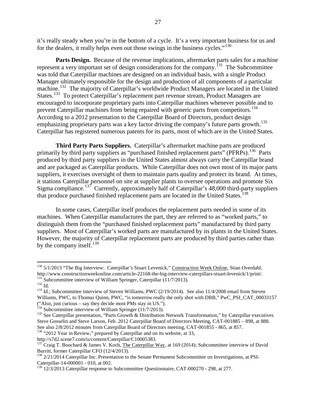it's really steady when you're in the bottom of a cycle. It's a very important business for us and for the dealers, it really helps even out those swings in the business cycles."<sup>[130](#page-30-0)</sup>

**Parts Design.** Because of the revenue implications, aftermarket parts sales for a machine represent a very important set of design considerations for the company.<sup>131</sup> The Subcommittee was told that Caterpillar machines are designed on an individual basis, with a single Product Manager ultimately responsible for the design and production of all components of a particular machine.[132](#page-30-2) The majority of Caterpillar's worldwide Product Managers are located in the United States.<sup>[133](#page-30-3)</sup> To protect Caterpillar's replacement part revenue stream, Product Managers are encouraged to incorporate proprietary parts into Caterpillar machines whenever possible and to prevent Caterpillar machines from being repaired with generic parts from competitors.<sup>134</sup> According to a 2012 presentation to the Caterpillar Board of Directors, product design emphasizing proprietary parts was a key factor driving the company's future parts growth.<sup>[135](#page-30-5)</sup> Caterpillar has registered numerous patents for its parts, most of which are in the United States.

**Third Party Parts Suppliers.** Caterpillar's aftermarket machine parts are produced primarily by third party suppliers as "purchased finished replacement parts" (PFRPs).<sup>136</sup> Parts produced by third party suppliers in the United States almost always carry the Caterpillar brand and are packaged as Caterpillar products. While Caterpillar does not own most of its major parts suppliers, it exercises oversight of them to maintain parts quality and protect its brand. At times, it stations Caterpillar personnel on site at supplier plants to oversee operations and promote Six Sigma compliance.<sup>137</sup> Currently, approximately half of Caterpillar's 48,000 third-party suppliers that produce purchased finished replacement parts are located in the United States.<sup>[138](#page-30-8)</sup>

In some cases, Caterpillar itself produces the replacement parts needed in some of its machines. When Caterpillar manufactures the part, they are referred to as "worked parts," to distinguish them from the "purchased finished replacement parts" manufactured by third party suppliers. Most of Caterpillar's worked parts are manufactured by its plants in the United States. However, the majority of Caterpillar replacement parts are produced by third parties rather than by the company itself.<sup>[139](#page-30-9)</sup>

 $\overline{\phantom{a}}$ 

<span id="page-30-0"></span><sup>&</sup>lt;sup>130</sup> 5/1/2013 "The Big Interview: Caterpillar's Stuart Levenick," Construction Week Online, Stian Overdahl, http://www.constructionweekonline.com/article-22168-the-big-interview-caterpillars-stuart-levenick/1/print/.<br>
<sup>131</sup> Subcommittee interview of William Springer, Caterpillar (11/7/2013).<br>
<sup>132</sup> Id.: Subcommittee interview of

<span id="page-30-1"></span>

<span id="page-30-3"></span><span id="page-30-2"></span>Williams, PWC, to Thomas Quinn, PWC, "is tomorrow really the only shot with DBB," PwC\_PSI\_CAT\_00033157 ("Also, just curious – say they decide most PMs stay in US.").<br><sup>134</sup> Subcommittee interview of William Springer (11/7/2

<span id="page-30-5"></span><span id="page-30-4"></span><sup>&</sup>lt;sup>135</sup> See Caterpillar presentation, "Parts Growth & Distribution Network Transformation," by Caterpillar executives Steve Gosselin and Steve Larson, Feb. 2012 Caterpillar Board of Directors Meeting, CAT-001885 – 898, at 888.<br>See also 2/8/2012 minutes from Caterpillar Board of Directors meeting, CAT-001855 - 865, at 857.

<span id="page-30-6"></span> $136$  "2012 Year in Review," prepared by Caterpillar and on its website, at 33, http://s7d2.scene7.com/is/content/Caterpillar/C10005383.

<span id="page-30-7"></span><sup>&</sup>lt;sup>137</sup> Craig T. Bouchard & James V. Koch, The Caterpillar Way, at 169 (2014); Subcommittee interview of David Burritt, former Caterpillar CFO (12/4/2013).

<span id="page-30-8"></span><sup>&</sup>lt;sup>138</sup> 2/21/2014 Caterpillar Inc. Presentation to the Senate Permanent Subcommittee on Investigations, at PSI-Caterpillar-14-000001 - 010, at 002.

<span id="page-30-9"></span><sup>&</sup>lt;sup>139</sup> 12/3/2013 Caterpillar response to Subcommittee Questionnaire, CAT-000270 - 298, at 277.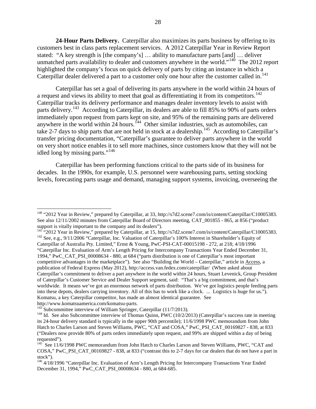24-Hour Parts Delivery. Caterpillar also maximizes its parts business by offering to its customers best in class parts replacement services. A 2012 Caterpillar Year in Review Report stated: "A key strength is [the company's] … ability to manufacture parts [and] … deliver unmatched parts availability to dealer and customers anywhere in the world."<sup>[140](#page-31-0)</sup> The 2012 report highlighted the company's focus on quick delivery of parts by citing an instance in which a Caterpillar dealer delivered a part to a customer only one hour after the customer called in.<sup>[141](#page-31-1)</sup>

Caterpillar has set a goal of delivering its parts anywhere in the world within 24 hours of a request and views its ability to meet that goal as differentiating it from its competitors.<sup>142</sup> Caterpillar tracks its delivery performance and manages dealer inventory levels to assist with parts delivery.<sup>[143](#page-31-3)</sup> According to Caterpillar, its dealers are able to fill 85% to 90% of parts orders immediately upon request from parts kept on site, and 95% of the remaining parts are delivered anywhere in the world within  $24$  hours.<sup>144</sup> Other similar industries, such as automobiles, can take 2-7 days to ship parts that are not held in stock at a dealership.<sup>[145](#page-31-5)</sup> According to Caterpillar's transfer pricing documentation, "Caterpillar's guarantee to deliver parts anywhere in the world on very short notice enables it to sell more machines, since customers know that they will not be idled long by missing parts."<sup>[146](#page-31-6)</sup>

Caterpillar has been performing functions critical to the parts side of its business for decades. In the 1990s, for example, U.S. personnel were warehousing parts, setting stocking levels, forecasting parts usage and demand, managing support systems, invoicing, overseeing the

 $\overline{\phantom{a}}$ 

<span id="page-31-0"></span><sup>&</sup>lt;sup>140</sup> "2012 Year in Review," prepared by Caterpillar, at 33, http://s7d2.scene7.com/is/content/Caterpillar/C10005383. See also 12/11/2002 minutes from Caterpillar Board of Directors meeting, CAT 001855 - 865, at 856 ("product") support is vitally important to the company and its dealers").

<span id="page-31-1"></span><sup>&</sup>lt;sup>141</sup> "2012 Year in Review," prepared by Caterpillar, at 15, http://s7d2.scene7.com/is/content/Caterpillar/C10005383.<br><sup>142</sup> See, e.g., 9/11/2006 "Caterpillar, Inc. Valuation of Caterpillar's 100% Interest in Shareholder's

<span id="page-31-2"></span>Caterpillar of Australia Pty. Limited," Ernst & Young, PwC-PSI-CAT-00015198 - 272, at 218; 4/18/1996 "Caterpillar Inc. Evaluation of Arm's Length Pricing for Intercompany Transactions Year Ended December 31, 1994," PwC\_CAT\_PSI\_00008634 - 880, at 684 ("parts distribution is one of Caterpillar's most important competitive advantages in the marketplace"). See also "Building the World – Caterpillar," article in Access, a publication of Federal Express (May 2012), http://access.van.fedex.com/caterpillar/ (When asked about Caterpillar's commitment to deliver a part anywhere in the world within 24 hours, Stuart Levenick, Group President of Caterpillar's Customer Service and Dealer Support segment, said: "That's a big commitment, and that's worldwide. It means we've got an enormous network of parts distribution. We've got logistics people feeding parts into these depots, dealers carrying inventory. All of this has to work like a clock. ... Logistics is huge for us."). Komatsu, a key Caterpillar competitor, has made an almost identical guarantee. See

<span id="page-31-4"></span>

<span id="page-31-3"></span>http://www.komatsuamerica.com/komatsu-parts.<br><sup>143</sup> Subcommittee interview of William Springer, Caterpillar (11/7/2013).<br><sup>144</sup> Id. See also Subcommittee interview of Thomas Quinn, PWC (10/2/2013) (Caterpillar's success rate its 24-hour delivery standard is typically in the upper 90th percentile); 11/6/1998 PWC memorandum from John Hatch to Charles Larson and Steven Williams, PWC, "CAT and COSA," PwC\_PSI\_CAT\_00169827 - 838, at 833 ("Dealers now provide 80% of parts orders immediately upon request, and 99% are shipped within a day of being requested").

<span id="page-31-5"></span><sup>&</sup>lt;sup>145</sup> See 11/6/1998 PWC memorandum from John Hatch to Charles Larson and Steven Williams, PWC, "CAT and COSA," PwC\_PSI\_CAT\_00169827 - 838, at 833 ("contrast this to 2-7 days for car dealers that do not have a part in stock").

<span id="page-31-6"></span><sup>&</sup>lt;sup>146</sup> 4/18/1996 "Caterpillar Inc. Evaluation of Arm's Length Pricing for Intercompany Transactions Year Ended December 31, 1994," PwC\_CAT\_PSI\_00008634 - 880, at 684-685.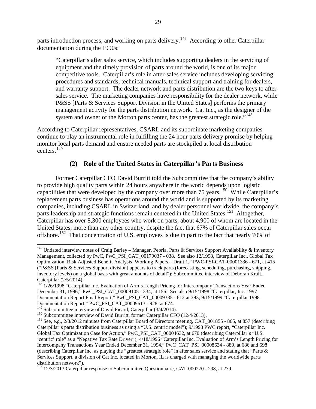parts introduction process, and working on parts delivery.<sup>147</sup> According to other Caterpillar documentation during the 1990s:

"Caterpillar's after sales service, which includes supporting dealers in the servicing of equipment and the timely provision of parts around the world, is one of its major competitive tools. Caterpillar's role in after-sales service includes developing servicing procedures and standards, technical manuals, technical support and training for dealers, and warranty support. The dealer network and parts distribution are the two keys to aftersales service. The marketing companies have responsibility for the dealer network, while P&SS [Parts & Services Support Division in the United States] performs the primary management activity for the parts distribution network. Cat Inc., as the designer of the system and owner of the Morton parts center, has the greatest strategic role."<sup>[148](#page-32-1)</sup>

According to Caterpillar representatives, CSARL and its subordinate marketing companies continue to play an instrumental role in fulfilling the 24 hour parts delivery promise by helping monitor local parts demand and ensure needed parts are stockpiled at local distribution centers.[149](#page-32-2) 

#### **(2) Role of the United States in Caterpillar's Parts Business**

Former Caterpillar CFO David Burritt told the Subcommittee that the company's ability to provide high quality parts within 24 hours anywhere in the world depends upon logistic capabilities that were developed by the company over more than 75 years.<sup>150</sup> While Caterpillar's replacement parts business has operations around the world and is supported by its marketing companies, including CSARL in Switzerland, and by dealer personnel worldwide, the company's parts leadership and strategic functions remain centered in the United States.<sup>[151](#page-32-4)</sup> Altogether, Caterpillar has over 8,300 employees who work on parts, about 4,900 of whom are located in the United States, more than any other country, despite the fact that 67% of Caterpillar sales occur offshore.<sup>152</sup> That concentration of U.S. employees is due in part to the fact that nearly 70% of

<span id="page-32-0"></span><sup>&</sup>lt;sup>147</sup> Undated interview notes of Craig Barley – Manager, Peoria, Parts & Services Support Availability & Inventory Management, collected by PwC, PwC\_PSI\_CAT\_00179037 - 038. See also 12/1998, Caterpillar Inc., Global Tax Optimization, Risk Adjusted Benefit Analysis, Working Papers – Draft 1," PWC-PSI-CAT-00001336 - 671, at 415 ("P&SS [Parts & Services Support division] appears to track parts (forecasting, scheduling, purchasing, shipping, inventory levels) on a global basis with great amounts of detail"); Subcommittee interview of Deborah Kraft, Caterpillar (2/5/2014).  $\overline{\phantom{a}}$ 

<span id="page-32-1"></span><sup>&</sup>lt;sup>148</sup> 1/26/1998 "Caterpillar Inc. Evaluation of Arm's Length Pricing for Intercompany Transactions Year Ended December 31, 1996," PwC\_PSI\_CAT\_00009105 - 334, at 156. See also 9/15/1998 "Caterpillar, Inc. 1997 Documentation Report Final Report," PwC\_PSI\_CAT\_00009335 - 612 at 393; 9/15/1999 "Caterpillar 1998

Documentation Report," PwC\_PSI\_CAT\_00009613 - 928, at 674.<br><sup>149</sup> Subcommittee interview of David Picard, Caterpillar (3/4/2014).

<span id="page-32-4"></span><span id="page-32-3"></span><span id="page-32-2"></span><sup>&</sup>lt;sup>150</sup> Subcommittee interview of David Burritt, former Caterpillar CFO (12/4/2013).<br><sup>151</sup> See, e.g., 2/8/2012 minutes from Caterpillar Board of Directors meeting, CAT\_001855 - 865, at 857 (describing Caterpillar's parts distribution business as using a "U.S. centric model"); 9/1998 PWC report, "Caterpillar Inc. Global Tax Optimization Case for Action," PwC\_PSI\_CAT\_00004632, at 670 (describing Caterpillar's "U.S. 'centric' role" as a "Negative Tax Rate Driver"); 4/18/1996 "Caterpillar Inc. Evaluation of Arm's Length Pricing for Intercompany Transactions Year Ended December 31, 1994," PwC\_CAT\_PSI\_00008634 - 880, at 686 and 698 (describing Caterpillar Inc. as playing the "greatest strategic role" in after sales service and stating that "Parts & Services Support, a division of Cat Inc. located in Morton, IL is charged with managing the worldwide parts distribution network").

<span id="page-32-5"></span><sup>&</sup>lt;sup>152</sup> 12/3/2013 Caterpillar response to Subcommittee Questionnaire, CAT-000270 - 298, at 279.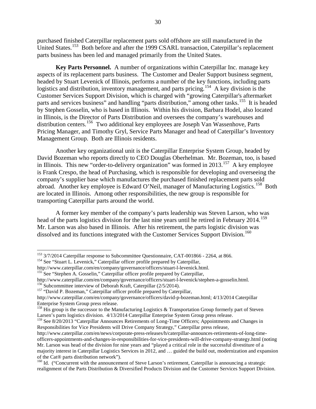purchased finished Caterpillar replacement parts sold offshore are still manufactured in the United States.<sup>[153](#page-33-0)</sup> Both before and after the 1999 CSARL transaction, Caterpillar's replacement parts business has been led and managed primarily from the United States.

**Key Parts Personnel.** A number of organizations within Caterpillar Inc. manage key aspects of its replacement parts business. The Customer and Dealer Support business segment, headed by Stuart Levenick of Illinois, performs a number of the key functions, including parts logistics and distribution, inventory management, and parts pricing.<sup>[154](#page-33-1)</sup> A key division is the Customer Services Support Division, which is charged with "growing Caterpillar's aftermarket parts and services business" and handling "parts distribution," among other tasks.<sup>155</sup> It is headed by Stephen Gosselin, who is based in Illinois. Within his division, Barbara Hodel, also located in Illinois, is the Director of Parts Distribution and oversees the company's warehouses and distribution centers.<sup>[156](#page-33-3)</sup> Two additional key employees are Joseph Van Wassenhove, Parts Pricing Manager, and Timothy Gryl, Service Parts Manager and head of Caterpillar's Inventory Management Group. Both are Illinois residents.

Another key organizational unit is the Caterpillar Enterprise System Group, headed by David Bozeman who reports directly to CEO Douglas Oberhelman. Mr. Bozeman, too, is based in Illinois. This new "order-to-delivery organization" was formed in 2013.<sup>157</sup> A key employee is Frank Crespo, the head of Purchasing, which is responsible for developing and overseeing the company's supplier base which manufactures the purchased finished replacement parts sold abroad. Another key employee is Edward O'Neil, manager of Manufacturing Logistics.<sup>158</sup> Both are located in Illinois. Among other responsibilities, the new group is responsible for transporting Caterpillar parts around the world.

A former key member of the company's parts leadership was Steven Larson, who was head of the parts logistics division for the last nine years until he retired in February 2014.<sup>159</sup> Mr. Larson was also based in Illinois. After his retirement, the parts logistic division was dissolved and its functions integrated with the Customer Services Support Division.<sup>[160](#page-33-7)</sup>

<span id="page-33-0"></span><sup>&</sup>lt;sup>153</sup> 3/7/2014 Caterpillar response to Subcommittee Questionnaire, CAT-001866 - 2264, at 866.

<span id="page-33-1"></span><sup>&</sup>lt;sup>154</sup> See "Stuart L. Levenick," Caterpillar officer profile prepared by Caterpillar, http://www.caterpillar.com/en/company/governance/officers/stuart-l-levenick.html.

<span id="page-33-2"></span><sup>&</sup>lt;sup>155</sup> See "Stephen A. Gosselin," Caterpillar officer profile prepared by Caterpillar,<br>http://www.caterpillar.com/en/company/governance/officers/stuart-l-levenick/stephen-a-gosselin.html.

<span id="page-33-4"></span>

<span id="page-33-3"></span><sup>&</sup>lt;sup>156</sup> Subcommittee interview of Deborah Kraft, Caterpillar ( $2/5/2014$ ).<br><sup>157</sup> "David P. Bozeman," Caterpillar officer profile prepared by Caterpillar,

[http://www.caterpillar.com/en/company/governance/officers/david-p-bozeman.html;](http://www.caterpillar.com/en/company/governance/officers/david-p-bozeman.html) 4/13/2014 Caterpillar Enterprise System Group press release.<br><sup>158</sup> His group is the successor to the Manufacturing Logistics & Transportation Group formerly part of Steven

<span id="page-33-5"></span>Larsen's parts logistics division. 4/13/2014 Caterpillar Enterprise System Group press release.

<span id="page-33-6"></span><sup>&</sup>lt;sup>159</sup> See 8/20/2013 "Caterpillar Announces Retirements of Long-Time Officers; Appointments and Changes in Responsibilities for Vice Presidents will Drive Company Strategy," Caterpillar press release,

http://www.caterpillar.com/en/news/corporate-press-releases/h/caterpillar-announces-retirements-of-long-timeofficers-appointments-and-changes-in-responsibilities-for-vice-presidents-will-drive-company-strategy.html (noting Mr. Larson was head of the division for nine years and "played a critical role in the successful divestiture of a majority interest in Caterpillar Logistics Services in 2012, and … guided the build out, modernization and expansion of the Cat® parts distribution network").

<span id="page-33-7"></span><sup>&</sup>lt;sup>160</sup> Id. ("Concurrent with the announcement of Steve Larson's retirement, Caterpillar is announcing a strategic realignment of the Parts Distribution & Diversified Products Division and the Customer Services Support Division.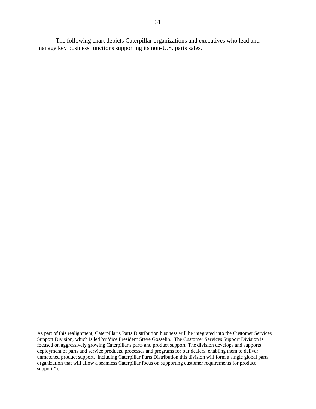The following chart depicts Caterpillar organizations and executives who lead and manage key business functions supporting its non-U.S. parts sales.

l

As part of this realignment, Caterpillar's Parts Distribution business will be integrated into the Customer Services Support Division, which is led by Vice President Steve Gosselin. The Customer Services Support Division is focused on aggressively growing Caterpillar's parts and product support. The division develops and supports deployment of parts and service products, processes and programs for our dealers, enabling them to deliver unmatched product support. Including Caterpillar Parts Distribution this division will form a single global parts organization that will allow a seamless Caterpillar focus on supporting customer requirements for product support.").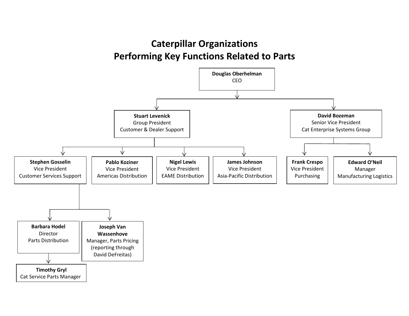# **Caterpillar Organizations Performing Key Functions Related to Parts**

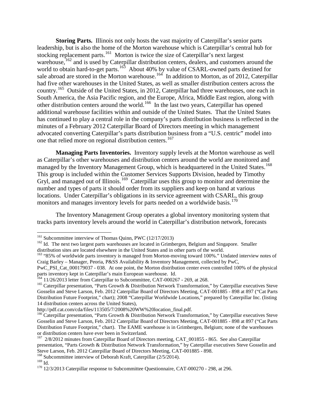**Storing Parts.** Illinois not only hosts the vast majority of Caterpillar's senior parts leadership, but is also the home of the Morton warehouse which is Caterpillar's central hub for stocking replacement parts.<sup>[161](#page-36-0)</sup> Morton is twice the size of Caterpillar's next largest warehouse,<sup>[162](#page-36-1)</sup> and is used by Caterpillar distribution centers, dealers, and customers around the world to obtain hard-to-get parts.<sup>163</sup> About 40% by value of CSARL-owned parts destined for sale abroad are stored in the Morton warehouse.<sup>[164](#page-36-3)</sup> In addition to Morton, as of 2012, Caterpillar had five other warehouses in the United States, as well as smaller distribution centers across the country.<sup>[165](#page-36-4)</sup> Outside of the United States, in 2012, Caterpillar had three warehouses, one each in South America, the Asia Pacific region, and the Europe, Africa, Middle East region, along with other distribution centers around the world.<sup>166</sup> In the last two years, Caterpillar has opened additional warehouse facilities within and outside of the United States. That the United States has continued to play a central role in the company's parts distribution business is reflected in the minutes of a February 2012 Caterpillar Board of Directors meeting in which management advocated converting Caterpillar's parts distribution business from a "U.S. centric" model into one that relied more on regional distribution centers.<sup>167</sup>

**Managing Parts Inventories.** Inventory supply levels at the Morton warehouse as well as Caterpillar's other warehouses and distribution centers around the world are monitored and managed by the Inventory Management Group, which is headquartered in the United States.<sup>[168](#page-36-7)</sup> This group is included within the Customer Services Supports Division, headed by Timothy Gryl, and managed out of Illinois.<sup>169</sup> Caterpillar uses this group to monitor and determine the number and types of parts it should order from its suppliers and keep on hand at various locations. Under Caterpillar's obligations in its service agreement with CSARL, this group monitors and manages inventory levels for parts needed on a worldwide basis.<sup>170</sup>

The Inventory Management Group operates a global inventory monitoring system that tracks parts inventory levels around the world in Caterpillar's distribution network, forecasts

<span id="page-36-0"></span> $161$  Subcommittee interview of Thomas Quinn, PWC (12/17/2013)

<span id="page-36-1"></span> $162$  Id. The next two largest parts warehouses are located in Grimbergen, Belgium and Singapore. Smaller distribution sites are located elsewhere in the United States and in other parts of the world.

<span id="page-36-2"></span><sup>&</sup>lt;sup>163</sup> "85% of worldwide parts inventory is managed from Morton-moving toward 100%." Undated interview notes of Craig Barley – Manager, Peoria, P&SS Availability & Inventory Management, collected by PwC,

PwC\_PSI\_Cat\_000179037 - 038. At one point, the Morton distribution center even controlled 100% of the physical parts inventory kept in Caterpillar's main European warehouse. Id.<br><sup>164</sup> 11/26/2013 letter from Caterpillar to Subcommittee, CAT-000267 - 269, at 268.

<span id="page-36-4"></span><span id="page-36-3"></span><sup>&</sup>lt;sup>165</sup> Caterpillar presentation, "Parts Growth & Distribution Network Transformation," by Caterpillar executives Steve Gosselin and Steve Larson, Feb. 2012 Caterpillar Board of Directors Meeting, CAT-001885 - 898 at 897 ("Cat Parts Distribution Future Footprint," chart); 2008 "Caterpillar Worldwide Locations," prepared by Caterpillar Inc. (listing 14 distribution centers across the United States),<br>http://pdf.cat.com/cda/files/113505/7/2008%20WW%20location final.pdf.

<span id="page-36-5"></span> $^{166}$  Caterpillar presentation, "Parts Growth & Distribution Network Transformation," by Caterpillar executives Steve Gosselin and Steve Larson, Feb. 2012 Caterpillar Board of Directors Meeting, CAT-001885 - 898 at 897 ("Cat Parts Distribution Future Footprint," chart). The EAME warehouse is in Grimbergen, Belgium; none of the warehouses or distribution centers have ever been in Switzerland.

<span id="page-36-6"></span> $167$  2/8/2012 minutes from Caterpillar Board of Directors meeting, CAT 001855 - 865. See also Caterpillar presentation, "Parts Growth & Distribution Network Transformation," by Caterpillar executives Steve Gosselin and

<span id="page-36-7"></span>Steve Larson, Feb. 2012 Caterpillar Board of Directors Meeting, CAT-001885 - 898.<br><sup>168</sup> Subcommittee interview of Deborah Kraft, Caterpillar (2/5/2014).<br><sup>169</sup> Id

<span id="page-36-8"></span>

<span id="page-36-9"></span> $170$  12/3/2013 Caterpillar response to Subcommittee Questionnaire, CAT-000270 - 298, at 296.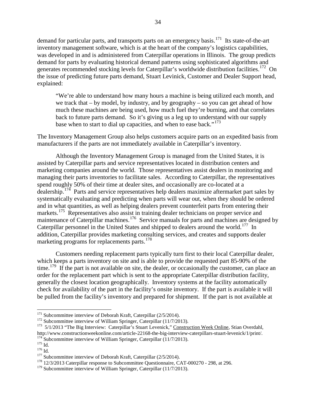demand for particular parts, and transports parts on an emergency basis.<sup>171</sup> Its state-of-the-art inventory management software, which is at the heart of the company's logistics capabilities, was developed in and is administered from Caterpillar operations in Illinois. The group predicts demand for parts by evaluating historical demand patterns using sophisticated algorithms and generates recommended stocking levels for Caterpillar's worldwide distribution facilities.<sup>172</sup> On the issue of predicting future parts demand, Stuart Levinick, Customer and Dealer Support head, explained:

"We're able to understand how many hours a machine is being utilized each month, and we track that – by model, by industry, and by geography – so you can get ahead of how much these machines are being used, how much fuel they're burning, and that correlates back to future parts demand. So it's giving us a leg up to understand with our supply base when to start to dial up capacities, and when to ease back."<sup>[173](#page-37-2)</sup>

The Inventory Management Group also helps customers acquire parts on an expedited basis from manufacturers if the parts are not immediately available in Caterpillar's inventory.

Although the Inventory Management Group is managed from the United States, it is assisted by Caterpillar parts and service representatives located in distribution centers and marketing companies around the world. Those representatives assist dealers in monitoring and managing their parts inventories to facilitate sales. According to Caterpillar, the representatives spend roughly 50% of their time at dealer sites, and occasionally are co-located at a dealership.<sup>[174](#page-37-3)</sup> Parts and service representatives help dealers maximize aftermarket part sales by systematically evaluating and predicting when parts will wear out, when they should be ordered and in what quantities, as well as helping dealers prevent counterfeit parts from entering their markets.<sup>175</sup> Representatives also assist in training dealer technicians on proper service and maintenance of Caterpillar machines.<sup>[176](#page-37-5)</sup> Service manuals for parts and machines are designed by Caterpillar personnel in the United States and shipped to dealers around the world.<sup>[177](#page-37-6)</sup> In addition, Caterpillar provides marketing consulting services, and creates and supports dealer marketing programs for replacements parts.<sup>[178](#page-37-7)</sup>

Customers needing replacement parts typically turn first to their local Caterpillar dealer, which keeps a parts inventory on site and is able to provide the requested part 85-90% of the time.<sup>[179](#page-37-8)</sup> If the part is not available on site, the dealer, or occasionally the customer, can place an order for the replacement part which is sent to the appropriate Caterpillar distribution facility, generally the closest location geographically. Inventory systems at the facility automatically check for availability of the part in the facility's onsite inventory. If the part is available it will be pulled from the facility's inventory and prepared for shipment. If the part is not available at

<span id="page-37-2"></span>

<span id="page-37-1"></span><span id="page-37-0"></span><sup>&</sup>lt;sup>171</sup> Subcommittee interview of Deborah Kraft, Caterpillar (2/5/2014).<br><sup>172</sup> Subcommittee interview of William Springer, Caterpillar (11/7/2013).<br><sup>173</sup> 5/1/2013 "The Big Interview: Caterpillar's Stuart Levenick," <u>Constru</u>

<span id="page-37-4"></span><span id="page-37-3"></span><sup>&</sup>lt;sup>174</sup> Subcommittee interview of William Springer, Caterpillar (11/7/2013).<br><sup>175</sup> Id.<br><sup>176</sup> Id.<br><sup>176</sup> Id.<br><sup>176</sup> Subcommittee interview of Deborah Kraft, Caterpillar (2/5/2014).<br><sup>178</sup> 12/3/2013 Caterpillar response to Subco

<span id="page-37-5"></span>

<span id="page-37-6"></span>

<span id="page-37-8"></span><span id="page-37-7"></span><sup>&</sup>lt;sup>179</sup> Subcommittee interview of William Springer, Caterpillar (11/7/2013).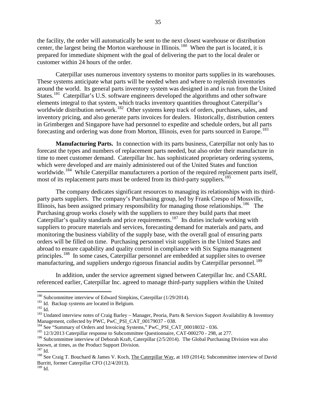the facility, the order will automatically be sent to the next closest warehouse or distribution center, the largest being the Morton warehouse in Illinois.<sup>180</sup> When the part is located, it is prepared for immediate shipment with the goal of delivering the part to the local dealer or customer within 24 hours of the order.

Caterpillar uses numerous inventory systems to monitor parts supplies in its warehouses. These systems anticipate what parts will be needed when and where to replenish inventories around the world. Its general parts inventory system was designed in and is run from the United States.<sup>[181](#page-38-1)</sup> Caterpillar's U.S. software engineers developed the algorithms and other software elements integral to that system, which tracks inventory quantities throughout Caterpillar's worldwide distribution network.<sup>182</sup> Other systems keep track of orders, purchases, sales, and inventory pricing, and also generate parts invoices for dealers. Historically, distribution centers in Grimbergen and Singapore have had personnel to expedite and schedule orders, but all parts forecasting and ordering was done from Morton, Illinois, even for parts sourced in Europe.<sup>183</sup>

**Manufacturing Parts.** In connection with its parts business, Caterpillar not only has to forecast the types and numbers of replacement parts needed, but also order their manufacture in time to meet customer demand. Caterpillar Inc. has sophisticated proprietary ordering systems, which were developed and are mainly administered out of the United States and function worldwide.<sup>[184](#page-38-4)</sup> While Caterpillar manufacturers a portion of the required replacement parts itself, most of its replacement parts must be ordered from its third-party suppliers.<sup>185</sup>

The company dedicates significant resources to managing its relationships with its thirdparty parts suppliers. The company's Purchasing group, led by Frank Crespo of Mossville, Illinois, has been assigned primary responsibility for managing those relationships.[186](#page-38-6) The Purchasing group works closely with the suppliers to ensure they build parts that meet Caterpillar's quality standards and price requirements.<sup>[187](#page-38-7)</sup> Its duties include working with suppliers to procure materials and services, forecasting demand for materials and parts, and monitoring the business viability of the supply base, with the overall goal of ensuring parts orders will be filled on time. Purchasing personnel visit suppliers in the United States and abroad to ensure capability and quality control in compliance with Six Sigma management principles.<sup>[188](#page-38-8)</sup> In some cases, Caterpillar personnel are embedded at supplier sites to oversee manufacturing, and suppliers undergo rigorous financial audits by Caterpillar personnel.<sup>[189](#page-38-9)</sup>

In addition, under the service agreement signed between Caterpillar Inc. and CSARL referenced earlier, Caterpillar Inc. agreed to manage third-party suppliers within the United

<span id="page-38-3"></span><span id="page-38-2"></span>

<span id="page-38-1"></span><span id="page-38-0"></span><sup>&</sup>lt;sup>180</sup> Subcommittee interview of Edward Simpkins, Caterpillar (1/29/2014).<br><sup>181</sup> Id. Backup systems are located in Belgium.<br><sup>182</sup> Id.<br><sup>182</sup> Id.<br><sup>182</sup> Undated interview notes of Craig Barley – Manager, Peoria, Parts & Servi

<span id="page-38-6"></span><span id="page-38-5"></span>

<span id="page-38-4"></span><sup>&</sup>lt;sup>184</sup> See "Summary of Orders and Invoicing Systems," PwC\_PSI\_CAT\_00018032 - 036.<br><sup>185</sup> 12/3/2013 Caterpillar response to Subcommittee Questionnaire, CAT-000270 - 298, at 277.<br><sup>186</sup> Subcommittee interview of Deborah Kraft, known, at times, as the Product Support Division.

<span id="page-38-9"></span><span id="page-38-8"></span><span id="page-38-7"></span><sup>&</sup>lt;sup>188</sup> See Craig T. Bouchard & James V. Koch, The Caterpillar Way, at 169 (2014); Subcommittee interview of David Burritt, former Caterpillar CFO (12/4/2013).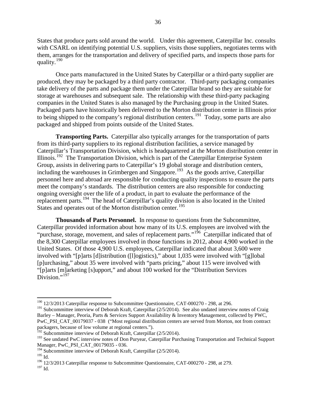States that produce parts sold around the world. Under this agreement, Caterpillar Inc. consults with CSARL on identifying potential U.S. suppliers, visits those suppliers, negotiates terms with them, arranges for the transportation and delivery of specified parts, and inspects those parts for quality. $190$ 

Once parts manufactured in the United States by Caterpillar or a third-party supplier are produced, they may be packaged by a third party contractor. Third-party packaging companies take delivery of the parts and package them under the Caterpillar brand so they are suitable for storage at warehouses and subsequent sale. The relationship with these third-party packaging companies in the United States is also managed by the Purchasing group in the United States. Packaged parts have historically been delivered to the Morton distribution center in Illinois prior to being shipped to the company's regional distribution centers.<sup>[191](#page-39-1)</sup> Today, some parts are also packaged and shipped from points outside of the United States.

**Transporting Parts.** Caterpillar also typically arranges for the transportation of parts from its third-party suppliers to its regional distribution facilities, a service managed by Caterpillar's Transportation Division, which is headquartered at the Morton distribution center in Illinois.[192](#page-39-2) The Transportation Division, which is part of the Caterpillar Enterprise System Group, assists in delivering parts to Caterpillar's 19 global storage and distribution centers, including the warehouses in Grimbergen and Singapore.<sup>193</sup> As the goods arrive, Caterpillar personnel here and abroad are responsible for conducting quality inspections to ensure the parts meet the company's standards. The distribution centers are also responsible for conducting ongoing oversight over the life of a product, in part to evaluate the performance of the replacement parts.[194](#page-39-4) The head of Caterpillar's quality division is also located in the United States and operates out of the Morton distribution center.<sup>[195](#page-39-5)</sup>

**Thousands of Parts Personnel.** In response to questions from the Subcommittee, Caterpillar provided information about how many of its U.S. employees are involved with the "purchase, storage, movement, and sales of replacement parts."<sup>196</sup> Caterpillar indicated that of the 8,300 Caterpillar employees involved in those functions in 2012, about 4,900 worked in the United States. Of those 4,900 U.S. employees, Caterpillar indicated that about 3,600 were involved with "[p]arts [d]istribution ([l]ogistics)," about 1,035 were involved with "[g]lobal [p]urchasing," about 35 were involved with "parts pricing," about 115 were involved with "[p]arts [m]arketing [s]upport," and about 100 worked for the "Distribution Services Division." $197$ 

<sup>&</sup>lt;sup>190</sup> 12/3/2013 Caterpillar response to Subcommittee Questionnaire, CAT-000270 - 298, at 296.

<span id="page-39-1"></span><span id="page-39-0"></span><sup>&</sup>lt;sup>191</sup> Subcommittee interview of Deborah Kraft, Caterpillar (2/5/2014). See also undated interview notes of Craig Barley – Manager, Peoria, Parts & Services Support Availability & Inventory Management, collected by PWC, PwC\_PSI\_CAT\_00179037 - 038 ("Most regional distribution centers are served from Morton, not from contract packagers, because of low volume at regional centers.").<br><sup>192</sup> Subcommittee interview of Deborah Kraft, Caterpillar (2/5/2014).

<span id="page-39-3"></span><span id="page-39-2"></span><sup>&</sup>lt;sup>193</sup> See undated PwC interview notes of Don Puryear, Caterpillar Purchasing Transportation and Technical Support Manager, PwC\_PSI\_CAT\_00179035 - 036.

 $194$  Subcommittee interview of Deborah Kraft, Caterpillar (2/5/2014).

<span id="page-39-5"></span><span id="page-39-4"></span><sup>195</sup> Id.

<sup>&</sup>lt;sup>196</sup> 12/3/2013 Caterpillar response to Subcommittee Questionnaire, CAT-000270 - 298, at 279.

<span id="page-39-7"></span><span id="page-39-6"></span><sup>197</sup> Id.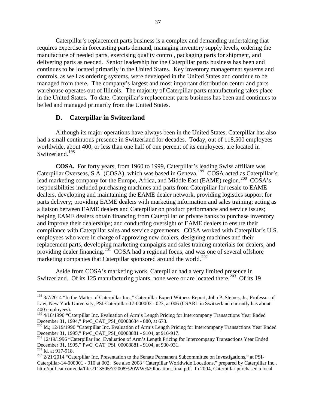Caterpillar's replacement parts business is a complex and demanding undertaking that requires expertise in forecasting parts demand, managing inventory supply levels, ordering the manufacture of needed parts, exercising quality control, packaging parts for shipment, and delivering parts as needed. Senior leadership for the Caterpillar parts business has been and continues to be located primarily in the United States. Key inventory management systems and controls, as well as ordering systems, were developed in the United States and continue to be managed from there. The company's largest and most important distribution center and parts warehouse operates out of Illinois. The majority of Caterpillar parts manufacturing takes place in the United States. To date, Caterpillar's replacement parts business has been and continues to be led and managed primarily from the United States.

### **D. Caterpillar in Switzerland**

Although its major operations have always been in the United States, Caterpillar has also had a small continuous presence in Switzerland for decades. Today, out of 118,500 employees worldwide, about 400, or less than one half of one percent of its employees, are located in Switzerland.<sup>[198](#page-40-0)</sup>

**COSA.** For forty years, from 1960 to 1999, Caterpillar's leading Swiss affiliate was Caterpillar Overseas, S.A. (COSA), which was based in Geneva.<sup>199</sup> COSA acted as Caterpillar's lead marketing company for the Europe, Africa, and Middle East (EAME) region.<sup>200</sup> COSA's responsibilities included purchasing machines and parts from Caterpillar for resale to EAME dealers, developing and maintaining the EAME dealer network, providing logistics support for parts delivery; providing EAME dealers with marketing information and sales training; acting as a liaison between EAME dealers and Caterpillar on product performance and service issues; helping EAME dealers obtain financing from Caterpillar or private banks to purchase inventory and improve their dealerships; and conducting oversight of EAME dealers to ensure their compliance with Caterpillar sales and service agreements. COSA worked with Caterpillar's U.S. employees who were in charge of approving new dealers, designing machines and their replacement parts, developing marketing campaigns and sales training materials for dealers, and providing dealer financing.<sup>[201](#page-40-3)</sup> COSA had a regional focus, and was one of several offshore marketing companies that Caterpillar sponsored around the world.<sup>[202](#page-40-4)</sup>

Aside from COSA's marketing work, Caterpillar had a very limited presence in Switzerland. Of its 125 manufacturing plants, none were or are located there.<sup>203</sup> Of its 19

<span id="page-40-0"></span><sup>&</sup>lt;sup>198</sup> 3/7/2014 "In the Matter of Caterpillar Inc.," Caterpillar Expert Witness Report, John P. Steines, Jr., Professor of Law, New York University, PSI-Caterpillar-17-000003 - 023, at 006 (CSARL in Switzerland currently has about 400 employees).

<span id="page-40-1"></span><sup>&</sup>lt;sup>199</sup> 4/18/1996 "Caterpillar Inc. Evaluation of Arm's Length Pricing for Intercompany Transactions Year Ended<br>December 31, 1994," PwC\_CAT\_PSI\_00008634 - 880, at 673.

<span id="page-40-2"></span><sup>&</sup>lt;sup>200</sup> Id.; 12/19/1996 "Caterpillar Inc. Evaluation of Arm's Length Pricing for Intercompany Transactions Year Ended December 31, 1995," PwC\_CAT\_PSI\_00008881 - 9104, at 916-917.

<span id="page-40-3"></span> $^{201}$  12/19/1996 "Caterpillar Inc. Evaluation of Arm's Length Pricing for Intercompany Transactions Year Ended December 31, 1995," PwC\_CAT\_PSI\_00008881 - 9104, at 930-931.

<span id="page-40-5"></span><span id="page-40-4"></span><sup>&</sup>lt;sup>202</sup> Id. at 917-918.<br><sup>203</sup> 2/21/2014 "Caterpillar Inc. Presentation to the Senate Permanent Subcommittee on Investigations," at PSI-Caterpillar-14-000001 - 010 at 002. See also 2008 "Caterpillar Worldwide Locations," prepared by Caterpillar Inc., http://pdf.cat.com/cda/files/113505/7/2008%20WW%20location\_final.pdf. In 2004, Caterpillar purchased a local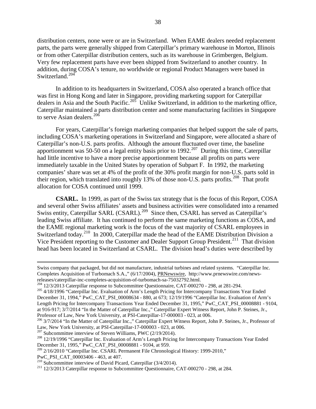distribution centers, none were or are in Switzerland. When EAME dealers needed replacement parts, the parts were generally shipped from Caterpillar's primary warehouse in Morton, Illinois or from other Caterpillar distribution centers, such as its warehouse in Grimbergen, Belgium. Very few replacement parts have ever been shipped from Switzerland to another country. In addition, during COSA's tenure, no worldwide or regional Product Managers were based in Switzerland.<sup>[204](#page-41-0)</sup>

In addition to its headquarters in Switzerland, COSA also operated a branch office that was first in Hong Kong and later in Singapore, providing marketing support for Caterpillar dealers in Asia and the South Pacific.<sup>[205](#page-41-1)</sup> Unlike Switzerland, in addition to the marketing office, Caterpillar maintained a parts distribution center and some manufacturing facilities in Singapore to serve Asian dealers. [206](#page-41-2)

For years, Caterpillar's foreign marketing companies that helped support the sale of parts, including COSA's marketing operations in Switzerland and Singapore, were allocated a share of Caterpillar's non-U.S. parts profits. Although the amount fluctuated over time, the baseline apportionment was 50-50 on a legal entity basis prior to 1992. [207](#page-41-3) During this time, Caterpillar had little incentive to have a more precise apportionment because all profits on parts were immediately taxable in the United States by operation of Subpart F. In 1992, the marketing companies' share was set at 4% of the profit of the 30% profit margin for non-U.S. parts sold in their region, which translated into roughly 13% of those non-U.S. parts profits.<sup>208</sup> That profit allocation for COSA continued until 1999.

**CSARL.** In 1999, as part of the Swiss tax strategy that is the focus of this Report, COSA and several other Swiss affiliates' assets and business activities were consolidated into a renamed Swiss entity, Caterpillar SARL (CSARL).<sup>209</sup> Since then, CSARL has served as Caterpillar's leading Swiss affiliate. It has continued to perform the same marketing functions as COSA, and the EAME regional marketing work is the focus of the vast majority of CSARL employees in Switzerland today.<sup>210</sup> In 2000, Caterpillar made the head of the EAME Distribution Division a Vice President reporting to the Customer and Dealer Support Group President.<sup>[211](#page-41-7)</sup> That division head has been located in Switzerland at CSARL. The division head's duties were described by

 $\overline{\phantom{a}}$ 

<span id="page-41-5"></span> $^{209}$  2/16/2010 "Caterpillar Inc. CSARL Permanent File Chronological History: 1999-2010,"<br>PwC PSI CAT 00003406 - 463, at 407.

Swiss company that packaged, but did not manufacture, industrial turbines and related systems. "Caterpillar Inc. Completes Acquisition of Turbomach S.A.," (6/17/2004), PRNewswire, http://www.prnewswire.com/news-

<span id="page-41-1"></span><span id="page-41-0"></span>

releases/caterpillar-inc-completes-acquisition-of-turbomach-sa-75032792.html.<br><sup>204</sup> 12/3/2013 Caterpillar response to Subcommittee Questionnaire, CAT-000270 - 298, at 281-294.<br><sup>205</sup> 4/18/1996 "Caterpillar Inc. Evaluation o December 31, 1994," PwC\_CAT\_PSI\_00008634 - 880, at 673; 12/19/1996 "Caterpillar Inc. Evaluation of Arm's Length Pricing for Intercompany Transactions Year Ended December 31, 1995," PwC\_CAT\_PSI\_00008881 - 9104, at 916-917; 3/7/2014 "In the Matter of Caterpillar Inc.," Caterpillar Expert Witness Report, John P. Steines, Jr., Professor of Law, New York University, at PSI-Caterpillar-17-000003 - 023, at 006.

<span id="page-41-2"></span> $^{206}$  3/7/2014 "In the Matter of Caterpillar Inc.," Caterpillar Expert Witness Report, John P. Steines, Jr., Professor of Law, New York University, at PSI-Caterpillar-17-000003 - 023, at 006.

<span id="page-41-4"></span><span id="page-41-3"></span><sup>&</sup>lt;sup>207</sup> Subcommittee interview of Steven Williams, PWC (2/19/2014).<br><sup>208</sup> 12/19/1996 "Caterpillar Inc. Evaluation of Arm's Length Pricing for Intercompany Transactions Year Ended December 31, 1995," PwC\_CAT\_PSI\_00008881 - 9104, at 959.

<span id="page-41-7"></span><span id="page-41-6"></span><sup>&</sup>lt;sup>210</sup> Subcommittee interview of David Picard, Caterpillar (3/4/2014).<br><sup>211</sup> 12/3/2013 Caterpillar response to Subcommittee Questionnaire, CAT-000270 - 298, at 284.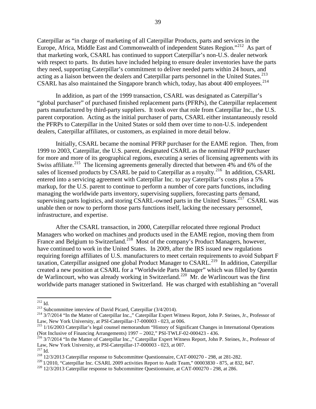Caterpillar as "in charge of marketing of all Caterpillar Products, parts and services in the Europe, Africa, Middle East and Commonwealth of independent States Region."<sup>212</sup> As part of that marketing work, CSARL has continued to support Caterpillar's non-U.S. dealer network with respect to parts. Its duties have included helping to ensure dealer inventories have the parts they need, supporting Caterpillar's commitment to deliver needed parts within 24 hours, and acting as a liaison between the dealers and Caterpillar parts personnel in the United States.<sup>[213](#page-42-1)</sup> CSARL has also maintained the Singapore branch which, today, has about 400 employees. $^{214}$  $^{214}$  $^{214}$ 

In addition, as part of the 1999 transaction, CSARL was designated as Caterpillar's "global purchaser" of purchased finished replacement parts (PFRPs), the Caterpillar replacement parts manufactured by third-party suppliers. It took over that role from Caterpillar Inc., the U.S. parent corporation. Acting as the initial purchaser of parts, CSARL either instantaneously resold the PFRPs to Caterpillar in the United States or sold them over time to non-U.S. independent dealers, Caterpillar affiliates, or customers, as explained in more detail below.

Initially, CSARL became the nominal PFRP purchaser for the EAME region. Then, from 1999 to 2003, Caterpillar, the U.S. parent, designated CSARL as the nominal PFRP purchaser for more and more of its geographical regions, executing a series of licensing agreements with its Swiss affiliate.<sup>[215](#page-42-3)</sup> The licensing agreements generally directed that between 4% and 6% of the sales of licensed products by CSARL be paid to Caterpillar as a royalty.<sup>[216](#page-42-4)</sup> In addition, CSARL entered into a servicing agreement with Caterpillar Inc. to pay Caterpillar's costs plus a 5% markup, for the U.S. parent to continue to perform a number of core parts functions, including managing the worldwide parts inventory, supervising suppliers, forecasting parts demand, supervising parts logistics, and storing CSARL-owned parts in the United States.<sup>[217](#page-42-5)</sup> CSARL was unable then or now to perform those parts functions itself, lacking the necessary personnel, infrastructure, and expertise.

After the CSARL transaction, in 2000, Caterpillar relocated three regional Product Managers who worked on machines and products used in the EAME region, moving them from France and Belgium to Switzerland.<sup>218</sup> Most of the company's Product Managers, however, have continued to work in the United States. In 2009, after the IRS issued new regulations requiring foreign affiliates of U.S. manufacturers to meet certain requirements to avoid Subpart F taxation, Caterpillar assigned one global Product Manager to CSARL.<sup>[219](#page-42-7)</sup> In addition, Caterpillar created a new position at CSARL for a "Worldwide Parts Manager" which was filled by Quentin de Warlincourt, who was already working in Switzerland.<sup>[220](#page-42-8)</sup> Mr. de Warlincourt was the first worldwide parts manager stationed in Switzerland. He was charged with establishing an "overall

<span id="page-42-0"></span> $^{212}$  Id.

<span id="page-42-2"></span>

<span id="page-42-1"></span><sup>&</sup>lt;sup>213</sup> Subcommittee interview of David Picard, Caterpillar (3/4/2014).<br><sup>214</sup> 3/7/2014 "In the Matter of Caterpillar Inc.," Caterpillar Expert Witness Report, John P. Steines, Jr., Professor of Law, New York University, at

<span id="page-42-3"></span> $^{215}$  1/16/2003 Caterpillar's legal counsel memorandum "History of Significant Changes in International Operations

<span id="page-42-4"></span><sup>(</sup>Not Inclusive of Financing Arrangements) 1997 – 2002," PSI-TWLF-02-000423 - 436.<br><sup>216</sup> 3/7/2014 "In the Matter of Caterpillar Inc.," Caterpillar Expert Witness Report, John P. Steines, Jr., Professor of Law, New York Uni

<span id="page-42-7"></span>

<span id="page-42-6"></span><span id="page-42-5"></span><sup>&</sup>lt;sup>217</sup> Id.<br><sup>218</sup> 12/3/2013 Caterpillar response to Subcommittee Questionnaire, CAT-000270 - 298, at 281-282.<br><sup>220</sup> 1/2010, "Caterpillar Inc. CSARL 2009 activities Report to Audit Team," 00003830 - 875, at 832, 847.<br><sup>220</sup> 1

<span id="page-42-8"></span>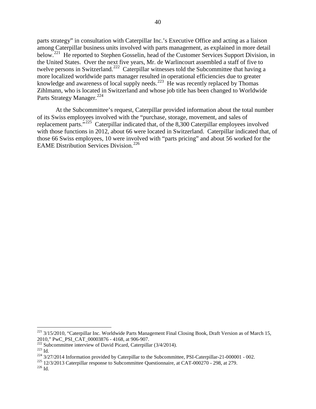parts strategy" in consultation with Caterpillar Inc.'s Executive Office and acting as a liaison among Caterpillar business units involved with parts management, as explained in more detail below.<sup>[221](#page-43-0)</sup> He reported to Stephen Gosselin, head of the Customer Services Support Division, in the United States. Over the next five years, Mr. de Warlincourt assembled a staff of five to twelve persons in Switzerland.<sup>[222](#page-43-1)</sup> Caterpillar witnesses told the Subcommittee that having a more localized worldwide parts manager resulted in operational efficiencies due to greater knowledge and awareness of local supply needs.<sup>[223](#page-43-2)</sup> He was recently replaced by Thomas Zihlmann, who is located in Switzerland and whose job title has been changed to Worldwide Parts Strategy Manager.<sup>[224](#page-43-3)</sup>

At the Subcommittee's request, Caterpillar provided information about the total number of its Swiss employees involved with the "purchase, storage, movement, and sales of replacement parts."[225](#page-43-4) Caterpillar indicated that, of the 8,300 Caterpillar employees involved with those functions in 2012, about 66 were located in Switzerland. Caterpillar indicated that, of those 66 Swiss employees, 10 were involved with "parts pricing" and about 56 worked for the EAME Distribution Services Division.<sup>[226](#page-43-5)</sup>

<sup>&</sup>lt;sup>221</sup> 3/15/2010, "Caterpillar Inc. Worldwide Parts Management Final Closing Book, Draft Version as of March 15,

<span id="page-43-3"></span><span id="page-43-2"></span>

<span id="page-43-1"></span><span id="page-43-0"></span><sup>2010,&</sup>quot; PwC\_PSI\_CAT\_00003876 - 4168, at 906-907.<br>
<sup>222</sup> Subcommittee interview of David Picard, Caterpillar (3/4/2014).<br>
<sup>223</sup> Id.<br>
<sup>224</sup> 3/27/2014 Information provided by Caterpillar to the Subcommittee, PSI-Caterpillar-2

<span id="page-43-5"></span><span id="page-43-4"></span>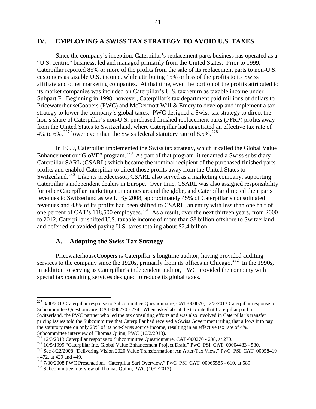### **IV. EMPLOYING A SWISS TAX STRATEGY TO AVOID U.S. TAXES**

Since the company's inception, Caterpillar's replacement parts business has operated as a "U.S. centric" business, led and managed primarily from the United States. Prior to 1999, Caterpillar reported 85% or more of the profits from the sale of its replacement parts to non-U.S. customers as taxable U.S. income, while attributing 15% or less of the profits to its Swiss affiliate and other marketing companies. At that time, even the portion of the profits attributed to its market companies was included on Caterpillar's U.S. tax return as taxable income under Subpart F. Beginning in 1998, however, Caterpillar's tax department paid millions of dollars to PricewaterhouseCoopers (PWC) and McDermott Will & Emery to develop and implement a tax strategy to lower the company's global taxes. PWC designed a Swiss tax strategy to direct the lion's share of Caterpillar's non-U.S. purchased finished replacement parts (PFRP) profits away from the United States to Switzerland, where Caterpillar had negotiated an effective tax rate of 4% to 6%,  $227$  lower even than the Swiss federal statutory rate of 8.5%.  $228$ 

In 1999, Caterpillar implemented the Swiss tax strategy, which it called the Global Value Enhancement or "GloVE" program.<sup>[229](#page-44-2)</sup> As part of that program, it renamed a Swiss subsidiary Caterpillar SARL (CSARL) which became the nominal recipient of the purchased finished parts profits and enabled Caterpillar to direct those profits away from the United States to Switzerland.<sup>[230](#page-44-3)</sup> Like its predecessor, CSARL also served as a marketing company, supporting Caterpillar's independent dealers in Europe. Over time, CSARL was also assigned responsibility for other Caterpillar marketing companies around the globe, and Caterpillar directed their parts revenues to Switzerland as well. By 2008, approximately 45% of Caterpillar's consolidated revenues and 43% of its profits had been shifted to CSARL, an entity with less than one half of one percent of CAT's 118,500 employees.<sup>[231](#page-44-4)</sup> As a result, over the next thirteen years, from 2000 to 2012, Caterpillar shifted U.S. taxable income of more than \$8 billion offshore to Switzerland and deferred or avoided paying U.S. taxes totaling about \$2.4 billion.

### **A. Adopting the Swiss Tax Strategy**

PricewaterhouseCoopers is Caterpillar's longtime auditor, having provided auditing services to the company since the 1920s, primarily from its offices in Chicago.<sup>232</sup> In the 1990s, in addition to serving as Caterpillar's independent auditor, PWC provided the company with special tax consulting services designed to reduce its global taxes.

<span id="page-44-0"></span><sup>&</sup>lt;sup>227</sup> 8/30/2013 Caterpillar response to Subcommittee Questionnaire, CAT-000070; 12/3/2013 Caterpillar response to Subcommittee Questionnaire, CAT-000270 - 274. When asked about the tax rate that Caterpillar paid in Switzerland, the PWC partner who led the tax consulting efforts and was also involved in Caterpillar's transfer pricing issues told the Subcommittee that Caterpillar had received a Swiss Government ruling that allows it to pay the statutory rate on only 20% of its non-Swiss source income, resulting in an effective tax rate of 4%. Subcommittee interview of Thomas Quinn, PWC (10/2/2013).

<span id="page-44-1"></span> $^{228}$  12/3/2013 Caterpillar response to Subcommittee Questionnaire, CAT-000270 - 298, at 270.<br> $^{229}$  10/5/1999 "Caterpillar Inc. Global Value Enhancement Project Draft," PwC\_PSI\_CAT\_00004483 - 530.

<span id="page-44-3"></span><span id="page-44-2"></span><sup>&</sup>lt;sup>230</sup> See 8/22/2008 "Delivering Vision 2020 Value Transformation: An After-Tax View," PwC\_PSI\_CAT\_00058419 - 472, at 429 and 449.

<span id="page-44-5"></span><span id="page-44-4"></span><sup>&</sup>lt;sup>231</sup> 7/30/2008 PWC Presentation, "Caterpillar Sarl Overview," PwC\_PSI\_CAT\_00065585 - 610, at 589.<br><sup>232</sup> Subcommittee interview of Thomas Quinn, PWC (10/2/2013).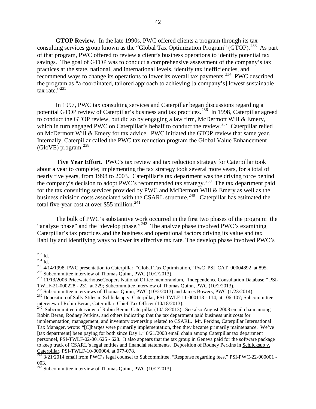**GTOP Review.** In the late 1990s, PWC offered clients a program through its tax consulting services group known as the "Global Tax Optimization Program" (GTOP).<sup>233</sup> As part of that program, PWC offered to review a client's business operations to identify potential tax savings. The goal of GTOP was to conduct a comprehensive assessment of the company's tax practices at the state, national, and international levels, identify tax inefficiencies, and recommend ways to change its operations to lower its overall tax payments.<sup>234</sup> PWC described the program as "a coordinated, tailored approach to achieving [a company's] lowest sustainable  $\frac{1}{2}$  rate."<sup>235</sup>

In 1997, PWC tax consulting services and Caterpillar began discussions regarding a potential GTOP review of Caterpillar's business and tax practices.<sup>236</sup> In 1998, Caterpillar agreed to conduct the GTOP review, but did so by engaging a law firm, McDermott Will & Emery, which in turn engaged PWC on Caterpillar's behalf to conduct the review.<sup>[237](#page-45-4)</sup> Caterpillar relied on McDermott Will & Emery for tax advice. PWC initiated the GTOP review that same year. Internally, Caterpillar called the PWC tax reduction program the Global Value Enhancement  $(GloVE)$  program.<sup>[238](#page-45-5)</sup>

Five Year Effort. PWC's tax review and tax reduction strategy for Caterpillar took about a year to complete; implementing the tax strategy took several more years, for a total of nearly five years, from 1998 to 2003. Caterpillar's tax department was the driving force behind the company's decision to adopt PWC's recommended tax strategy.[239](#page-45-6) The tax department paid for the tax consulting services provided by PWC and McDermott Will & Emery as well as the business division costs associated with the CSARL structure.<sup>[240](#page-45-7)</sup> Caterpillar has estimated the total five-year cost at over \$55 million. $241$ 

The bulk of PWC's substantive work occurred in the first two phases of the program: the "analyze phase" and the "develop phase."<sup>[242](#page-45-9)</sup> The analyze phase involved PWC's examining Caterpillar's tax practices and the business and operational factors driving its value and tax liability and identifying ways to lower its effective tax rate. The develop phase involved PWC's

<span id="page-45-0"></span> $^{233}$  Id.

<span id="page-45-4"></span><span id="page-45-3"></span>

<span id="page-45-2"></span><span id="page-45-1"></span><sup>&</sup>lt;sup>234</sup> Id.<br>
<sup>235</sup> 4/14/1998, PWC presentation to Caterpillar, "Global Tax Optimization," PwC\_PSI\_CAT\_00004892, at 895.<br>
<sup>235</sup> Subcommittee interview of Thomas Quinn, PWC (10/2/2013).<br>
<sup>236</sup> Subcommittee interview of Thomas

<span id="page-45-5"></span> $^{238}$  Subcommittee interviews of Thomas Quinn, PWC (10/2/2013) and James Bowers, PWC (1/23/2014).

<span id="page-45-6"></span><sup>&</sup>lt;sup>239</sup> Deposition of Sally Stiles in Schlicksup v. Caterpillar, PSI-TWLF-11-000113 - 114, at 106-107; Subcommittee interview of Robin Beran, Caterpillar, Chief Tax Officer (10/18/2013).

<span id="page-45-7"></span> $240$  Subcommittee interview of Robin Beran, Caterpillar (10/18/2013). See also August 2008 email chain among Robin Beran, Rodney Perkins, and others indicating that the tax department paid business unit costs for implementation, management, and inventory ownership related to CSARL. Mr. Perkins, Caterpillar International Tax Manager, wrote: "[C]harges were primarily implementation, then they became primarily maintenance. We've [tax department] been paying for both since Day 1." 8/21/2008 email chain among Caterpillar tax department personnel, PSI-TWLF-02-001625 - 628. It also appears that the tax group in Geneva paid for the software package to keep track of CSARL's legal entities and financial statements. Deposition of Rodney Perkins in Schlicksup v. Caterpillar, PSI-TWLF-10-000004, at 077-078.<br><sup>241</sup> 3/21/2014 email from PWC's legal counsel to Subcommittee, "Response regarding fees," PSI-PWC-22-000001 -

<span id="page-45-8"></span><sup>003.</sup>

<span id="page-45-9"></span> $242$  Subcommittee interview of Thomas Quinn, PWC (10/2/2013).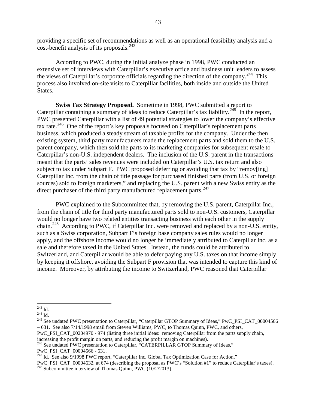providing a specific set of recommendations as well as an operational feasibility analysis and a  $\csc$ -benefit analysis of its proposals.<sup>[243](#page-46-0)</sup>

According to PWC, during the initial analyze phase in 1998, PWC conducted an extensive set of interviews with Caterpillar's executive office and business unit leaders to assess the views of Caterpillar's corporate officials regarding the direction of the company.<sup>[244](#page-46-1)</sup> This process also involved on-site visits to Caterpillar facilities, both inside and outside the United States.

**Swiss Tax Strategy Proposed.** Sometime in 1998, PWC submitted a report to Caterpillar containing a summary of ideas to reduce Caterpillar's tax liability.<sup>245</sup> In the report, PWC presented Caterpillar with a list of 49 potential strategies to lower the company's effective tax rate.<sup>[246](#page-46-3)</sup> One of the report's key proposals focused on Caterpillar's replacement parts business, which produced a steady stream of taxable profits for the company. Under the then existing system, third party manufacturers made the replacement parts and sold them to the U.S. parent company, which then sold the parts to its marketing companies for subsequent resale to Caterpillar's non-U.S. independent dealers. The inclusion of the U.S. parent in the transactions meant that the parts' sales revenues were included on Caterpillar's U.S. tax return and also subject to tax under Subpart F. PWC proposed deferring or avoiding that tax by "remov[ing] Caterpillar Inc. from the chain of title passage for purchased finished parts (from U.S. or foreign sources) sold to foreign marketers," and replacing the U.S. parent with a new Swiss entity as the direct purchaser of the third party manufactured replacement parts.<sup>247</sup>

PWC explained to the Subcommittee that, by removing the U.S. parent, Caterpillar Inc., from the chain of title for third party manufactured parts sold to non-U.S. customers, Caterpillar would no longer have two related entities transacting business with each other in the supply chain.<sup>248</sup> According to PWC, if Caterpillar Inc. were removed and replaced by a non-U.S. entity, such as a Swiss corporation, Subpart F's foreign base company sales rules would no longer apply, and the offshore income would no longer be immediately attributed to Caterpillar Inc. as a sale and therefore taxed in the United States. Instead, the funds could be attributed to Switzerland, and Caterpillar would be able to defer paying any U.S. taxes on that income simply by keeping it offshore, avoiding the Subpart F provision that was intended to capture this kind of income. Moreover, by attributing the income to Switzerland, PWC reasoned that Caterpillar

PwC\_PSI\_CAT\_00204970 - 974 (listing three initial ideas: removing Caterpillar from the parts supply chain, increasing the profit margin on parts, and reducing the profit margin on machines).

<span id="page-46-3"></span><sup>246</sup> See undated PWC presentation to Caterpillar, "CATERPILLAR GTOP Summary of Ideas,"<br>PwC\_PSI\_CAT\_00004566 - 631.

 $243$  Id.

<span id="page-46-2"></span><span id="page-46-1"></span><span id="page-46-0"></span><sup>&</sup>lt;sup>244</sup> Id.<br><sup>244</sup> Id. 245 See undated PWC presentation to Caterpillar, "Caterpillar GTOP Summary of Ideas," PwC\_PSI\_CAT\_00004566 – 631. See also 7/14/1998 email from Steven Williams, PWC, to Thomas Quinn, PWC, and others,

<span id="page-46-4"></span> $^{247}$  Id. See also 9/1998 PWC report, "Caterpillar Inc. Global Tax Optimization Case for Action,"

<span id="page-46-5"></span>PwC\_PSI\_CAT\_00004632, at 674 (describing the proposal as PWC's "Solution #1" to reduce Caterpillar's taxes). <sup>248</sup> Subcommittee interview of Thomas Quinn, PWC (10/2/2013).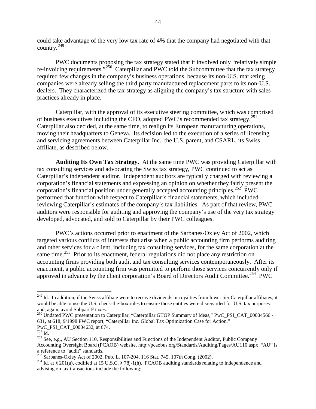could take advantage of the very low tax rate of 4% that the company had negotiated with that country.[249](#page-47-0)

PWC documents proposing the tax strategy stated that it involved only "relatively simple re-invoicing requirements."<sup>[250](#page-47-1)</sup> Caterpillar and PWC told the Subcommittee that the tax strategy required few changes in the company's business operations, because its non-U.S. marketing companies were already selling the third party manufactured replacement parts to its non-U.S. dealers. They characterized the tax strategy as aligning the company's tax structure with sales practices already in place.

Caterpillar, with the approval of its executive steering committee, which was comprised of business executives including the CFO, adopted PWC's recommended tax strategy. [251](#page-47-2)  Caterpillar also decided, at the same time, to realign its European manufacturing operations, moving their headquarters to Geneva. Its decision led to the execution of a series of licensing and servicing agreements between Caterpillar Inc., the U.S. parent, and CSARL, its Swiss affiliate, as described below.

**Auditing Its Own Tax Strategy.** At the same time PWC was providing Caterpillar with tax consulting services and advocating the Swiss tax strategy, PWC continued to act as Caterpillar's independent auditor. Independent auditors are typically charged with reviewing a corporation's financial statements and expressing an opinion on whether they fairly present the corporation's financial position under generally accepted accounting principles.<sup>[252](#page-47-3)</sup> PWC performed that function with respect to Caterpillar's financial statements, which included reviewing Caterpillar's estimates of the company's tax liabilities. As part of that review, PWC auditors were responsible for auditing and approving the company's use of the very tax strategy developed, advocated, and sold to Caterpillar by their PWC colleagues.

PWC's actions occurred prior to enactment of the Sarbanes-Oxley Act of 2002, which targeted various conflicts of interests that arise when a public accounting firm performs auditing and other services for a client, including tax consulting services, for the same corporation at the same time.<sup>253</sup> Prior to its enactment, federal regulations did not place any restriction on accounting firms providing both audit and tax consulting services contemporaneously. After its enactment, a public accounting firm was permitted to perform those services concurrently only if approved in advance by the client corporation's Board of Directors Audit Committee.<sup>254</sup> PWC

<span id="page-47-0"></span><sup>&</sup>lt;sup>249</sup> Id. In addition, if the Swiss affiliate were to receive dividends or royalties from lower tier Caterpillar affiliates, it would be able to use the U.S. check-the-box rules to ensure those entities were disregarded for U.S. tax purposes and, again, avoid Subpart F taxes.

<span id="page-47-1"></span><sup>&</sup>lt;sup>250</sup> Undated PWC presentation to Caterpillar, "Caterpillar GTOP Summary of Ideas," PwC\_PSI\_CAT\_00004566 -631, at 618; 9/1998 PWC report, "Caterpillar Inc. Global Tax Optimization Case for Action," PwC\_PSI\_CAT\_00004632, at 674.<br><sup>251</sup> Id.

<span id="page-47-2"></span>

<span id="page-47-3"></span><sup>&</sup>lt;sup>252</sup> See, e.g., AU Section 110, Responsibilities and Functions of the Independent Auditor, Public Company Accounting Oversight Board (PCAOB) website, http://pcaobus.org/Standards/Auditing/Pages/AU110.aspx "AU" is a reference to "audit" standards.<br>
<sup>253</sup> Sarbanes-Oxley Act of 2002, Pub. L. 107-204, 116 Stat. 745, 107th Cong. (2002).

<span id="page-47-5"></span><span id="page-47-4"></span><sup>&</sup>lt;sup>254</sup> Id. at § 201(a), codified at 15 U.S.C. § 78j-1(h). PCAOB auditing standards relating to independence and advising on tax transactions include the following: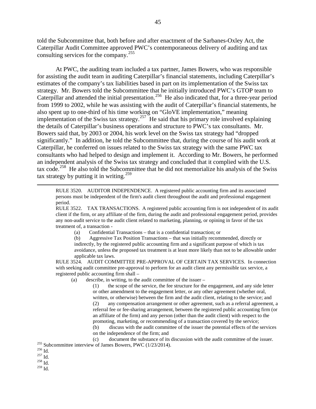told the Subcommittee that, both before and after enactment of the Sarbanes-Oxley Act, the Caterpillar Audit Committee approved PWC's contemporaneous delivery of auditing and tax consulting services for the company.[255](#page-48-0)

At PWC, the auditing team included a tax partner, James Bowers, who was responsible for assisting the audit team in auditing Caterpillar's financial statements, including Caterpillar's estimates of the company's tax liabilities based in part on its implementation of the Swiss tax strategy. Mr. Bowers told the Subcommittee that he initially introduced PWC's GTOP team to Caterpillar and attended the initial presentation.<sup>[256](#page-48-1)</sup> He also indicated that, for a three-year period from 1999 to 2002, while he was assisting with the audit of Caterpillar's financial statements, he also spent up to one-third of his time working on "GloVE implementation," meaning implementation of the Swiss tax strategy.<sup>[257](#page-48-2)</sup> He said that his primary role involved explaining the details of Caterpillar's business operations and structure to PWC's tax consultants. Mr. Bowers said that, by 2003 or 2004, his work level on the Swiss tax strategy had "dropped significantly." In addition, he told the Subcommittee that, during the course of his audit work at Caterpillar, he conferred on issues related to the Swiss tax strategy with the same PWC tax consultants who had helped to design and implement it. According to Mr. Bowers, he performed an independent analysis of the Swiss tax strategy and concluded that it complied with the U.S. tax code.[258](#page-48-3) He also told the Subcommittee that he did not memorialize his analysis of the Swiss tax strategy by putting it in writing.<sup>[259](#page-48-4)</sup>

RULE 3520. AUDITOR INDEPENDENCE. A registered public accounting firm and its associated persons must be independent of the firm's audit client throughout the audit and professional engagement period.

RULE 3522. TAX TRANSACTIONS. A registered public accounting firm is not independent of its audit client if the firm, or any affiliate of the firm, during the audit and professional engagement period, provides any non-audit service to the audit client related to marketing, planning, or opining in favor of the tax treatment of, a transaction -

(a) Confidential Transactions – that is a confidential transaction; or

(b) Aggressive Tax Position Transactions – that was initially recommended, directly or indirectly, by the registered public accounting firm and a significant purpose of which is tax avoidance, unless the proposed tax treatment is at least more likely than not to be allowable under applicable tax laws.

RULE 3524. AUDIT COMMITTEE PRE-APPROVAL OF CERTAIN TAX SERVICES. In connection with seeking audit committee pre-approval to perform for an audit client any permissible tax service, a registered public accounting firm shall –

(a) describe, in writing, to the audit committee of the issuer –

(1) the scope of the service, the fee structure for the engagement, and any side letter or other amendment to the engagement letter, or any other agreement (whether oral, written, or otherwise) between the firm and the audit client, relating to the service; and

(2) any compensation arrangement or other agreement, such as a referral agreement, a referral fee or fee-sharing arrangement, between the registered public accounting firm (or an affiliate of the firm) and any person (other than the audit client) with respect to the promoting, marketing, or recommending of a transaction covered by the service;

(b) discuss with the audit committee of the issuer the potential effects of the services on the independence of the firm; and

<span id="page-48-0"></span>(c) document the substance of its discussion with the audit committee of the issuer.<br>
<sup>255</sup> Subcommittee interview of James Bowers, PWC (1/23/2014).<br>
<sup>257</sup> Id.<br>
<sup>257</sup> Id. <sup>258</sup> Id

<span id="page-48-3"></span><span id="page-48-2"></span><span id="page-48-1"></span>

l

<span id="page-48-4"></span> $^{259}$  Id.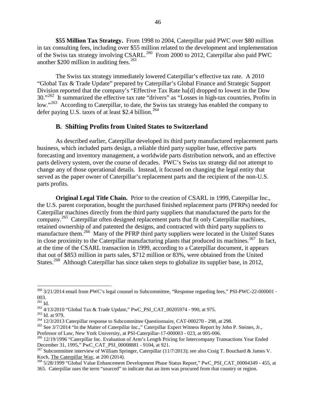**\$55 Million Tax Strategy.** From 1998 to 2004, Caterpillar paid PWC over \$80 million in tax consulting fees, including over \$55 million related to the development and implementation of the Swiss tax strategy involving CSARL.<sup>260</sup> From 2000 to 2012, Caterpillar also paid PWC another  $$200$  million in auditing fees.<sup>[261](#page-49-1)</sup>

The Swiss tax strategy immediately lowered Caterpillar's effective tax rate. A 2010 "Global Tax & Trade Update" prepared by Caterpillar's Global Finance and Strategic Support Division reported that the company's "Effective Tax Rate ha[d] dropped to lowest in the Dow  $30.^{3262}$  $30.^{3262}$  $30.^{3262}$  It summarized the effective tax rate "drivers" as "Losses in high-tax countries, Profits in low."<sup>[263](#page-49-3)</sup> According to Caterpillar, to date, the Swiss tax strategy has enabled the company to defer paying U.S. taxes of at least \$2.4 billion.<sup>[264](#page-49-4)</sup>

### **B. Shifting Profits from United States to Switzerland**

As described earlier, Caterpillar developed its third party manufactured replacement parts business, which included parts design, a reliable third party supplier base, effective parts forecasting and inventory management, a worldwide parts distribution network, and an effective parts delivery system, over the course of decades. PWC's Swiss tax strategy did not attempt to change any of those operational details. Instead, it focused on changing the legal entity that served as the paper owner of Caterpillar's replacement parts and the recipient of the non-U.S. parts profits.

**Original Legal Title Chain.** Prior to the creation of CSARL in 1999, Caterpillar Inc., the U.S. parent corporation, bought the purchased finished replacement parts (PFRPs) needed for Caterpillar machines directly from the third party suppliers that manufactured the parts for the company.[265](#page-49-5) Caterpillar often designed replacement parts that fit only Caterpillar machines, retained ownership of and patented the designs, and contracted with third party suppliers to manufacture them.<sup>266</sup> Many of the PFRP third party suppliers were located in the United States in close proximity to the Caterpillar manufacturing plants that produced its machines.<sup>[267](#page-49-7)</sup> In fact, at the time of the CSARL transaction in 1999, according to a Caterpillar document, it appears that out of \$853 million in parts sales, \$712 million or 83%, were obtained from the United States.<sup>[268](#page-49-8)</sup> Although Caterpillar has since taken steps to globalize its supplier base, in 2012,

<span id="page-49-0"></span> $^{260}$  3/21/2014 email from PWC's legal counsel to Subcommittee, "Response regarding fees," PSI-PWC-22-000001 - $\frac{003.}{^{261}}$  Id.

<span id="page-49-4"></span>

<span id="page-49-3"></span><span id="page-49-2"></span><span id="page-49-1"></span><sup>&</sup>lt;sup>262</sup> 4/13/2010 "Global Tax & Trade Update," PwC\_PSI\_CAT\_00205974 - 990, at 975.<br><sup>263</sup> Id. at 979.<br><sup>264</sup> 12/3/2013 Caterpillar response to Subcommittee Questionnaire, CAT-000270 - 298, at 298.<br><sup>264</sup> 12/3/2013 Caterpillar

<span id="page-49-6"></span><span id="page-49-5"></span><sup>&</sup>lt;sup>266</sup> 12/19/1996 "Caterpillar Inc. Evaluation of Arm's Length Pricing for Intercompany Transactions Year Ended<br>December 31, 1995," PwC\_CAT\_PSI\_00008881 - 9104, at 921.

<span id="page-49-7"></span><sup>&</sup>lt;sup>267</sup> Subcommittee interview of William Springer, Caterpillar (11/7/2013); see also Craig T. Bouchard & James V. Koch, The Caterpillar Way, at 200 (2014).<br><sup>268</sup> 5/28/1999 "Global Value Enhancement Development Phase Status Report," PwC\_PSI\_CAT\_00004349 - 455, at

<span id="page-49-8"></span><sup>365.</sup> Caterpillar uses the term "sourced" to indicate that an item was procured from that country or region.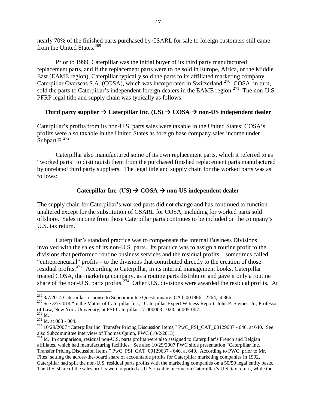nearly 70% of the finished parts purchased by CSARL for sale to foreign customers still came from the United States. $269$ 

Prior to 1999, Caterpillar was the initial buyer of its third party manufactured replacement parts, and if the replacement parts were to be sold in Europe, Africa, or the Middle East (EAME region), Caterpillar typically sold the parts to its affiliated marketing company, Caterpillar Overseas S.A. (COSA), which was incorporated in Switzerland.<sup>270</sup> COSA, in turn, sold the parts to Caterpillar's independent foreign dealers in the EAME region.<sup>271</sup> The non-U.S. PFRP legal title and supply chain was typically as follows:

## Third party supplier  $\rightarrow$  Caterpillar Inc. (US)  $\rightarrow$  COSA  $\rightarrow$  non-US independent dealer

Caterpillar's profits from its non-U.S. parts sales were taxable in the United States; COSA's profits were also taxable in the United States as foreign base company sales income under Subpart  $F<sup>272</sup>$  $F<sup>272</sup>$  $F<sup>272</sup>$ 

Caterpillar also manufactured some of its own replacement parts, which it referred to as "worked parts" to distinguish them from the purchased finished replacement parts manufactured by unrelated third party suppliers. The legal title and supply chain for the worked parts was as follows:

## Caterpillar Inc. (US)  $\rightarrow$  COSA  $\rightarrow$  non-US independent dealer

The supply chain for Caterpillar's worked parts did not change and has continued to function unaltered except for the substitution of CSARL for COSA, including for worked parts sold offshore. Sales income from those Caterpillar parts continues to be included on the company's U.S. tax return.

Caterpillar's standard practice was to compensate the internal Business Divisions involved with the sales of its non-U.S. parts. Its practice was to assign a routine profit to the divisions that performed routine business services and the residual profits – sometimes called "entrepreneurial" profits – to the divisions that contributed directly to the creation of those residual profits.<sup>[273](#page-50-4)</sup> According to Caterpillar, in its internal management books, Caterpillar treated COSA, the marketing company, as a routine parts distributor and gave it only a routine share of the non-U.S. parts profits.<sup>274</sup> Other U.S. divisions were awarded the residual profits. At

<span id="page-50-0"></span><sup>&</sup>lt;sup>269</sup> 3/7/2014 Caterpillar response to Subcommittee Questionnaire, CAT-001866 - 2264, at 866.

<span id="page-50-1"></span><sup>&</sup>lt;sup>270</sup> See 3/7/2014 "In the Matter of Caterpillar Inc.," Caterpillar Expert Witness Report, John P. Steines, Jr., Professor of Law, New York University, at PSI-Caterpillar 17-000003 - 023, at 005-007.

<span id="page-50-4"></span>

<span id="page-50-3"></span><span id="page-50-2"></span><sup>&</sup>lt;sup>271</sup> Id.<br><sup>272</sup> Id. at 003 - 004.<br><sup>273</sup> 10/29/2007 "Caterpillar Inc. Transfer Pricing Discussion Items," PwC\_PSI\_CAT\_00129637 - 646, at 640. See also Subcommittee interview of Thomas Quinn, PWC (10/2/2013).

<span id="page-50-5"></span><sup>&</sup>lt;sup>274</sup> Id. In comparison, residual non-U.S. parts profits were also assigned to Caterpillar's French and Belgian affiliates, which had manufacturing facilities. See also 10/29/2007 PWC slide presentation "Caterpillar Inc. Transfer Pricing Discussion Items," PwC\_PSI\_CAT\_00129637 - 646, at 640. According to PWC, prior to Mr. Fites' setting the across-the-board share of accountable profits for Caterpillar marketing companies in 1992, Caterpillar had split the non-U.S. residual parts profits with the marketing companies on a 50/50 legal entity basis. The U.S. share of the sales profits were reported as U.S. taxable income on Caterpillar's U.S. tax return, while the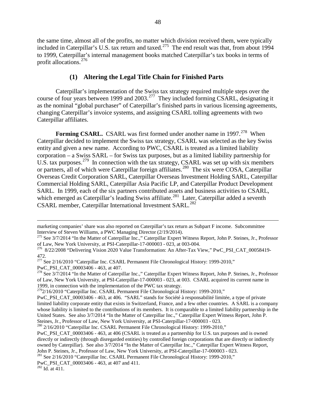the same time, almost all of the profits, no matter which division received them, were typically included in Caterpillar's U.S. tax return and taxed.<sup>[275](#page-51-0)</sup> The end result was that, from about 1994 to 1999, Caterpillar's internal management books matched Caterpillar's tax books in terms of profit allocations.[276](#page-51-1)

# **(1) Altering the Legal Title Chain for Finished Parts**

Caterpillar's implementation of the Swiss tax strategy required multiple steps over the course of four years between 1999 and 2003.<sup>277</sup> They included forming CSARL, designating it as the nominal "global purchaser" of Caterpillar's finished parts in various licensing agreements, changing Caterpillar's invoice systems, and assigning CSARL tolling agreements with two Caterpillar affiliates.

**Forming CSARL.** CSARL was first formed under another name in 1997.<sup>[278](#page-51-3)</sup> When Caterpillar decided to implement the Swiss tax strategy, CSARL was selected as the key Swiss entity and given a new name. According to PWC, CSARL is treated as a limited liability corporation – a Swiss SARL – for Swiss tax purposes, but as a limited liability partnership for U.S. tax purposes.<sup>[279](#page-51-4)</sup> In connection with the tax strategy, CSARL was set up with six members or partners, all of which were Caterpillar foreign affiliates.<sup>[280](#page-51-5)</sup> The six were COSA, Caterpillar Overseas Credit Corporation SARL, Caterpillar Overseas Investment Holding SARL, Caterpillar Commercial Holding SARL, Caterpillar Asia Pacific LP, and Caterpillar Product Development SARL. In 1999, each of the six partners contributed assets and business activities to CSARL, which emerged as Caterpillar's leading Swiss affiliate.<sup>[281](#page-51-6)</sup> Later, Caterpillar added a seventh CSARL member, Caterpillar International Investment SARL.<sup>[282](#page-51-7)</sup>

marketing companies' share was also reported on Caterpillar's tax return as Subpart F income. Subcommittee Interview of Steven Williams, a PWC Managing Director (2/19/2014).

<span id="page-51-0"></span><sup>&</sup>lt;sup>275</sup> See 3/7/2014 "In the Matter of Caterpillar Inc.," Caterpillar Expert Witness Report, John P. Steines, Jr., Professor of Law, New York University, at PSI-Caterpillar-17-000003 - 023, at 003-004.<br><sup>276</sup> 8/22/2008 "Delivering Vision 2020 Value Transformation: An After-Tax View," PwC\_PSI\_CAT\_00058419-

<span id="page-51-1"></span><sup>472.</sup> 

<span id="page-51-2"></span><sup>&</sup>lt;sup>277</sup> See  $2/16/2010$  "Caterpillar Inc. CSARL Permanent File Chronological History: 1999-2010,"<br>PwC PSI CAT 00003406 - 463, at 407.

<span id="page-51-3"></span><sup>&</sup>lt;sup>278</sup> See 3/7/2014 "In the Matter of Caterpillar Inc.," Caterpillar Expert Witness Report, John P. Steines, Jr., Professor of Law, New York University, at PSI-Caterpillar-17-000003 - 023, at 003. CSARL acquired its current name in 1999, in connection with the implementation of the PWC tax strategy.

<span id="page-51-4"></span><sup>&</sup>lt;sup>279</sup>2/16/2010 "Caterpillar Inc. CSARL Permanent File Chronological History: 1999-2010,"

PwC\_PSI\_CAT\_00003406 - 463, at 406. "SARL" stands for Société à responsabilité limitée, a type of private limited liability corporate entity that exists in Switzerland, France, and a few other countries. A SARL is a company whose liability is limited to the contributions of its members. It is comparable to a limited liability partnership in the United States. See also 3/7/2014 "In the Matter of Caterpillar Inc.," Caterpillar Expert Witness Report, John P.<br>Steines, Jr., Professor of Law, New York University, at PSI-Caterpillar-17-000003 - 023.

<sup>&</sup>lt;sup>280</sup> 2/16/2010 "Caterpillar Inc. CSARL Permanent File Chronological History: 1999-2010,"

<span id="page-51-5"></span>PwC\_PSI\_CAT\_00003406 - 463, at 406 (CSARL is treated as a partnership for U.S. tax purposes and is owned directly or indirectly (through disregarded entities) by controlled foreign corporations that are directly or indirectly owned by Caterpillar). See also 3/7/2014 "In the Matter of Caterpillar Inc.," Caterpillar Expert Witness Report, John P. Steines, Jr., Professor of Law, New York University, at PSI-Caterpillar-17-000003 - 023.

<span id="page-51-6"></span><sup>&</sup>lt;sup>281</sup> See 2/16/2010 "Caterpillar Inc. CSARL Permanent File Chronological History: 1999-2010,"

<span id="page-51-7"></span>PwC\_PSI\_CAT\_00003406 - 463, at 407 and 411. <sup>282</sup> Id. at 411.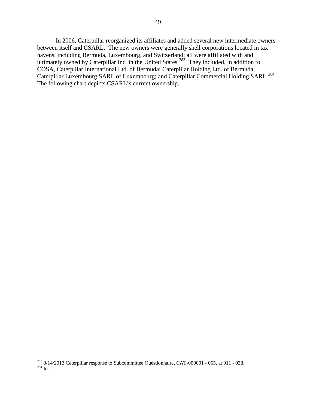In 2006, Caterpillar reorganized its affiliates and added several new intermediate owners between itself and CSARL. The new owners were generally shell corporations located in tax havens, including Bermuda, Luxembourg, and Switzerland; all were affiliated with and ultimately owned by Caterpillar Inc. in the United States.<sup>[283](#page-52-0)</sup> They included, in addition to COSA, Caterpillar International Ltd. of Bermuda; Caterpillar Holding Ltd. of Bermuda; Caterpillar Luxembourg SARL of Luxembourg; and Caterpillar Commercial Holding SARL.<sup>[284](#page-52-1)</sup> The following chart depicts CSARL's current ownership.

<span id="page-52-1"></span><span id="page-52-0"></span> $^{283}$  8/14/2013 Caterpillar response to Subcommittee Questionnaire, CAT-000001 - 065, at 011 - 038. Id.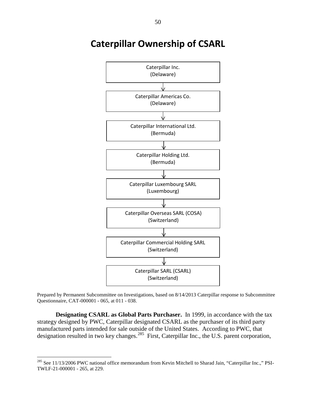

# **Caterpillar Ownership of CSARL**

Prepared by Permanent Subcommittee on Investigations, based on 8/14/2013 Caterpillar response to Subcommittee Questionnaire, CAT-000001 - 065, at 011 - 038.

**Designating CSARL as Global Parts Purchaser.** In 1999, in accordance with the tax strategy designed by PWC, Caterpillar designated CSARL as the purchaser of its third party manufactured parts intended for sale outside of the United States. According to PWC, that designation resulted in two key changes.<sup>[285](#page-53-0)</sup> First, Caterpillar Inc., the U.S. parent corporation,

<span id="page-53-0"></span><sup>&</sup>lt;sup>285</sup> See 11/13/2006 PWC national office memorandum from Kevin Mitchell to Sharad Jain, "Caterpillar Inc.," PSI-TWLF-21-000001 - 265, at 229.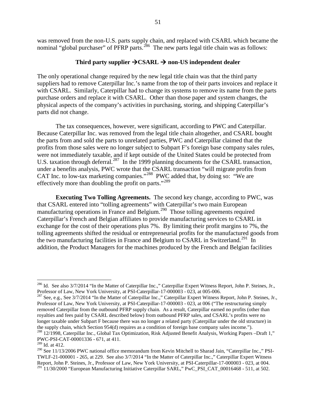was removed from the non-U.S. parts supply chain, and replaced with CSARL which became the nominal "global purchaser" of PFRP parts.<sup>286</sup> The new parts legal title chain was as follows:

### Third party supplier  $\rightarrow$  CSARL  $\rightarrow$  non-US independent dealer

The only operational change required by the new legal title chain was that the third party suppliers had to remove Caterpillar Inc.'s name from the top of their parts invoices and replace it with CSARL. Similarly, Caterpillar had to change its systems to remove its name from the parts purchase orders and replace it with CSARL. Other than those paper and system changes, the physical aspects of the company's activities in purchasing, storing, and shipping Caterpillar's parts did not change.

The tax consequences, however, were significant, according to PWC and Caterpillar. Because Caterpillar Inc. was removed from the legal title chain altogether, and CSARL bought the parts from and sold the parts to unrelated parties, PWC and Caterpillar claimed that the profits from those sales were no longer subject to Subpart F's foreign base company sales rules, were not immediately taxable, and if kept outside of the United States could be protected from U.S. taxation through deferral.<sup>[287](#page-54-1)</sup> In the 1999 planning documents for the CSARL transaction, under a benefits analysis, PWC wrote that the CSARL transaction "will migrate profits from CAT Inc. to low-tax marketing companies."[288](#page-54-2) PWC added that, by doing so: "We are effectively more than doubling the profit on parts."<sup>[289](#page-54-3)</sup>

**Executing Two Tolling Agreements.** The second key change, according to PWC, was that CSARL entered into "tolling agreements" with Caterpillar's two main European manufacturing operations in France and Belgium.<sup>[290](#page-54-4)</sup> Those tolling agreements required Caterpillar's French and Belgian affiliates to provide manufacturing services to CSARL in exchange for the cost of their operations plus 7%. By limiting their profit margins to 7%, the tolling agreements shifted the residual or entrepreneurial profits for the manufactured goods from the two manufacturing facilities in France and Belgium to CSARL in Switzerland.<sup>[291](#page-54-5)</sup> In addition, the Product Managers for the machines produced by the French and Belgian facilities

<sup>&</sup>lt;sup>286</sup> Id. See also 3/7/2014 "In the Matter of Caterpillar Inc.," Caterpillar Expert Witness Report, John P. Steines, Jr.,

<span id="page-54-1"></span><span id="page-54-0"></span>Professor of Law, New York University, at PSI-Caterpillar-17-000003 - 023, at 005-006.<br><sup>287</sup> See, e.g., See 3/7/2014 "In the Matter of Caterpillar Inc.," Caterpillar Expert Witness Report, John P. Steines, Jr., Professor of Law, New York University, at PSI-Caterpillar-17-000003 - 023, at 006 ("The restructuring simply removed Caterpillar from the outbound PFRP supply chain. As a result, Caterpillar earned no profits (other than royalties and fees paid by CSARL described below) from outbound PFRP sales, and CSARL's profits were no longer taxable under Subpart F because there was no longer a related party (Caterpillar under the old structure) in the supply chain, which Section 954(d) requires as a condition of foreign base company sales income."). <sup>288</sup> 12/1998, Caterpillar Inc., Global Tax Optimization, Risk Adjusted Benefit Analysis, Working Papers –Draft 1,"

<span id="page-54-2"></span>PWC-PSI-CAT-00001336 - 671, at 411.

<span id="page-54-3"></span><sup>289</sup> Id. at 412.

<span id="page-54-5"></span><span id="page-54-4"></span><sup>&</sup>lt;sup>290</sup> See 11/13/2006 PWC national office memorandum from Kevin Mitchell to Sharad Jain, "Caterpillar Inc.," PSI-TWLF-21-000001 - 265, at 229. See also 3/7/2014 "In the Matter of Caterpillar Inc.," Caterpillar Expert Witness Report, John P. Steines, Jr., Professor of Law, New York University, at PSI-Caterpillar-17-000003 - 023, at 004. <sup>291</sup> 11/30/2000 "European Manufacturing Initiative Caterpillar SARL," PwC\_PSI\_CAT\_00016468 - 511, at 502.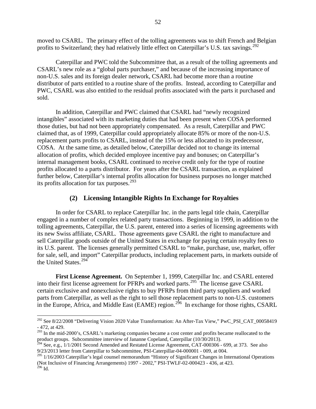moved to CSARL. The primary effect of the tolling agreements was to shift French and Belgian profits to Switzerland; they had relatively little effect on Caterpillar's U.S. tax savings.<sup>292</sup>

Caterpillar and PWC told the Subcommittee that, as a result of the tolling agreements and CSARL's new role as a "global parts purchaser," and because of the increasing importance of non-U.S. sales and its foreign dealer network, CSARL had become more than a routine distributor of parts entitled to a routine share of the profits. Instead, according to Caterpillar and PWC, CSARL was also entitled to the residual profits associated with the parts it purchased and sold.

In addition, Caterpillar and PWC claimed that CSARL had "newly recognized intangibles" associated with its marketing duties that had been present when COSA performed those duties, but had not been appropriately compensated. As a result, Caterpillar and PWC claimed that, as of 1999, Caterpillar could appropriately allocate 85% or more of the non-U.S. replacement parts profits to CSARL, instead of the 15% or less allocated to its predecessor, COSA. At the same time, as detailed below, Caterpillar decided not to change its internal allocation of profits, which decided employee incentive pay and bonuses; on Caterpillar's internal management books, CSARL continued to receive credit only for the type of routine profits allocated to a parts distributor. For years after the CSARL transaction, as explained further below, Caterpillar's internal profits allocation for business purposes no longer matched its profits allocation for tax purposes.<sup>[293](#page-55-1)</sup>

### **(2) Licensing Intangible Rights In Exchange for Royalties**

In order for CSARL to replace Caterpillar Inc. in the parts legal title chain, Caterpillar engaged in a number of complex related party transactions. Beginning in 1999, in addition to the tolling agreements, Caterpillar, the U.S. parent, entered into a series of licensing agreements with its new Swiss affiliate, CSARL. Those agreements gave CSARL the right to manufacture and sell Caterpillar goods outside of the United States in exchange for paying certain royalty fees to its U.S. parent. The licenses generally permitted CSARL to "make, purchase, use, market, offer for sale, sell, and import" Caterpillar products, including replacement parts, in markets outside of the United States.<sup>294</sup>

**First License Agreement.** On September 1, 1999, Caterpillar Inc. and CSARL entered into their first license agreement for PFRPs and worked parts.<sup>[295](#page-55-3)</sup> The license gave CSARL certain exclusive and nonexclusive rights to buy PFRPs from third party suppliers and worked parts from Caterpillar, as well as the right to sell those replacement parts to non-U.S. customers in the Europe, Africa, and Middle East (EAME) region.<sup>[296](#page-55-4)</sup> In exchange for those rights, CSARL

<span id="page-55-0"></span><sup>&</sup>lt;sup>292</sup> See 8/22/2008 "Delivering Vision 2020 Value Transformation: An After-Tax View," PwC\_PSI\_CAT\_00058419 - 472, at 429.

<span id="page-55-1"></span><sup>&</sup>lt;sup>293</sup> In the mid-2000's, CSARL's marketing companies became a cost center and profits became reallocated to the product groups. Subcommittee interview of Jananne Copeland, Caterpillar (10/30/2013).

<span id="page-55-2"></span> $^{294}$  See, e.g.,  $1/1/2001$  Second Amended and Restated License Agreement, CAT-000306 - 699, at 373. See also 9/23/2013 letter from Caterpillar to Subcommittee, PSI-Caterpillar-04-000001 - 009, at 004.

<span id="page-55-4"></span><span id="page-55-3"></span><sup>&</sup>lt;sup>295</sup> 1/16/2003 Caterpillar's legal counsel memorandum "History of Significant Changes in International Operations (Not Inclusive of Financing Arrangements) 1997 - 2002," PSI-TWLF-02-000423 - 436, at 423.  $^{296}$  Id.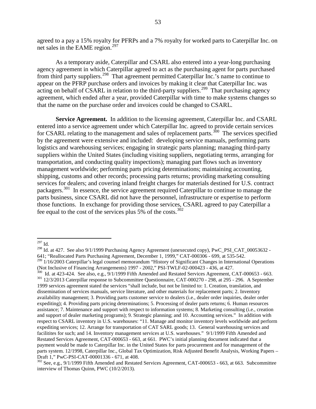agreed to a pay a 15% royalty for PFRPs and a 7% royalty for worked parts to Caterpillar Inc. on net sales in the EAME region.<sup>[297](#page-56-0)</sup>

As a temporary aside, Caterpillar and CSARL also entered into a year-long purchasing agency agreement in which Caterpillar agreed to act as the purchasing agent for parts purchased from third party suppliers.<sup>298</sup> That agreement permitted Caterpillar Inc.'s name to continue to appear on the PFRP purchase orders and invoices by making it clear that Caterpillar Inc. was acting on behalf of CSARL in relation to the third-party suppliers.<sup>[299](#page-56-2)</sup> That purchasing agency agreement, which ended after a year, provided Caterpillar with time to make systems changes so that the name on the purchase order and invoices could be changed to CSARL.

**Service Agreement.** In addition to the licensing agreement, Caterpillar Inc. and CSARL entered into a service agreement under which Caterpillar Inc. agreed to provide certain services for CSARL relating to the management and sales of replacement parts.<sup>[300](#page-56-3)</sup> The services specified by the agreement were extensive and included: developing service manuals, performing parts logistics and warehousing services; engaging in strategic parts planning; managing third-party suppliers within the United States (including visiting suppliers, negotiating terms, arranging for transportation, and conducting quality inspections); managing part flows such as inventory management worldwide; performing parts pricing determinations; maintaining accounting, shipping, customs and other records; processing parts returns; providing marketing consulting services for dealers; and covering inland freight charges for materials destined for U.S. contract packagers.[301](#page-56-4) In essence, the service agreement required Caterpillar to continue to manage the parts business, since CSARL did not have the personnel, infrastructure or expertise to perform those functions. In exchange for providing those services, CSARL agreed to pay Caterpillar a fee equal to the cost of the services plus 5% of the costs. $302$ 

 $^{297}$  Id. l

<span id="page-56-1"></span><span id="page-56-0"></span><sup>&</sup>lt;sup>298</sup> Id. at 427. See also 9/1/1999 Purchasing Agency Agreement (unexecuted copy), PwC\_PSI\_CAT\_00053632 -641; "Reallocated Parts Purchasing Agreement, December 1, 1999," CAT-000306 - 699, at 535-542.

<sup>&</sup>lt;sup>299</sup> 1/16/2003 Caterpillar's legal counsel memorandum "History of Significant Changes in International Operations

<span id="page-56-4"></span><span id="page-56-3"></span><span id="page-56-2"></span><sup>(</sup>Not Inclusive of Financing Arrangements) 1997 - 2002," PSI-TWLF-02-000423 - 436, at 427.<br>
<sup>300</sup> Id. at 423-424. See also, e.g., 9/1/1999 Fifth Amended and Restated Services Agreement, CAT-000653 - 663.<br>
<sup>301</sup> 12/3/2013 Ca 1999 services agreement stated the services "shall include, but not be limited to: 1. Creation, translation, and dissemination of services manuals, service literature, and other materials for replacement parts; 2. Inventory availability management; 3. Providing parts customer service to dealers (i.e., dealer order inquiries, dealer order expediting); 4. Providing parts pricing determinations; 5. Processing of dealer parts returns; 6. Human resources assistance; 7. Maintenance and support with respect to information systems; 8. Marketing consulting (i.e., creation and support of dealer marketing programs); 9. Strategic planning; and 10. Accounting services." In addition with respect to CSARL inventory in U.S. warehouses: "11. Manage and monitor inventory levels worldwide and perform expediting services; 12. Arrange for transportation of CAT SARL goods; 13. General warehousing services and facilitites for such; and 14. Inventory management services at U.S. warehouses." 9/1/1999 Fifth Amended and Restated Services Agreement, CAT-000653 - 663, at 661. PWC's initial planning document indicated that a payment would be made to Caterpillar Inc. in the United States for parts procurement and for management of the parts system. 12/1998, Caterpillar Inc., Global Tax Optimization, Risk Adjusted Benefit Analysis, Working Papers – Draft 1," PwC-PSI-CAT-00001336 - 671, at 408.<br><sup>302</sup> See, e.g., 9/1/1999 Fifth Amended and Restated Services Agreement, CAT-000653 - 663, at 663. Subcommittee

<span id="page-56-5"></span>interview of Thomas Quinn, PWC (10/2/2013).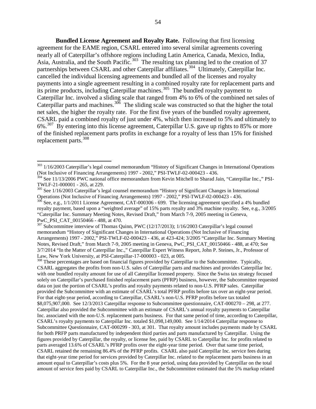**Bundled License Agreement and Royalty Rate.** Following that first licensing agreement for the EAME region, CSARL entered into several similar agreements covering nearly all of Caterpillar's offshore regions including Latin America, Canada, Mexico, India, Asia, Australia, and the South Pacific.<sup>[303](#page-57-0)</sup> The resulting tax planning led to the creation of 37 partnerships between CSARL and other Caterpillar affiliates.<sup>[304](#page-57-1)</sup> Ultimately, Caterpillar Inc. cancelled the individual licensing agreements and bundled all of the licenses and royalty payments into a single agreement resulting in a combined royalty rate for replacement parts and its prime products, including Caterpillar machines.<sup>[305](#page-57-2)</sup> The bundled royalty payment to Caterpillar Inc. involved a sliding scale that ranged from 4% to 6% of the combined net sales of Caterpillar parts and machines.<sup>[306](#page-57-3)</sup> The sliding scale was constructed so that the higher the total net sales, the higher the royalty rate. For the first five years of the bundled royalty agreement, CSARL paid a combined royalty of just under 4%, which then increased to 5% and ultimately to  $6\%$ .<sup>307</sup> By entering into this license agreement, Caterpillar U.S. gave up rights to 85% or more of the finished replacement parts profits in exchange for a royalty of less than 15% for finished replacement parts.[308](#page-57-5)

 $\overline{\phantom{a}}$ 

<span id="page-57-5"></span><sup>308</sup> These percentages are based on financial figures provided by Caterpillar to the Subcommittee. Typically, CSARL aggregates the profits from non-U.S. sales of Caterpillar parts and machines and provides Caterpillar Inc. with one bundled royalty amount for use of all Caterpillar licensed property. Since the Swiss tax strategy focused solely on Caterpillar's purchased finished replacement parts (PFRP) business, however, the Subcommittee requested data on just the portion of CSARL's profits and royalty payments related to non-U.S. PFRP sales. Caterpillar provided the Subcommittee with an estimate of CSARL's total PFRP profits before tax over an eight-year period. For that eight-year period, according to Caterpillar, CSARL's non-U.S. PFRP profits before tax totaled \$8,075,907,000. See 12/3/2013 Caterpillar response to Subcommittee questionnaire, CAT-000270 – 298, at 277. Caterpillar also provided the Subcommittee with an estimate of CSARL's annual royalty payments to Caterpillar Inc. associated with the non-U.S. replacement parts business. For that same period of time, according to Caterpillar, CSARL's royalty payments to Caterpillar Inc. totaled \$1,098,149,000. See 1/14/2014 Caterpillar response to Subcommittee Questionnaire, CAT-000299 - 303, at 301. That royalty amount includes payments made by CSARL for both PRFP parts manufactured by independent third parties and parts manufactured by Caterpillar. Using the figures provided by Caterpillar, the royalty, or license fee, paid by CSARL to Caterpillar Inc. for profits related to parts averaged 13.6% of CSARL's PFRP profits over the eight-year time period. Over that same time period, CSARL retained the remaining 86.4% of the PFRP profits. CSARL also paid Caterpillar Inc. service fees during that eight-year time period for services provided by Caterpillar Inc. related to the replacement parts business in an amount equal to Caterpillar's costs plus 5%. For the 8 year period, using data provided by Caterpillar on the total amount of service fees paid by CSARL to Caterpillar Inc., the Subcommittee estimated that the 5% markup related

<sup>&</sup>lt;sup>303</sup> 1/16/2003 Caterpillar's legal counsel memorandum "History of Significant Changes in International Operations

<span id="page-57-1"></span><span id="page-57-0"></span><sup>(</sup>Not Inclusive of Financing Arrangements) 1997 - 2002," PSI-TWLF-02-000423 - 436.<br><sup>304</sup> See 11/13/2006 PWC national office memorandum from Kevin Mitchell to Sharad Jain, "Caterpillar Inc.," PSI-TWLF-21-000001 - 265, at 229

<span id="page-57-2"></span> $305$  See 1/16/2003 Caterpillar's legal counsel memorandum "History of Significant Changes in International Operations (Not Inclusive of Financing Arrangements) 1997 - 2002," PSI-TWLF-02-000423 - 436.

<span id="page-57-3"></span><sup>&</sup>lt;sup>306</sup> See, e.g.,  $1/1/2011$  License Agreement, CAT-000306 - 699. The licensing agreement specified a 4% bundled royalty payment, based upon a "weighted average" of 15% parts royalty and 3% machine royalty. See, e.g., 3/2005 "Caterpillar Inc. Summary Meeting Notes, Revised Draft," from March 7-9, 2005 meeting in Geneva,

<span id="page-57-4"></span><sup>&</sup>lt;sup>307</sup> Subcommittee interview of Thomas Quinn, PWC (12/17/2013); 1/16/2003 Caterpillar's legal counsel memorandum "History of Significant Changes in International Operations (Not Inclusive of Financing Arrangements) 1997 - 2002," PSI-TWLF-02-000423 - 436, at 423-424; 3/2005 "Caterpillar Inc. Summary Meeting Notes, Revised Draft," from March 7-9, 2005 meeting in Geneva, PwC\_PSI\_CAT\_00150466 - 488, at 470; See 3/7/2014 "In the Matter of Caterpillar Inc.," Caterpillar Expert Witness Report, John P. Steines, Jr., Professor of Law, New York University, at PSI-Caterpillar-17-000003 - 023, at 005.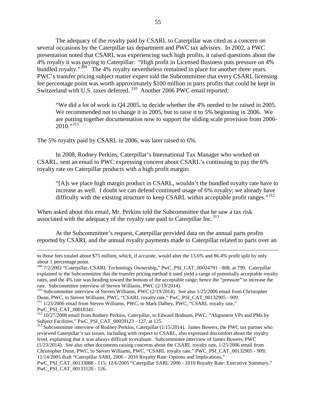The adequacy of the royalty paid by CSARL to Caterpillar was cited as a concern on several occasions by the Caterpillar tax department and PWC tax advisors. In 2002, a PWC presentation noted that CSARL was experiencing such high profits, it raised questions about the 4% royalty it was paying to Caterpillar: "High profit in Licensed Business puts pressure on 4% bundled royalty."<sup>[309](#page-58-0)</sup> The 4% royalty nevertheless remained in place for another three years. PWC's transfer pricing subject matter expert told the Subcommittee that every CSARL licensing fee percentage point was worth approximately \$100 million in parts profits that could be kept in Switzerland with U.S. taxes deferred.<sup>[310](#page-58-1)</sup> Another 2006 PWC email reported:

"We did a lot of work in Q4 2005, to decide whether the 4% needed to be raised in 2005. We recommended not to change it in 2005, but to raise it to 5% beginning in 2006. We are putting together documentation now to support the sliding scale provision from 2006-  $2010.^{9311}$  $2010.^{9311}$  $2010.^{9311}$ 

The 5% royalty paid by CSARL in 2006, was later raised to 6%.

In 2008, Rodney Perkins, Caterpillar's International Tax Manager who worked on CSARL, sent an email to PWC expressing concern about CSARL's continuing to pay the 6% royalty rate on Caterpillar products with a high profit margin:

"[A]s we place high margin product in CSARL, wouldn't the bundled royalty rate have to increase as well. I doubt we can defend continued usage of 6% royalty; we already have difficulty with the existing structure to keep CSARL within acceptable profit ranges."<sup>[312](#page-58-3)</sup>

When asked about this email, Mr. Perkins told the Subcommittee that he saw a tax risk associated with the adequacy of the royalty rate paid to Caterpillar Inc.  $313$ 

At the Subcommittee's request, Caterpillar provided data on the annual parts profits reported by CSARL and the annual royalty payments made to Caterpillar related to parts over an

 $\overline{\phantom{a}}$ 

<span id="page-58-4"></span> $\frac{1}{313}$  Subcommittee interview of Rodney Perkins, Caterpillar (1/15/2014). James Bowers, the PWC tax partner who reviewed Caterpillar's tax issues, including with respect to CSARL, also expressed discomfort about the royalty level, explaining that it was always difficult to evaluate. Subcommittee interview of James Bowers, PWC  $(1/23/2014)$ . See also other documents raising concerns about the CSARL royalty rate,  $1/25/2006$  email from Christopher Dunn, PWC, to Steven Williams, PWC, "CSARL royalty rate," PWC\_PSI\_CAT\_00132905 - 909; 11/14/2005 draft "Caterpillar SARL 2006 - 2010 Royalty Rate: Options and Implications,"

PwC\_PSI\_CAT\_00133088 - 115; 12/6/2005 "Caterpillar SARL 2006 - 2010 Royalty Rate: Executive Summary," PwC\_PSI\_CAT\_00133120 - 126.

to those fees totaled about \$75 million, which, if accurate, would alter the 13.6% and 86.4% profit split by only about 1 percentage point.

<span id="page-58-0"></span><sup>&</sup>lt;sup>309</sup> 7/2/2002 "Caterpillar, CSARL Technology Ownership," PwC\_PSI\_CAT\_00024791 - 808, at 799. Caterpillar explained to the Subcommittee that the transfer pricing method it used yield a range of potentially acceptable royalty rates, and the 4% rate was heading toward the bottom of the acceptable range, hence the "pressure" to increase the rate. Subcommittee interview of Steven Williams, PWC (2/19/2014).

<span id="page-58-1"></span><sup>&</sup>lt;sup>310</sup> Subcommittee interview of Steven Williams, PWC (2/19/2014). See also 1/25/2006 email from Christopher Dunn, PWC, to Steven Williams, PWC, "CSARL royalty rate," PwC\_PSI\_CAT\_00132905 - 909. <sup>311</sup> 1/23/2006 email from Steven Williams, PWC, to Mark Dalbey, PWC, "CSARL royalty rate,"

<span id="page-58-2"></span>PwC\_PSI\_CAT\_00018341.

<span id="page-58-3"></span><sup>&</sup>lt;sup>312</sup> 10/27/2008 email from Rodney Perkins, Caterpillar, to Edward Bodnam, PWC, "Alignment VPs and PMs by Subject Facilities," PwC\_PSI\_CAT\_00059123 - 127, at 125.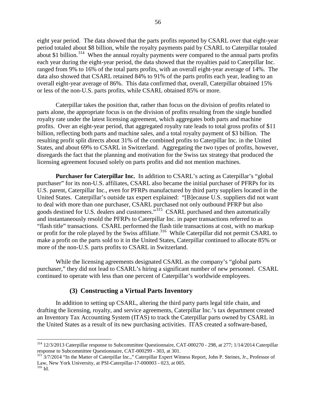eight year period. The data showed that the parts profits reported by CSARL over that eight-year period totaled about \$8 billion, while the royalty payments paid by CSARL to Caterpillar totaled about \$1 billion.<sup>314</sup> When the annual royalty payments were compared to the annual parts profits each year during the eight-year period, the data showed that the royalties paid to Caterpillar Inc. ranged from 9% to 16% of the total parts profits, with an overall eight-year average of 14%. The data also showed that CSARL retained 84% to 91% of the parts profits each year, leading to an overall eight-year average of 86%. This data confirmed that, overall, Caterpillar obtained 15% or less of the non-U.S. parts profits, while CSARL obtained 85% or more.

Caterpillar takes the position that, rather than focus on the division of profits related to parts alone, the appropriate focus is on the division of profits resulting from the single bundled royalty rate under the latest licensing agreement, which aggregates both parts and machine profits. Over an eight-year period, that aggregated royalty rate leads to total gross profits of \$11 billion, reflecting both parts and machine sales, and a total royalty payment of \$3 billion. The resulting profit split directs about 31% of the combined profits to Caterpillar Inc. in the United States, and about 69% to CSARL in Switzerland. Aggregating the two types of profits, however, disregards the fact that the planning and motivation for the Swiss tax strategy that produced the licensing agreement focused solely on parts profits and did not mention machines.

**Purchaser for Caterpillar Inc.** In addition to CSARL's acting as Caterpillar's "global purchaser" for its non-U.S. affiliates, CSARL also became the initial purchaser of PFRPs for its U.S. parent, Caterpillar Inc., even for PFRPs manufactured by third party suppliers located in the United States. Caterpillar's outside tax expert explained: "[B]ecause U.S. suppliers did not want to deal with more than one purchaser, CSARL purchased not only outbound PFRP but also goods destined for U.S. dealers and customers."<sup>[315](#page-59-1)</sup> CSARL purchased and then automatically and instantaneously resold the PFRPs to Caterpillar Inc. in paper transactions referred to as "flash title" transactions. CSARL performed the flash title transactions at cost, with no markup or profit for the role played by the Swiss affiliate.<sup>316</sup> While Caterpillar did not permit CSARL to make a profit on the parts sold to it in the United States, Caterpillar continued to allocate 85% or more of the non-U.S. parts profits to CSARL in Switzerland.

While the licensing agreements designated CSARL as the company's "global parts purchaser," they did not lead to CSARL's hiring a significant number of new personnel. CSARL continued to operate with less than one percent of Caterpillar's worldwide employees.

### **(3) Constructing a Virtual Parts Inventory**

In addition to setting up CSARL, altering the third party parts legal title chain, and drafting the licensing, royalty, and service agreements, Caterpillar Inc.'s tax department created an Inventory Tax Accounting System (ITAS) to track the Caterpillar parts owned by CSARL in the United States as a result of its new purchasing activities. ITAS created a software-based,

<span id="page-59-0"></span><sup>&</sup>lt;sup>314</sup> 12/3/2013 Caterpillar response to Subcommittee Questionnaire, CAT-000270 - 298, at 277; 1/14/2014 Caterpillar response to Subcommittee Questionnaire, CAT-000299 - 303, at 301.<br><sup>315</sup> 3/7/2014 "In the Matter of Caterpillar Inc.," Caterpillar Expert Witness Report, John P. Steines, Jr., Professor of

<span id="page-59-1"></span>Law, New York University, at PSI-Caterpillar-17-000003 - 023, at 005.<br><sup>316</sup> Id.

<span id="page-59-2"></span>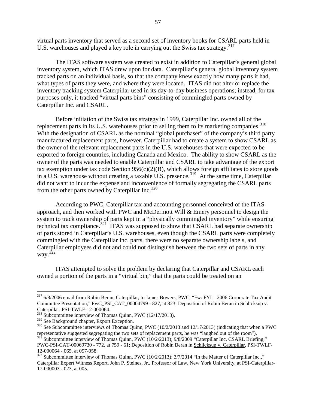virtual parts inventory that served as a second set of inventory books for CSARL parts held in U.S. warehouses and played a key role in carrying out the Swiss tax strategy.<sup>317</sup>

The ITAS software system was created to exist in addition to Caterpillar's general global inventory system, which ITAS drew upon for data. Caterpillar's general global inventory system tracked parts on an individual basis, so that the company knew exactly how many parts it had, what types of parts they were, and where they were located. ITAS did not alter or replace the inventory tracking system Caterpillar used in its day-to-day business operations; instead, for tax purposes only, it tracked "virtual parts bins" consisting of commingled parts owned by Caterpillar Inc. and CSARL.

Before initiation of the Swiss tax strategy in 1999, Caterpillar Inc. owned all of the replacement parts in its U.S. warehouses prior to selling them to its marketing companies.<sup>[318](#page-60-1)</sup> With the designation of CSARL as the nominal "global purchaser" of the company's third party manufactured replacement parts, however, Caterpillar had to create a system to show CSARL as the owner of the relevant replacement parts in the U.S. warehouses that were expected to be exported to foreign countries, including Canada and Mexico. The ability to show CSARL as the owner of the parts was needed to enable Caterpillar and CSARL to take advantage of the export tax exemption under tax code Section  $956(c)(2)(B)$ , which allows foreign affiliates to store goods in a U.S. warehouse without creating a taxable U.S. presence.<sup>319</sup> At the same time, Caterpillar did not want to incur the expense and inconvenience of formally segregating the CSARL parts from the other parts owned by Caterpillar Inc.<sup>[320](#page-60-3)</sup>

According to PWC, Caterpillar tax and accounting personnel conceived of the ITAS approach, and then worked with PWC and McDermott Will & Emery personnel to design the system to track ownership of parts kept in a "physically commingled inventory" while ensuring technical tax compliance.<sup>[321](#page-60-4)</sup> ITAS was supposed to show that CSARL had separate ownership of parts stored in Caterpillar's U.S. warehouses, even though the CSARL parts were completely commingled with the Caterpillar Inc. parts, there were no separate ownership labels, and Caterpillar employees did not and could not distinguish between the two sets of parts in any way.[322](#page-60-5) 

ITAS attempted to solve the problem by declaring that Caterpillar and CSARL each owned a portion of the parts in a "virtual bin," that the parts could be treated on an

<span id="page-60-0"></span><sup>&</sup>lt;sup>317</sup> 6/8/2006 email from Robin Beran, Caterpillar, to James Bowers, PWC, "Fw: FYI – 2006 Corporate Tax Audit Committee Presentation," PwC\_PSI\_CAT\_00004799 - 827, at 823; Deposition of Robin Beran in Schlicksup v. Caterpillar, PSI-TWLF-12-000064.<br><sup>318</sup> Subcommittee interview of Thomas Quinn, PWC (12/17/2013).<br><sup>319</sup> See Background chapter, Export Exception.

<span id="page-60-1"></span>

<span id="page-60-2"></span>

<span id="page-60-3"></span> $320$  See Subcommittee interviews of Thomas Quinn, PWC (10/2/2013 and 12/17/2013) (indicating that when a PWC representative suggested segregating the two sets of replacement parts, he was "laughed out of the room"). <sup>321</sup> Subcommittee interview of Thomas Quinn, PWC (10/2/2013); 9/8/2009 "Caterpillar Inc. CSARL Briefing," PWC-PSI-CAT-00069730 - 772, at 759 - 61; Deposition of Robin Beran in Schlicksup v. Caterpillar, PSI-TWLF-

<span id="page-60-5"></span><span id="page-60-4"></span><sup>12-000064 -</sup> 065, at 057-058. <sup>322</sup> Subcommittee interview of Thomas Quinn, PWC (10/2/2013); 3/7/2014 "In the Matter of Caterpillar Inc.," Caterpillar Expert Witness Report, John P. Steines, Jr., Professor of Law, New York University, at PSI-Caterpillar-17-000003 - 023, at 005.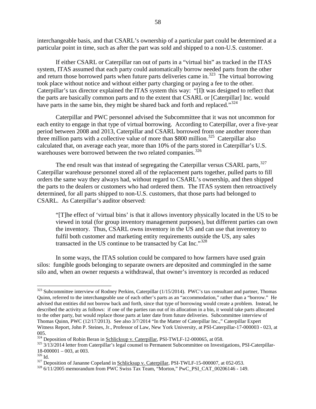interchangeable basis, and that CSARL's ownership of a particular part could be determined at a particular point in time, such as after the part was sold and shipped to a non-U.S. customer.

If either CSARL or Caterpillar ran out of parts in a "virtual bin" as tracked in the ITAS system, ITAS assumed that each party could automatically borrow needed parts from the other and return those borrowed parts when future parts deliveries came in.<sup>323</sup> The virtual borrowing took place without notice and without either party charging or paying a fee to the other. Caterpillar's tax director explained the ITAS system this way: "[I]t was designed to reflect that the parts are basically common parts and to the extent that CSARL or [Caterpillar] Inc. would have parts in the same bin, they might be shared back and forth and replaced."<sup>[324](#page-61-1)</sup>

Caterpillar and PWC personnel advised the Subcommittee that it was not uncommon for each entity to engage in that type of virtual borrowing. According to Caterpillar, over a five-year period between 2008 and 2013, Caterpillar and CSARL borrowed from one another more than three million parts with a collective value of more than \$800 million.<sup>[325](#page-61-2)</sup> Caterpillar also calculated that, on average each year, more than 10% of the parts stored in Caterpillar's U.S. warehouses were borrowed between the two related companies.<sup>[326](#page-61-3)</sup>

The end result was that instead of segregating the Caterpillar versus CSARL parts,  $327$ Caterpillar warehouse personnel stored all of the replacement parts together, pulled parts to fill orders the same way they always had, without regard to CSARL's ownership, and then shipped the parts to the dealers or customers who had ordered them. The ITAS system then retroactively determined, for all parts shipped to non-U.S. customers, that those parts had belonged to CSARL. As Caterpillar's auditor observed:

"[T]he effect of 'virtual bins' is that it allows inventory physically located in the US to be viewed in total (for group inventory management purposes), but different parties can own the inventory. Thus, CSARL owns inventory in the US and can use that inventory to fulfil both customer and marketing entity requirements outside the US, any sales transacted in the US continue to be transacted by Cat Inc."[328](#page-61-5) 

In some ways, the ITAS solution could be compared to how farmers have used grain silos: fungible goods belonging to separate owners are deposited and commingled in the same silo and, when an owner requests a withdrawal, that owner's inventory is recorded as reduced

<span id="page-61-0"></span> $323$  Subcommittee interview of Rodney Perkins, Caterpillar (1/15/2014). PWC's tax consultant and partner, Thomas Quinn, referred to the interchangeable use of each other's parts as an "accommodation," rather than a "borrow." He advised that entities did not borrow back and forth, since that type of borrowing would create a problem. Instead, he described the activity as follows: if one of the parties ran out of its allocation in a bin, it would take parts allocated to the other party, but would replace those parts at later date from future deliveries. Subcommittee interview of Thomas Quinn, PWC (12/17/2013). See also 3/7/2014 "In the Matter of Caterpillar Inc.," Caterpillar Expert Witness Report, John P. Steines, Jr., Professor of Law, New York University, at PSI-Caterpillar-17-000003 - 023, at 005.<br><sup>324</sup> Deposition of Robin Beran in Schlicksup v. Caterpillar, PSI-TWLF-12-000065, at 058.

<span id="page-61-1"></span>

<span id="page-61-2"></span> $325$  3/13/2014 letter from Caterpillar's legal counsel to Permanent Subcommittee on Investigations, PSI-Caterpillar-18-000001 – 003, at 003.<br><sup>326</sup> Id.<br><sup>327</sup> Deposition of Jananne Copeland in <u>Schlicksup v. Caterpillar</u>, PSI-TWLF-15-000007, at 052-053.<br><sup>328</sup> 6/11/2005 memorandum from PWC Swiss Tax Team, "Morton," PwC\_PSI\_CAT\_00206146 -

<span id="page-61-3"></span>

<span id="page-61-4"></span>

<span id="page-61-5"></span>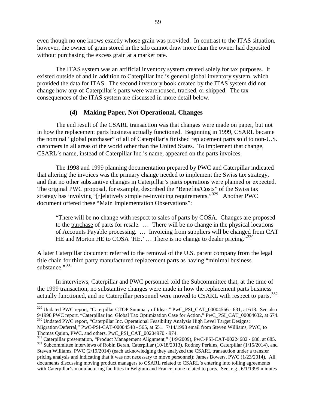even though no one knows exactly whose grain was provided. In contrast to the ITAS situation, however, the owner of grain stored in the silo cannot draw more than the owner had deposited without purchasing the excess grain at a market rate.

The ITAS system was an artificial inventory system created solely for tax purposes. It existed outside of and in addition to Caterpillar Inc.'s general global inventory system, which provided the data for ITAS. The second inventory book created by the ITAS system did not change how any of Caterpillar's parts were warehoused, tracked, or shipped. The tax consequences of the ITAS system are discussed in more detail below.

## **(4) Making Paper, Not Operational, Changes**

The end result of the CSARL transaction was that changes were made on paper, but not in how the replacement parts business actually functioned. Beginning in 1999, CSARL became the nominal "global purchaser" of all of Caterpillar's finished replacement parts sold to non-U.S. customers in all areas of the world other than the United States. To implement that change, CSARL's name, instead of Caterpillar Inc.'s name, appeared on the parts invoices.

The 1998 and 1999 planning documentation prepared by PWC and Caterpillar indicated that altering the invoices was the primary change needed to implement the Swiss tax strategy, and that no other substantive changes in Caterpillar's parts operations were planned or expected. The original PWC proposal, for example, described the "Benefits/Costs" of the Swiss tax strategy has involving "[r]elatively simple re-invoicing requirements."<sup>[329](#page-62-0)</sup> Another PWC document offered these "Main Implementation Observations":

"There will be no change with respect to sales of parts by COSA. Changes are proposed to the purchase of parts for resale. … There will be no change in the physical locations of Accounts Payable processing. … Invoicing from suppliers will be changed from CAT HE and Morton HE to COSA 'HE.'  $\dots$  There is no change to dealer pricing."<sup>[330](#page-62-1)</sup>

A later Caterpillar document referred to the removal of the U.S. parent company from the legal title chain for third party manufactured replacement parts as having "minimal business substance."<sup>[331](#page-62-2)</sup>

In interviews, Caterpillar and PWC personnel told the Subcommittee that, at the time of the 1999 transaction, no substantive changes were made in how the replacement parts business actually functioned, and no Caterpillar personnel were moved to CSARL with respect to parts.<sup>[332](#page-62-3)</sup>

<span id="page-62-0"></span> $329$  Undated PWC report, "Caterpillar CTOP Summary of Ideas," PwC\_PSI\_CAT\_00004566 - 631, at 618. See also 9/1998 PWC report, "Caterpillar Inc. Global Tax Optimization Case for Action," PwC\_PSI\_CAT\_00004632, at 674. <sup>330</sup> Undated PWC report, "Caterpillar Inc. Operational Feasibility Analysis High Level Target Designs:

<span id="page-62-1"></span>Migration/Deferral," PwC-PSI-CAT-00004548 - 565, at 551. 7/14/1998 email from Steven Williams, PWC, to<br>Thomas Quinn, PWC, and others, PwC\_PSI\_CAT\_00204970 - 974.

<span id="page-62-3"></span><span id="page-62-2"></span><sup>&</sup>lt;sup>331</sup> Caterpillar presentation, "Product Management Alignment," (1/9/2009), PwC-PSI-CAT-00224682 - 686, at 685.<br><sup>332</sup> Subcommittee interviews of Robin Beran, Caterpillar (10/18/2013), Rodney Perkins, Caterpillar (1/15/2014 Steven Williams, PWC (2/19/2014) (each acknowledging they analyzed the CSARL transaction under a transfer pricing analysis and indicating that it was not necessary to move personnel); James Bowers, PWC (1/23/2014). All documents discussing moving product managers to CSARL related to CSARL's entering into tolling agreements with Caterpillar's manufacturing facilities in Belgium and France; none related to parts. See, e.g., 6/1/1999 minutes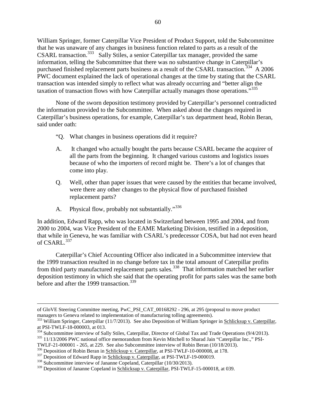William Springer, former Caterpillar Vice President of Product Support, told the Subcommittee that he was unaware of any changes in business function related to parts as a result of the CSARL transaction.<sup>[333](#page-63-0)</sup> Sally Stiles, a senior Caterpillar tax manager, provided the same information, telling the Subcommittee that there was no substantive change in Caterpillar's purchased finished replacement parts business as a result of the CSARL transaction.<sup>334</sup> A 2006 PWC document explained the lack of operational changes at the time by stating that the CSARL transaction was intended simply to reflect what was already occurring and "better align the taxation of transaction flows with how Caterpillar actually manages those operations."<sup>335</sup>

None of the sworn deposition testimony provided by Caterpillar's personnel contradicted the information provided to the Subcommittee. When asked about the changes required in Caterpillar's business operations, for example, Caterpillar's tax department head, Robin Beran, said under oath:

- "Q. What changes in business operations did it require?
- A. It changed who actually bought the parts because CSARL became the acquirer of all the parts from the beginning. It changed various customs and logistics issues because of who the importers of record might be. There's a lot of changes that come into play.
- Q. Well, other than paper issues that were caused by the entities that became involved, were there any other changes to the physical flow of purchased finished replacement parts?
- A. Physical flow, probably not substantially."<sup>[336](#page-63-3)</sup>

In addition, Edward Rapp, who was located in Switzerland between 1995 and 2004, and from 2000 to 2004, was Vice President of the EAME Marketing Division, testified in a deposition, that while in Geneva, he was familiar with CSARL's predecessor COSA, but had not even heard of  $CSARI<sub>1</sub><sup>337</sup>$  $CSARI<sub>1</sub><sup>337</sup>$  $CSARI<sub>1</sub><sup>337</sup>$ 

Caterpillar's Chief Accounting Officer also indicated in a Subcommittee interview that the 1999 transaction resulted in no change before tax in the total amount of Caterpillar profits from third party manufactured replacement parts sales.<sup>338</sup> That information matched her earlier deposition testimony in which she said that the operating profit for parts sales was the same both before and after the 1999 transaction.<sup>[339](#page-63-6)</sup>

of GloVE Steering Committee meeting, PwC\_PSI\_CAT\_00168292 - 296, at 295 (proposal to move product managers to Geneva related to implementation of manufacturing tolling agreements).

<span id="page-63-0"></span> $333$  William Springer, Caterpillar (11/7/2013). See also Deposition of William Springer in Schlicksup v. Caterpillar, at PSI-TWLF-18-000003, at 013.

<span id="page-63-2"></span><span id="page-63-1"></span><sup>&</sup>lt;sup>334</sup> Subcommittee interview of Sally Stiles, Caterpillar, Director of Global Tax and Trade Operations (9/4/2013).<br><sup>335</sup> 11/13/2006 PWC national office memorandum from Kevin Mitchell to Sharad Jain "Caterpillar Inc.," PSI

<span id="page-63-4"></span><span id="page-63-3"></span><sup>&</sup>lt;sup>336</sup> Deposition of Robin Beran in <u>Schlicksup v. Caterpillar</u>, at PSI-TWLF-10-000008, at 178.<br><sup>337</sup> Deposition of Edward Rapp in <u>Schlicksup v. Caterpillar</u>, at PSI-TWLF-19-000019.<br><sup>338</sup> Subcommittee interview of Jananne

<span id="page-63-6"></span><span id="page-63-5"></span><sup>&</sup>lt;sup>339</sup> Deposition of Jananne Copeland in Schlicksup v. Caterpillar, PSI-TWLF-15-000018, at 039.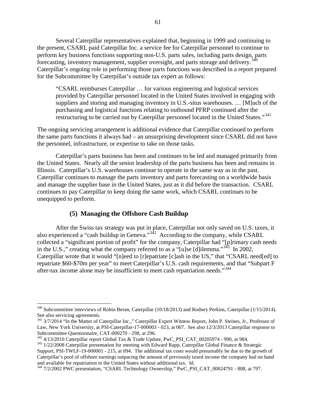Several Caterpillar representatives explained that, beginning in 1999 and continuing to the present, CSARL paid Caterpillar Inc. a service fee for Caterpillar personnel to continue to perform key business functions supporting non-U.S. parts sales, including parts design, parts forecasting, inventory management, supplier oversight, and parts storage and delivery.<sup>340</sup> Caterpillar's ongoing role in performing those parts functions was described in a report prepared for the Subcommittee by Caterpillar's outside tax expert as follows:

"CSARL reimburses Caterpillar … for various engineering and logistical services provided by Caterpillar personnel located in the United States involved in engaging with suppliers and storing and managing inventory in U.S.-situs warehouses. … [M]uch of the purchasing and logistical functions relating to outbound PFRP continued after the restructuring to be carried out by Caterpillar personnel located in the United States."<sup>[341](#page-64-1)</sup>

The ongoing servicing arrangement is additional evidence that Caterpillar continued to perform the same parts functions it always had – an unsurprising development since CSARL did not have the personnel, infrastructure, or expertise to take on those tasks.

Caterpillar's parts business has been and continues to be led and managed primarily from the United States. Nearly all the senior leadership of the parts business has been and remains in Illinois. Caterpillar's U.S. warehouses continue to operate in the same way as in the past. Caterpillar continues to manage the parts inventory and parts forecasting on a worldwide basis and manage the supplier base in the United States, just as it did before the transaction. CSARL continues to pay Caterpillar to keep doing the same work, which CSARL continues to be unequipped to perform.

### **(5) Managing the Offshore Cash Buildup**

 $\overline{\phantom{a}}$ 

After the Swiss tax strategy was put in place, Caterpillar not only saved on U.S. taxes, it also experienced a "cash buildup in Geneva." $342$  According to the company, while CSARL collected a "significant portion of profit" for the company, Caterpillar had "[p]rimary cash needs in the U.S.," creating what the company referred to as a "[u]se [d]ilemma."<sup>[343](#page-64-3)</sup> In 2002, Caterpillar wrote that it would "[n]eed to [r]epatriate [c]ash in the US," that "CSARL need[ed] to repatriate \$60-\$70m per year" to meet Caterpillar's U.S. cash requirements, and that "Subpart F after-tax income alone may be insufficient to meet cash repatriation needs."[344](#page-64-4)

<span id="page-64-0"></span><sup>&</sup>lt;sup>340</sup> Subcommittee interviews of Robin Beran, Caterpillar (10/18/2013) and Rodney Perkins, Caterpillar (1/15/2014). See also servicing agreements.<br><sup>341</sup> 3/7/2014 "In the Matter of Caterpillar Inc.," Caterpillar Expert Witness Report, John P. Steines, Jr., Professor of

<span id="page-64-1"></span>Law, New York University, at PSI-Caterpillar-17-000003 - 023, at 007. See also 12/3/2013 Caterpillar response to

<span id="page-64-3"></span><span id="page-64-2"></span>

 $342$  4/13/2010 Caterpillar report Global Tax & Trade Update, PwC\_PSI\_CAT\_00205974 - 990, at 984.<br> $343$  1/22/2008 Caterpillar presentation for meeting with Edward Rapp, Caterpillar Global Finance & Strategic Support, PSI-TWLF-19-000001 - 215, at 094. The additional tax costs would presumably be due to the growth of Caterpillar's pool of offshore earnings outpacing the amount of previously taxed income the company had on hand

<span id="page-64-4"></span><sup>&</sup>lt;sup>344</sup> 7/2/2002 PWC presentation, "CSARL Technology Ownership," PwC\_PSI\_CAT\_00024791 - 808, at 797.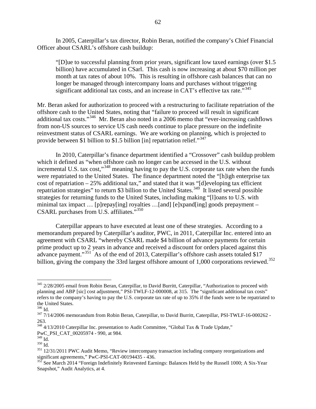In 2005, Caterpillar's tax director, Robin Beran, notified the company's Chief Financial Officer about CSARL's offshore cash buildup:

"[D]ue to successful planning from prior years, significant low taxed earnings (over \$1.5 billion) have accumulated in CSarl. This cash is now increasing at about \$70 million per month at tax rates of about 10%. This is resulting in offshore cash balances that can no longer be managed through intercompany loans and purchases without triggering significant additional tax costs, and an increase in CAT's effective tax rate."<sup>345</sup>

Mr. Beran asked for authorization to proceed with a restructuring to facilitate repatriation of the offshore cash to the United States, noting that "failure to proceed will result in significant additional tax costs."[346](#page-65-1) Mr. Beran also noted in a 2006 memo that "ever-increasing cashflows from non-US sources to service US cash needs continue to place pressure on the indefinite reinvestment status of CSARL earnings. We are working on planning, which is projected to provide between \$1 billion to \$1.5 billion [in] repatriation relief."<sup>[347](#page-65-2)</sup>

In 2010, Caterpillar's finance department identified a "Crossover" cash buildup problem which it defined as "when offshore cash no longer can be accessed in the U.S. without incremental U.S. tax cost,"<sup>[348](#page-65-3)</sup> meaning having to pay the U.S. corporate tax rate when the funds were repatriated to the United States. The finance department noted the "[h]igh enterprise tax cost of repatriation  $-25\%$  additional tax," and stated that it was "[d]eveloping tax efficient repatriation strategies" to return \$3 billion to the United States.<sup>[349](#page-65-4)</sup> It listed several possible strategies for returning funds to the United States, including making "[l]oans to U.S. with minimal tax impact … [p]repay[ing] royalties …[and] [e]xpand[ing] goods prepayment – CSARL purchases from U.S. affiliates."<sup>350</sup>

Caterpillar appears to have executed at least one of these strategies. According to a memorandum prepared by Caterpillar's auditor, PWC, in 2011, Caterpillar Inc. entered into an agreement with CSARL "whereby CSARL made \$4 billion of advance payments for certain prime product up to 2 years in advance and received a discount for orders placed against this advance payment."<sup>[351](#page-65-6)</sup> As of the end of 2013, Caterpillar's offshore cash assets totaled \$17 billion, giving the company the 33rd largest offshore amount of 1,000 corporations reviewed.<sup>[352](#page-65-7)</sup>

<span id="page-65-0"></span><sup>&</sup>lt;sup>345</sup> 2/28/2005 email from Robin Beran, Caterpillar, to David Burritt, Caterpillar, "Authorization to proceed with planning and ABP [sic] cost adjustment," PSI-TWLF-12-000008, at 315. The "significant additional tax costs" refers to the company's having to pay the U.S. corporate tax rate of up to 35% if the funds were to be repatriated to the United States.<br><sup>346</sup> Id.

<span id="page-65-2"></span><span id="page-65-1"></span><sup>&</sup>lt;sup>347</sup> 7/14/2006 memorandum from Robin Beran, Caterpillar, to David Burritt, Caterpillar, PSI-TWLF-16-000262 -263.

<span id="page-65-3"></span><sup>&</sup>lt;sup>348</sup> 4/13/2010 Caterpillar Inc. presentation to Audit Committee, "Global Tax & Trade Update,"

PwC\_PSI\_CAT\_00205974 - 990, at 984.<br><sup>349</sup> Id.

<span id="page-65-6"></span><span id="page-65-5"></span><span id="page-65-4"></span> $\frac{350 \text{ Id.}}{351 \text{ Id.}}$ <br> $\frac{350 \text{ Id.}}{12/31/2011 \text{ PWC}}$  Audit Memo, "Review intercompany transaction including company reorganizations and significant agreements," PwC-PSI-CAT-00194435 - 436.<br><sup>352</sup> See March 2014 "Foreign Indefinitely Reinvested Earnings: Balances Held by the Russell 1000; A Six-Year

<span id="page-65-7"></span>Snapshot," Audit Analytics, at 4.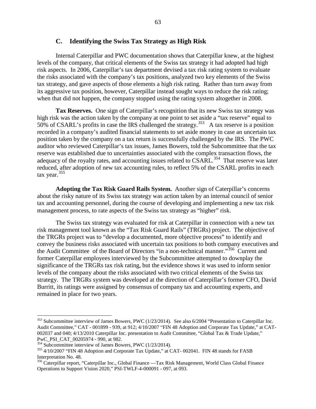## **C. Identifying the Swiss Tax Strategy as High Risk**

Internal Caterpillar and PWC documentation shows that Caterpillar knew, at the highest levels of the company, that critical elements of the Swiss tax strategy it had adopted had high risk aspects. In 2006, Caterpillar's tax department devised a tax risk rating system to evaluate the risks associated with the company's tax positions, analyzed two key elements of the Swiss tax strategy, and gave aspects of those elements a high risk rating. Rather than turn away from its aggressive tax position, however, Caterpillar instead sought ways to reduce the risk rating; when that did not happen, the company stopped using the rating system altogether in 2008.

**Tax Reserves.** One sign of Caterpillar's recognition that its new Swiss tax strategy was high risk was the action taken by the company at one point to set aside a "tax reserve" equal to 50% of CSARL's profits in case the IRS challenged the strategy.<sup>[353](#page-66-0)</sup> A tax reserve is a position recorded in a company's audited financial statements to set aside money in case an uncertain tax position taken by the company on a tax return is successfully challenged by the IRS. The PWC auditor who reviewed Caterpillar's tax issues, James Bowers, told the Subcommittee that the tax reserve was established due to uncertainties associated with the complex transaction flows, the adequacy of the royalty rates, and accounting issues related to CSARL.<sup>354</sup> That reserve was later reduced, after adoption of new tax accounting rules, to reflect 5% of the CSARL profits in each tax year. $355$ 

**Adopting the Tax Risk Guard Rails System.** Another sign of Caterpillar's concerns about the risky nature of its Swiss tax strategy was action taken by an internal council of senior tax and accounting personnel, during the course of developing and implementing a new tax risk management process, to rate aspects of the Swiss tax strategy as "higher" risk.

The Swiss tax strategy was evaluated for risk at Caterpillar in connection with a new tax risk management tool known as the "Tax Risk Guard Rails" (TRGRs) project. The objective of the TRGRs project was to "develop a documented, more objective process" to identify and convey the business risks associated with uncertain tax positions to both company executives and the Audit Committee of the Board of Directors "in a non-technical manner."<sup>[356](#page-66-3)</sup> Current and former Caterpillar employees interviewed by the Subcommittee attempted to downplay the significance of the TRGRs tax risk rating, but the evidence shows it was used to inform senior levels of the company about the risks associated with two critical elements of the Swiss tax strategy. The TRGRs system was developed at the direction of Caterpillar's former CFO, David Burritt, its ratings were assigned by consensus of company tax and accounting experts, and remained in place for two years.

<span id="page-66-0"></span><sup>&</sup>lt;sup>353</sup> Subcommittee interview of James Bowers, PWC (1/23/2014). See also 6/2004 "Presentation to Caterpillar Inc. Audit Committee," CAT - 001899 - 939, at 912; 4/10/2007 "FIN 48 Adoption and Corporate Tax Update," at CAT-002037 and 040; 4/13/2010 Caterpillar Inc. presentation to Audit Committee, "Global Tax & Trade Update,"<br>PwC PSI CAT 00205974 - 990, at 982.

<span id="page-66-2"></span><span id="page-66-1"></span><sup>&</sup>lt;sup>354</sup> Subcommittee interview of James Bowers, PWC (1/23/2014).  $\frac{355 \text{ 4}}{10}$  at CAT- 002041. FIN 48 stands for FASB Interpretation No. 48.

<span id="page-66-3"></span><sup>&</sup>lt;sup>356</sup> Caterpillar report, "Caterpillar Inc., Global Finance —Tax Risk Management, World Class Global Finance Operations to Support Vision 2020," PSI-TWLF-4-000091 - 097, at 093.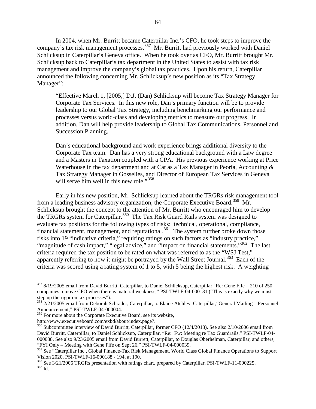In 2004, when Mr. Burritt became Caterpillar Inc.'s CFO, he took steps to improve the company's tax risk management processes.<sup>[357](#page-67-0)</sup> Mr. Burritt had previously worked with Daniel Schlicksup in Caterpillar's Geneva office. When he took over as CFO, Mr. Burritt brought Mr. Schlicksup back to Caterpillar's tax department in the United States to assist with tax risk management and improve the company's global tax practices. Upon his return, Caterpillar announced the following concerning Mr. Schlicksup's new position as its "Tax Strategy Manager":

"Effective March 1, [2005,] D.J. (Dan) Schlicksup will become Tax Strategy Manager for Corporate Tax Services. In this new role, Dan's primary function will be to provide leadership to our Global Tax Strategy, including benchmarking our performance and processes versus world-class and developing metrics to measure our progress. In addition, Dan will help provide leadership to Global Tax Communications, Personnel and Succession Planning.

Dan's educational background and work experience brings additional diversity to the Corporate Tax team. Dan has a very strong educational background with a Law degree and a Masters in Taxation coupled with a CPA. His previous experience working at Price Waterhouse in the tax department and at Cat as a Tax Manager in Peoria, Accounting & Tax Strategy Manager in Gosselies, and Director of European Tax Services in Geneva will serve him well in this new role."<sup>[358](#page-67-1)</sup>

Early in his new position, Mr. Schlicksup learned about the TRGRs risk management tool from a leading business advisory organization, the Corporate Executive Board.<sup>359</sup> Mr. Schlicksup brought the concept to the attention of Mr. Burritt who encouraged him to develop the TRGRs system for Caterpillar.<sup>360</sup> The Tax Risk Guard Rails system was designed to evaluate tax positions for the following types of risks: technical, operational, compliance, financial statement, management, and reputational.<sup>361</sup> The system further broke down those risks into 19 "indicative criteria," requiring ratings on such factors as "industry practice," "magnitude of cash impact," "legal advice," and "impact on financial statements."<sup>362</sup> The last criteria required the tax position to be rated on what was referred to as the "WSJ Test," apparently referring to how it might be portrayed by the Wall Street Journal.<sup>363</sup> Each of the criteria was scored using a rating system of 1 to 5, with 5 being the highest risk. A weighting

<span id="page-67-0"></span><sup>&</sup>lt;sup>357</sup> 8/19/2005 email from David Burritt, Caterpillar, to Daniel Schlicksup, Caterpillar, "Re: Gene Fife – 210 of 250 companies remove CFO when there is material weakness," PSI-TWLF-04-000131 ("This is exactly why we must step up the rigor on tax processes").

<span id="page-67-1"></span><sup>&</sup>lt;sup>358</sup> 2/21/2005 email from Deborah Schrader, Caterpillar, to Elaine Atchley, Caterpillar, "General Mailing – Personnel Announcement," PSI-TWLF-04-000004.

<sup>&</sup>lt;sup>359</sup> For more about the Corporate Executive Board, see its website,

<span id="page-67-2"></span>http://www.executiveboard.com/exbd/about/index.page?.

<span id="page-67-3"></span> $360$  Subcommittee interview of David Burritt, Caterpillar, former CFO (12/4/2013). See also 2/10/2006 email from David Burritt, Caterpillar, to Daniel Schlicksup, Caterpillar, "Re: Fw: Meeting re Tax Guardrails," PSI-TWLF-04- 000038. See also 9/23/2005 email from David Burrett, Caterpillar, to Douglas Oberhelman, Caterpillar, and others, "FYI Only – Meeting with Gene Fife on Sept 26," PSI-TWLF-04-000039.

<span id="page-67-4"></span><sup>&</sup>lt;sup>361</sup> See "Caterpillar Inc., Global Finance-Tax Risk Management, World Class Global Finance Operations to Support

<span id="page-67-6"></span><span id="page-67-5"></span>Vision 2020, PSI-TWLF-16-000188 - 194, at 190.<br><sup>362</sup> See 3/21/2006 TRGRs presentation with ratings chart, prepared by Caterpillar, PSI-TWLF-11-000225.<br><sup>363</sup> Id.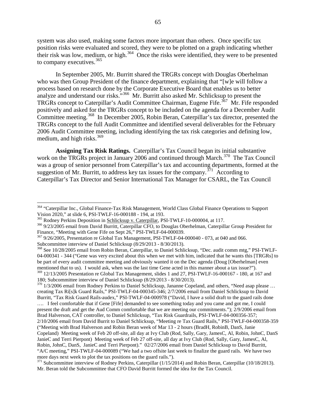system was also used, making some factors more important than others. Once specific tax position risks were evaluated and scored, they were to be plotted on a graph indicating whether their risk was low, medium, or high.<sup>[364](#page-68-0)</sup> Once the risks were identified, they were to be presented to company executives.<sup>[365](#page-68-1)</sup>

In September 2005, Mr. Burritt shared the TRGRs concept with Douglas Oberhelman who was then Group President of the finance department, explaining that "[w]e will follow a process based on research done by the Corporate Executive Board that enables us to better analyze and understand our risks."<sup>[366](#page-68-2)</sup> Mr. Burritt also asked Mr. Schlicksup to present the TRGRs concept to Caterpillar's Audit Committee Chairman, Eugene Fife.<sup>[367](#page-68-3)</sup> Mr. Fife responded positively and asked for the TRGRs concept to be included on the agenda for a December Audit Committee meeting.<sup>368</sup> In December 2005, Robin Beran, Caterpillar's tax director, presented the TRGRs concept to the full Audit Committee and identified several deliverables for the February 2006 Audit Committee meeting, including identifying the tax risk categories and defining low, medium, and high risks.<sup>[369](#page-68-5)</sup>

**Assigning Tax Risk Ratings.** Caterpillar's Tax Council began its initial substantive work on the TRGRs project in January 2006 and continued through March.<sup>370</sup> The Tax Council was a group of senior personnel from Caterpillar's tax and accounting departments, formed at the suggestion of Mr. Burritt, to address key tax issues for the company.<sup>[371](#page-68-7)</sup> According to Caterpillar's Tax Director and Senior International Tax Manager for CSARL, the Tax Council

<span id="page-68-0"></span><sup>364</sup> "Caterpillar Inc., Global Finance-Tax Risk Management, World Class Global Finance Operations to Support Vision 2020," at slide 6, PSI-TWLF-16-000188 - 194, at 193.<br><sup>365</sup> Rodney Perkins Deposition in <u>Schlicksup v. Caterpillar</u>, PSI-TWLF-10-000004, at 117.<br><sup>366</sup> 9/23/2005 email from David Burritt, Caterpillar CFO, to Douglas

<span id="page-68-2"></span><span id="page-68-1"></span>Finance, "Meeting with Gene Fife on Sept 26," PSI-TWLF-04-000039.<br><sup>367</sup> 9/26/2005, Presentation re Global Tax Management, PSI-TWLF-04-000040 - 073, at 040 and 066.

<span id="page-68-4"></span><span id="page-68-3"></span>Subcommittee interview of Daniel Schlicksup (8/29/2013 - 8/30/2013).<br><sup>368</sup> See 10/28/2005 email from Robin Beran, Caterpillar, to Daniel Schlicksup, "Dec. audit comm mtg," PSI-TWLF-04-000341 - 344 ("Gene was very excited about this when we met with him, indicated that he wants this [TRGRs] to be part of every audit committee meeting and obviously wanted it on the Dec agenda (Doug [Oberhelman] even mentioned that to us). I would ask, when was the last time Gene acted in this manner about a tax issue?"). <sup>369</sup> 12/13/2005 Presentation re Global Tax Management, slides 1 and 27, PSI-TWLF-16-000167 - 180, at 167 and 180; Subcommittee interview of Daniel Schlicksup (8/29/2013 - 8/30/2013).<br><sup>370</sup> 1/3/2006 email from Rodney Perkins to Daniel Schlicksup, Jananne Copeland, and others, "Need asap please ...

<span id="page-68-6"></span><span id="page-68-5"></span>creating Tax Ri[s]k Guard Rails," PSI-TWLF-04-000345-346; 2/7/2006 email from Daniel Schlicksup to David Burritt, "Tax Risk Guard Rails-audex," PSI-TWLF-04-000978 ("David, I have a solid draft to the guard rails done …. I feel comfortable that if Gene [Fife] demanded to see something today and you came and got me, I could present the draft and get the Aud Comm comfortable that we are meeting our commitments."); 2/9/2006 email from Brad Halverson, CAT controller, to Daniel Schlicksup, "Tax Risk Guardrails, PSI-TWLF-04-000356-357; 2/10/2006 email from David Burrit to Daniel Schlicksup, "Meeting re Tax Guard Rails," PSI-TWLF-04-000358-359 ("Meeting with Brad Halverson and Robin Beran week of Mar 13 - 2 hours (BradH, RobinB, DanS, Janie Copeland) Meeting week of Feb 20 off-site, all day at Ivy Club (Rod, Sally, Gary, JamesC, Al, Robin, JohnC, DanS JanieC and Terri Pierpont) Meeting week of Feb 27 off-site, all day at Ivy Club (Rod, Sally, Gary, JamesC, Al, Robin, JohnC, DanS, JanieC and Terri Pierpont)." 02/27/2006 email from Daniel Schlicksup to David Burritt, "A/C meeting," PSI-TWLF-04-000089 ("We had a two offsite last week to finalize the guard rails. We have two more days next week to plot the tax positions on the guard rails.").<br><sup>371</sup> Subcommittee interview of Rodney Perkins, Caterpillar (1/15/2014) and Robin Beran, Caterpillar (10/18/2013).

<span id="page-68-7"></span>Mr. Beran told the Subcommittee that CFO David Burritt formed the idea for the Tax Council.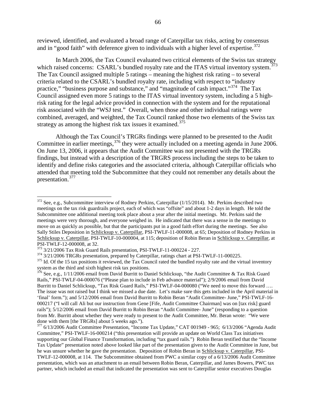reviewed, identified, and evaluated a broad range of Caterpillar tax risks, acting by consensus and in "good faith" with deference given to individuals with a higher level of expertise. $372$ 

In March 2006, the Tax Council evaluated two critical elements of the Swiss tax strategy which raised concerns: CSARL's bundled royalty rate and the ITAS virtual inventory system.<sup>[373](#page-69-1)</sup> The Tax Council assigned multiple 5 ratings – meaning the highest risk rating – to several criteria related to the CSARL's bundled royalty rate, including with respect to "industry practice," "business purpose and substance," and "magnitude of cash impact."<sup>374</sup> The Tax Council assigned even more 5 ratings to the ITAS virtual inventory system, including a 5 highrisk rating for the legal advice provided in connection with the system and for the reputational risk associated with the "WSJ test." Overall, when those and other individual ratings were combined, averaged, and weighted, the Tax Council ranked those two elements of the Swiss tax strategy as among the highest risk tax issues it examined.<sup>[375](#page-69-3)</sup>

Although the Tax Council's TRGRs findings were planned to be presented to the Audit Committee in earlier meetings,<sup>[376](#page-69-4)</sup> they were actually included on a meeting agenda in June 2006. On June 13, 2006, it appears that the Audit Committee was not presented with the TRGRs findings, but instead with a description of the TRGRS process including the steps to be taken to identify and define risks categories and the associated criteria, although Caterpillar officials who attended that meeting told the Subcommittee that they could not remember any details about the presentation.[377](#page-69-5)

<span id="page-69-0"></span> $372$  See, e.g., Subcommittee interview of Rodney Perkins, Caterpillar (1/15/2014). Mr. Perkins described two meetings on the tax risk guardrails project, each of which was "offsite" and about 1-2 days in length. He told the Subcommittee one additional meeting took place about a year after the initial meetings. Mr. Perkins said the meetings were very thorough, and everyone weighed in. He indicated that there was a sense in the meetings to move on as quickly as possible, but that the participants put in a good faith effort during the meetings. See also Sally Stiles Deposition in Schlicksup v. Caterpillar, PSI-TWLF-11-000008, at 65; Deposition of Rodney Perkins in Schlicksup v. Caterpillar, PSI-TWLF-10-000004, at 115; deposition of Robin Beran in Schlicksup v. Caterpillar, at PSI-TWLF-12-000008, at 32.

<span id="page-69-2"></span>

<span id="page-69-1"></span> $^{373}$  3/21/2006 Tax Risk Guard Rails presentation, PSI-TWLF-11-000224 - 227.<br> $^{374}$  3/21/2006 TRGRs presentation, prepared by Caterpillar, ratings chart at PSI-TWLF-11-000225.<br> $^{375}$  Id. Of the 15 tax positions it rev

<span id="page-69-3"></span>system as the third and sixth highest risk tax positions.

<span id="page-69-4"></span> $3^{36}$  See, e.g., 1/11/2006 email from David Burritt to Daniel Schlicksup, "the Audit Committee & Tax Risk Guard Rails," PSI-TWLF-04-000076 ("Please plan to include in Feb advance material"); 2/9/2006 email from David Burritt to Daniel Schlicksup, "Tax Risk Guard Rails," PSI-TWLF-04-000080 ("We need to move this forward …. The issue was not raised but I think we missed a due date. Let's make sure this gets included in the April material in 'final' form."); and 5/12/2006 email from David Burritt to Robin Beran "Audit Committee- June," PSI-TWLF-16- 000217 ("I will call Ali but our instruction from Gene [Fife, Audit Committee Chairman] was on [tax risk] guard rails"); 5/12/2006 email from David Burritt to Robin Beran "Audit Committee- June" (responding to a question from Mr. Burritt about whether they were ready to present to the Audit Committee, Mr. Beran wrote: "We were done with them [the TRGRs] about 5 weeks ago.").

<span id="page-69-5"></span><sup>377</sup> 6/13/2006 Audit Committee Presentation, "Income Tax Update," CAT 001949 - 965; 6/13/2006 "Agenda Audit Committee," PSI-TWLF-16-000214 ("this presentation will provide an update on World Class Tax initiatives supporting our Global Finance Transformation, including "tax guard rails.") Robin Beran testified that the "Income Tax Update" presentation noted above looked like part of the presentation given to the Audit Committee in June, but he was unsure whether he gave the presentation. Deposition of Robin Beran in Schlicksup v. Caterpillar, PSI-TWLF-12-000008, at 114. The Subcommittee obtained from PWC a similar copy of a 6/13/2006 Audit Committee presentation, which was an attachment to an email between Robin Beran, Caterpillar, and James Bowers, PWC tax partner, which included an email that indicated the presentation was sent to Caterpillar senior executives Douglas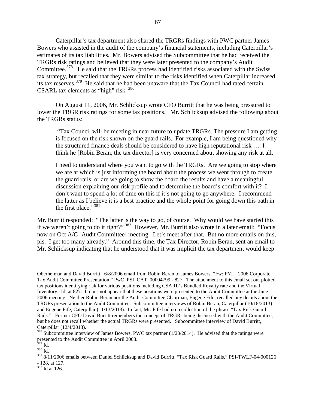Caterpillar's tax department also shared the TRGRs findings with PWC partner James Bowers who assisted in the audit of the company's financial statements, including Caterpillar's estimates of its tax liabilities. Mr. Bowers advised the Subcommittee that he had received the TRGRs risk ratings and believed that they were later presented to the company's Audit Committee.<sup>[378](#page-70-0)</sup> He said that the TRGRs process had identified risks associated with the Swiss tax strategy, but recalled that they were similar to the risks identified when Caterpillar increased its tax reserves.[379](#page-70-1) He said that he had been unaware that the Tax Council had rated certain CSARL tax elements as "high" risk. [380](#page-70-2)

On August 11, 2006, Mr. Schlicksup wrote CFO Burritt that he was being pressured to lower the TRGR risk ratings for some tax positions. Mr. Schlicksup advised the following about the TRGRs status:

"Tax Council will be meeting in near future to update TRGRs. The pressure I am getting is focused on the risk shown on the guard rails. For example, I am being questioned why the structured finance deals should be considered to have high reputational risk …. I think he [Robin Beran, the tax director] is very concerned about showing any risk at all.

I need to understand where you want to go with the TRGRs. Are we going to stop where we are at which is just informing the board about the process we went through to create the guard rails, or are we going to show the board the results and have a meaningful discussion explaining our risk profile and to determine the board's comfort with it? I don't want to spend a lot of time on this if it's not going to go anywhere. I recommend the latter as I believe it is a best practice and the whole point for going down this path in the first place." $381$ 

Mr. Burritt responded: "The latter is the way to go, of course. Why would we have started this if we weren't going to do it right?" [382](#page-70-4) However, Mr. Burritt also wrote in a later email: "Focus now on Oct A/C [Audit Committee] meeting. Let's meet after that. But no more emails on this, pls. I get too many already." Around this time, the Tax Director, Robin Beran, sent an email to Mr. Schlicksup indicating that he understood that it was implicit the tax department would keep

Oberhelman and David Burritt. 6/8/2006 email from Robin Beran to James Bowers, "Fw: FYI – 2006 Corporate Tax Audit Committee Presentation," PwC\_PSI\_CAT\_00004799 - 827. The attachment to this email set out plotted tax positions identifying risk for various positions including CSARL's Bundled Royalty rate and the Virtual Inventory. Id. at 827. It does not appear that these positions were presented to the Audit Committee at the June 2006 meeting. Neither Robin Beran nor the Audit Committee Chairman, Eugene Fife, recalled any details about the TRGRs presentation to the Audit Committee. Subcommittee interviews of Robin Beran, Caterpillar (10/18/2013) and Eugene Fife, Caterpillar (11/13/2013). In fact, Mr. Fife had no recollection of the phrase "Tax Risk Guard Rails." Former CFO David Burritt remembers the concept of TRGRs being discussed with the Audit Committee, but he does not recall whether the actual TRGRs were presented. Subcommittee interview of David Burritt, Caterpillar (12/4/2013).

<span id="page-70-0"></span> $378$  Subcommittee interview of James Bowers, PWC tax partner ( $1/23/2014$ ). He advised that the ratings were presented to the Audit Committee in April 2008.<br><sup>379</sup> Id.

<span id="page-70-4"></span><span id="page-70-3"></span>

<span id="page-70-2"></span><span id="page-70-1"></span><sup>380</sup> Id.<br><sup>381</sup> Id. 381 3/11/2006 emails between Daniel Schlicksup and David Burritt, "Tax Risk Guard Rails," PSI-TWLF-04-000126 - 128, at 127.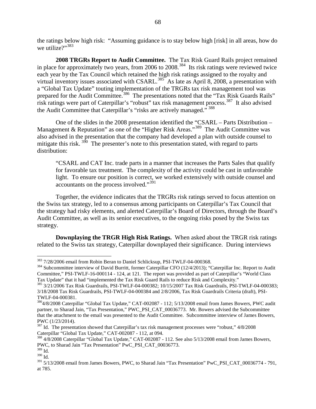the ratings below high risk: "Assuming guidance is to stay below high [risk] in all areas, how do we utilize?" $383$ 

**2008 TRGRs Report to Audit Committee.** The Tax Risk Guard Rails project remained in place for approximately two years, from 2006 to 2008.<sup>384</sup> Its risk ratings were reviewed twice each year by the Tax Council which retained the high risk ratings assigned to the royalty and virtual inventory issues associated with CSARL.<sup>[385](#page-71-2)</sup> As late as April 8, 2008, a presentation with a "Global Tax Update" touting implementation of the TRGRs tax risk management tool was prepared for the Audit Committee.<sup>[386](#page-71-3)</sup> The presentations noted that the "Tax Risk Guards Rails" risk ratings were part of Caterpillar's "robust" tax risk management process.[387](#page-71-4) It also advised the Audit Committee that Caterpillar's "risks are actively managed."<sup>[388](#page-71-5)</sup>

One of the slides in the 2008 presentation identified the "CSARL – Parts Distribution – Management & Reputation" as one of the "Higher Risk Areas."<sup>389</sup> The Audit Committee was also advised in the presentation that the company had developed a plan with outside counsel to mitigate this risk.  $3^{50}$  The presenter's note to this presentation stated, with regard to parts distribution:

"CSARL and CAT Inc. trade parts in a manner that increases the Parts Sales that qualify for favorable tax treatment. The complexity of the activity could be cast in unfavorable light. To ensure our position is correct, we worked extensively with outside counsel and accountants on the process involved."<sup>[391](#page-71-8)</sup>

Together, the evidence indicates that the TRGRs risk ratings served to focus attention on the Swiss tax strategy, led to a consensus among participants on Caterpillar's Tax Council that the strategy had risky elements, and alerted Caterpillar's Board of Directors, through the Board's Audit Committee, as well as its senior executives, to the ongoing risks posed by the Swiss tax strategy.

**Downplaying the TRGR High Risk Ratings.** When asked about the TRGR risk ratings related to the Swiss tax strategy, Caterpillar downplayed their significance. During interviews

<span id="page-71-1"></span><span id="page-71-0"></span><sup>&</sup>lt;sup>383</sup> 7/28/2006 email from Robin Beran to Daniel Schlicksup, PSI-TWLF-04-000368.<br><sup>384</sup> Subcommittee interview of David Burritt, former Caterpillar CFO (12/4/2013); "Caterpillar Inc. Report to Audit Committee," PSI-TWLF-16-000114 - 124, at 121. The report was provided as part of Caterpillar's "World Class

<span id="page-71-2"></span>Tax Update" that it had "implemented the Tax Risk Guard Rails to reduce Risk and Complexity."<br><sup>385</sup> 3/21/2006 Tax Risk Guardrails, PSI-TWLF-04-000382; 10/15/2007 Tax Risk Guardrails, PSI-TWLF-04-000383; 3/18/2008 Tax Risk Guardrails, PSI-TWLF-04-000384 and 2/8/2006, Tax Risk Guardrails Criteria (draft), PSI-

<span id="page-71-3"></span>TWLF-04-000381. 3864/8/2008 Caterpillar "Global Tax Update," CAT-002087 - 112; 5/13/2008 email from James Bowers, PWC audit partner, to Sharad Jain, "Tax Presentation," PWC\_PSI\_CAT\_00036773. Mr. Bowers advised the Subcommittee that the attachment to the email was presented to the Audit Committee. Subcommittee interview of James Bowers, PWC (1/23/2014).

<span id="page-71-4"></span> $387$  Id. The presentation showed that Caterpillar's tax risk management processes were "robust,"  $4/8/2008$ <br>Caterpillar "Global Tax Update," CAT-002087 - 112, at 094.

<span id="page-71-5"></span> $\frac{3884}{8}/\frac{8}{2008}$  Caterpillar "Global Tax Update," CAT-002087 - 112. See also 5/13/2008 email from James Bowers, PWC, to Sharad Jain "Tax Presentation" PwC\_PSI\_CAT\_00036773.<br><sup>389</sup> Id.

<span id="page-71-7"></span><span id="page-71-6"></span> $^{390}\!$  Id.

<span id="page-71-8"></span> $391$  5/13/2008 email from James Bowers, PWC, to Sharad Jain "Tax Presentation" PwC\_PSI\_CAT\_00036774 - 791, at 785.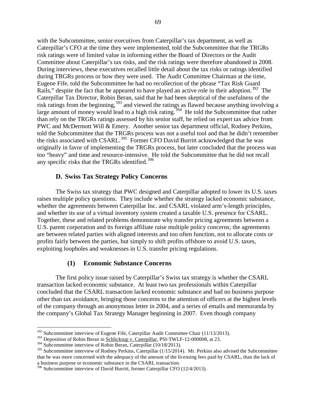with the Subcommittee, senior executives from Caterpillar's tax department, as well as Caterpillar's CFO at the time they were implemented, told the Subcommittee that the TRGRs risk ratings were of limited value in informing either the Board of Directors or the Audit Committee about Caterpillar's tax risks, and the risk ratings were therefore abandoned in 2008. During interviews, these executives recalled little detail about the tax risks or ratings identified during TRGRs process or how they were used. The Audit Committee Chairman at the time, Eugene Fife, told the Subcommittee he had no recollection of the phrase "Tax Risk Guard Rails," despite the fact that he appeared to have played an active role in their adoption.<sup>392</sup> The Caterpillar Tax Director, Robin Beran, said that he had been skeptical of the usefulness of the risk ratings from the beginning,<sup>[393](#page-72-1)</sup> and viewed the ratings as flawed because anything involving a large amount of money would lead to a high risk rating.<sup>[394](#page-72-2)</sup> He told the Subcommittee that rather than rely on the TRGRs ratings assessed by his senior staff, he relied on expert tax advice from PWC and McDermott Will & Emery. Another senior tax department official, Rodney Perkins, told the Subcommittee that the TRGRs process was not a useful tool and that he didn't remember the risks associated with CSARL.<sup>[395](#page-72-3)</sup> Former CFO David Burritt acknowledged that he was originally in favor of implementing the TRGRs process, but later concluded that the process was too "heavy" and time and resource-intensive. He told the Subcommittee that he did not recall any specific risks that the TRGRs identified.<sup>[396](#page-72-4)</sup>

### **D. Swiss Tax Strategy Policy Concerns**

The Swiss tax strategy that PWC designed and Caterpillar adopted to lower its U.S. taxes raises multiple policy questions. They include whether the strategy lacked economic substance, whether the agreements between Caterpillar Inc. and CSARL violated arm's-length principles, and whether its use of a virtual inventory system created a taxable U.S. presence for CSARL. Together, these and related problems demonstrate why transfer pricing agreements between a U.S. parent corporation and its foreign affiliate raise multiple policy concerns; the agreements are between related parties with aligned interests and too often function, not to allocate costs or profits fairly between the parties, but simply to shift profits offshore to avoid U.S. taxes, exploiting loopholes and weaknesses in U.S. transfer pricing regulations.

### **(1) Economic Substance Concerns**

The first policy issue raised by Caterpillar's Swiss tax strategy is whether the CSARL transaction lacked economic substance. At least two tax professionals within Caterpillar concluded that the CSARL transaction lacked economic substance and had no business purpose other than tax avoidance, bringing those concerns to the attention of officers at the highest levels of the company through an anonymous letter in 2004, and a series of emails and memoranda by the company's Global Tax Strategy Manager beginning in 2007. Even though company

<span id="page-72-0"></span> $392$  Subcommittee interview of Eugene Fife, Caterpillar Audit Committee Chair (11/13/2013).

<span id="page-72-1"></span><sup>&</sup>lt;sup>393</sup> Deposition of Robin Beran in Schlicksup v. Caterpillar, PSI-TWLF-12-000008, at 23.

<span id="page-72-2"></span><sup>394</sup> Subcommittee interview of Robin Beran, Caterpillar (10/18/2013).

<span id="page-72-3"></span> $395$  Subcommittee interview of Rodney Perkins, Caterpillar ( $1/15/2014$ ). Mr. Perkins also advised the Subcommittee that he was more concerned with the adequacy of the amount of the licensing fees paid by CSARL, than the lack of a business purpose or economic substance in the CSARL transaction.

<span id="page-72-4"></span> $396$  Subcommittee interview of David Burritt, former Caterpillar CFO (12/4/2013).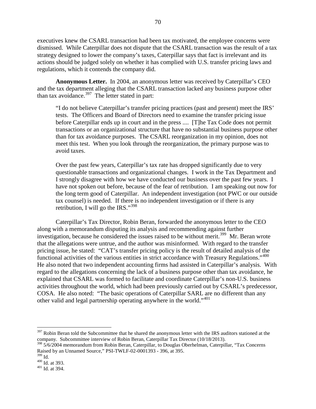executives knew the CSARL transaction had been tax motivated, the employee concerns were dismissed. While Caterpillar does not dispute that the CSARL transaction was the result of a tax strategy designed to lower the company's taxes, Caterpillar says that fact is irrelevant and its actions should be judged solely on whether it has complied with U.S. transfer pricing laws and regulations, which it contends the company did.

**Anonymous Letter.** In 2004, an anonymous letter was received by Caterpillar's CEO and the tax department alleging that the CSARL transaction lacked any business purpose other than tax avoidance.<sup>397</sup> The letter stated in part:

"I do not believe Caterpillar's transfer pricing practices (past and present) meet the IRS' tests. The Officers and Board of Directors need to examine the transfer pricing issue before Caterpillar ends up in court and in the press .... [T]he Tax Code does not permit transactions or an organizational structure that have no substantial business purpose other than for tax avoidance purposes. The CSARL reorganization in my opinion, does not meet this test. When you look through the reorganization, the primary purpose was to avoid taxes.

Over the past few years, Caterpillar's tax rate has dropped significantly due to very questionable transactions and organizational changes. I work in the Tax Department and I strongly disagree with how we have conducted our business over the past few years. I have not spoken out before, because of the fear of retribution. I am speaking out now for the long term good of Caterpillar. An independent investigation (not PWC or our outside tax counsel) is needed. If there is no independent investigation or if there is any retribution, I will go the IRS."<sup>[398](#page-73-1)</sup>

Caterpillar's Tax Director, Robin Beran, forwarded the anonymous letter to the CEO along with a memorandum disputing its analysis and recommending against further investigation, because he considered the issues raised to be without merit.<sup>399</sup> Mr. Beran wrote that the allegations were untrue, and the author was misinformed. With regard to the transfer pricing issue, he stated: "CAT's transfer pricing policy is the result of detailed analysis of the functional activities of the various entities in strict accordance with Treasury Regulations."<sup>[400](#page-73-3)</sup> He also noted that two independent accounting firms had assisted in Caterpillar's analysis. With regard to the allegations concerning the lack of a business purpose other than tax avoidance, he explained that CSARL was formed to facilitate and coordinate Caterpillar's non-U.S. business activities throughout the world, which had been previously carried out by CSARL's predecessor, COSA. He also noted: "The basic operations of Caterpillar SARL are no different than any other valid and legal partnership operating anywhere in the world."[401](#page-73-4)

<span id="page-73-0"></span> $397$  Robin Beran told the Subcommittee that he shared the anonymous letter with the IRS auditors stationed at the company. Subcommittee interview of Robin Beran, Caterpillar Tax Director (10/18/2013).

<span id="page-73-1"></span><sup>&</sup>lt;sup>398</sup> 5/6/2004 memorandum from Robin Beran, Caterpillar, to Douglas Oberhelman, Caterpillar, "Tax Concerns" Raised by an Unnamed Source," PSI-TWLF-02-0001393 - 396, at 395.<br><sup>399</sup> Id.

<span id="page-73-4"></span><span id="page-73-3"></span><span id="page-73-2"></span> $\frac{400}{401}$  Id. at 393.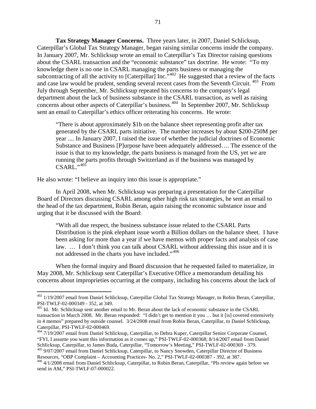**Tax Strategy Manager Concerns.** Three years later, in 2007, Daniel Schlicksup, Caterpillar's Global Tax Strategy Manager, began raising similar concerns inside the company. In January 2007, Mr. Schlicksup wrote an email to Caterpillar's Tax Director raising questions about the CSARL transaction and the "economic substance" tax doctrine. He wrote: "To my knowledge there is no one in CSARL managing the parts business or managing the subcontracting of all the activity to [Caterpillar] Inc. $\cdot^{402}$  $\cdot^{402}$  $\cdot^{402}$  He suggested that a review of the facts and case law would be prudent, sending several recent cases from the Seventh Circuit.<sup>[403](#page-74-1)</sup> From July through September, Mr. Schlicksup repeated his concerns to the company's legal department about the lack of business substance in the CSARL transaction, as well as raising concerns about other aspects of Caterpillar's business. [404](#page-74-2) In September 2007, Mr. Schlicksup sent an email to Caterpillar's ethics officer reiterating his concerns. He wrote:

"There is about approximately \$1b on the balance sheet representing profit after tax generated by the CSARL parts initiative. The number increases by about \$200-250M per year .... In January 2007, I raised the issue of whether the judicial doctrines of Economic Substance and Business [P]urpose have been adequately addressed…. The essence of the issue is that to my knowledge, the parts business is managed from the US, yet we are running the parts profits through Switzerland as if the business was managed by  $CSARI.$ ",[405](#page-74-3)

He also wrote: "I believe an inquiry into this issue is appropriate."

l

In April 2008, when Mr. Schlicksup was preparing a presentation for the Caterpillar Board of Directors discussing CSARL among other high risk tax strategies, he sent an email to the head of the tax department, Robin Beran, again raising the economic substance issue and urging that it be discussed with the Board:

"With all due respect, the business substance issue related to the CSARL Parts Distribution is the pink elephant issue worth a Billion dollars on the balance sheet. I have been asking for more than a year if we have memos with proper facts and analysis of case law. … I don't think you can talk about CSARL without addressing this issue and it is not addressed in the charts you have included."[406](#page-74-4)

When the formal inquiry and Board discussion that he requested failed to materialize, in May 2008, Mr. Schlicksup sent Caterpillar's Executive Office a memorandum detailing his concerns about improprieties occurring at the company, including his concerns about the lack of

<span id="page-74-0"></span><sup>&</sup>lt;sup>402</sup> 1/19/2007 email from Daniel Schlicksup, Caterpillar Global Tax Strategy Manager, to Robin Beran, Caterpillar, PSI-TWLF-02-000349 - 352, at 349.<br><sup>403</sup> Id. Mr. Schlicksup sent another email to Mr. Beran about the lack of economic substance in the CSARL

<span id="page-74-1"></span>transaction in March 2008. Mr. Beran responded: "I didn't get to mention it you … but it [is] covered extensively in 4 memos" prepared by outside counsel.  $3/24/2008$  email from Robin Beran, Caterpillar, to Daniel Schlicksup, Caterpillar, PSI-TWLF-02-000469.

<span id="page-74-2"></span><sup>&</sup>lt;sup>404</sup> 7/19/2007 email from Daniel Schlicksup, Caterpillar, to Debra Kuper, Caterpillar Senior Corporate Counsel, "FYI, I assume you want this information as it comes up," PSI-TWLF-02-000368; 8/14/2007 email from Daniel<br>Schlicksup, Caterpillar, to James Buda, Caterpillar, "Tomorrow's Meeting," PSI-TWLF-02-000369 - 379. Schlicksup, Caterpillar, "Tomorrow's Tomorrow's Meeting, Tomorrow Caterpillar, to Nancy Snowden, Caterpillar Director of Business

<span id="page-74-3"></span>Resources, "OBP Complaint – Accounting Practices- No. 2," PSI-TWLF-02-000387 - 392, at 387.<br><sup>406</sup> 4/1/2008 email from Daniel Schlicksup, Caterpillar, to Robin Beran, Caterpillar, "Pls review again before we

<span id="page-74-4"></span>send in AM," PSI-TWLF-07-000022.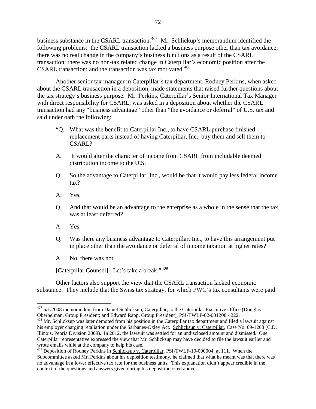business substance in the CSARL transaction. $407$  Mr. Schlickup's memorandum identified the following problems: the CSARL transaction lacked a business purpose other than tax avoidance; there was no real change in the company's business functions as a result of the CSARL transaction; there was no non-tax related change in Caterpillar's economic position after the CSARL transaction; and the transaction was tax motivated.<sup>[408](#page-75-1)</sup>

Another senior tax manager in Caterpillar's tax department, Rodney Perkins, when asked about the CSARL transaction in a deposition, made statements that raised further questions about the tax strategy's business purpose. Mr. Perkins, Caterpillar's Senior International Tax Manager with direct responsibility for CSARL, was asked in a deposition about whether the CSARL transaction had any "business advantage" other than "the avoidance or deferral" of U.S. tax and said under oath the following:

- "Q. What was the benefit to Caterpillar Inc., to have CSARL purchase finished replacement parts instead of having Caterpillar, Inc., buy them and sell them to CSARL?
- A. It would alter the character of income from CSARL from includable deemed distribution income to the U.S.
- Q. So the advantage to Caterpillar, Inc., would be that it would pay less federal income tax?
- A. Yes.
- Q. And that would be an advantage to the enterprise as a whole in the sense that the tax was at least deferred?
- A. Yes.

 $\overline{\phantom{a}}$ 

- Q. Was there any business advantage to Caterpillar, Inc., to have this arrangement put in place other than the avoidance or deferral of income taxation at higher rates?
- A. No, there was not.

[Caterpillar Counsel]: Let's take a break."<sup>[409](#page-75-2)</sup>

Other factors also support the view that the CSARL transaction lacked economic substance. They include that the Swiss tax strategy, for which PWC's tax consultants were paid

<span id="page-75-0"></span> $407$  5/1/2008 memorandum from Daniel Schlicksup, Caterpillar, to the Caterpillar Executive Office (Douglas Oberhelman, Group President; and Edward Rapp, Group President), PSI-TWLF-02-001208 - 222.

<span id="page-75-1"></span> $^{408}$  Mr. Schlicksup was later demoted from his position in the Caterpillar tax department and filed a lawsuit against his employer charging retaliation under the Sarbanes-Oxley Act. Schlicksup v. Caterpillar, Case No. 09-1208 (C.D. Illinois, Peoria Division 2009). In 2012, the lawsuit was settled for an undisclosed amount and dismissed. One Caterpillar representative expressed the view that Mr. Schlicksup may have decided to file the lawsuit earlier and wrote emails while at the company to help his case.

<span id="page-75-2"></span><sup>&</sup>lt;sup>409</sup> Deposition of Rodney Perkins in Schlicksup v. Caterpillar, PSI-TWLF-10-000004, at 111. When the Subcommittee asked Mr. Perkins about his deposition testimony, he claimed that what he meant was that there was no advantage in a lower effective tax rate for the business units. This explanation didn't appear credible in the context of the questions and answers given during his deposition cited above.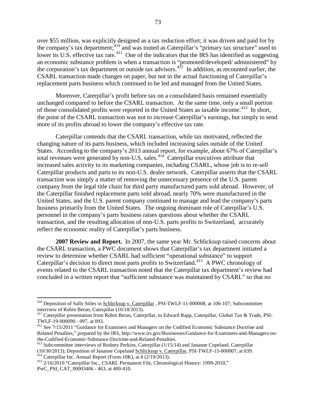over \$55 million, was explicitly designed as a tax reduction effort; it was driven and paid for by the company's tax department;<sup>[410](#page-76-0)</sup> and was touted as Caterpillar's "primary tax structure" used to lower its U.S. effective tax rate.<sup>[411](#page-76-1)</sup> One of the indicators that the IRS has identified as suggesting an economic substance problem is when a transaction is "promoted/developed/ administered" by the corporation's tax department or outside tax advisors.<sup>[412](#page-76-2)</sup> In addition, as recounted earlier, the CSARL transaction made changes on paper, but not in the actual functioning of Caterpillar's replacement parts business which continued to be led and managed from the United States.

Moreover, Caterpillar's profit before tax on a consolidated basis remained essentially unchanged compared to before the CSARL transaction. At the same time, only a small portion of those consolidated profits were reported in the United States as taxable income.<sup>413</sup> In short, the point of the CSARL transaction was not to increase Caterpillar's earnings, but simply to send more of its profits abroad to lower the company's effective tax rate.

Caterpillar contends that the CSARL transaction, while tax motivated, reflected the changing nature of its parts business, which included increasing sales outside of the United States. According to the company's 2013 annual report, for example, about 67% of Caterpillar's total revenues were generated by non-U.S. sales.<sup>[414](#page-76-4)</sup> Caterpillar executives attribute that increased sales activity to its marketing companies, including CSARL, whose job is to re-sell Caterpillar products and parts to its non-U.S. dealer network. Caterpillar asserts that the CSARL transaction was simply a matter of removing the unnecessary presence of the U.S. parent company from the legal title chain for third party manufactured parts sold abroad. However, of the Caterpillar finished replacement parts sold abroad, nearly 70% were manufactured in the United States, and the U.S. parent company continued to manage and lead the company's parts business primarily from the United States. The ongoing dominant role of Caterpillar's U.S. personnel in the company's parts business raises questions about whether the CSARL transaction, and the resulting allocation of non-U.S. parts profits to Switzerland, accurately reflect the economic reality of Caterpillar's parts business.

**2007 Review and Report.** In 2007, the same year Mr. Schlicksup raised concerns about the CSARL transaction, a PWC document shows that Caterpillar's tax department initiated a review to determine whether CSARL had sufficient "operational substance" to support Caterpillar's decision to direct most parts profits to Switzerland.<sup>[415](#page-76-5)</sup> A PWC chronology of events related to the CSARL transaction noted that the Caterpillar tax department's review had concluded in a written report that "sufficient substance was maintained by CSARL" so that no

<span id="page-76-0"></span><sup>&</sup>lt;sup>410</sup> Deposition of Sally Stiles in Schlicksup v. Caterpillar, PSI-TWLF-11-000008, at 106-107; Subcommittee interview of Robin Beran, Caterpillar (10/18/2013).

<span id="page-76-1"></span><sup>&</sup>lt;sup>411</sup> Caterpillar presentation from Robin Beran, Caterpillar, to Edward Rapp, Caterpillar, Global Tax & Trade, PSI-TWLF-19-000090 - 097, at 093. <sup>412</sup> See 7/15/2011 "Guidance for Examiners and Managers on the Codified Economic Substance Doctrine and

<span id="page-76-2"></span>Related Penalties," prepared by the IRS, http://www.irs.gov/Businesses/Guidance-for-Examiners-and-Managers-on-<br>the-Codified-Economic-Substance-Doctrine-and-Related-Penalties.

<span id="page-76-3"></span> $413$  Subcommittee interviews of Rodney Perkins, Caterpillar (1/15/14) and Jananne Copeland, Caterpillar (10/30/2013); Deposition of Jananne Copeland Schlicksup v. Caterpillar, PSI-TWLF-15-000007, at 039.<br><sup>414</sup> Caterpillar Inc. Annual Report (Form-10K), at 8 (2/19/2013).<br><sup>415</sup> 2/16/2010 "Caterpillar Inc., CSARL Permanent Fil

<span id="page-76-5"></span><span id="page-76-4"></span>PwC\_PSI\_CAT\_00003406 - 463, at 409-410.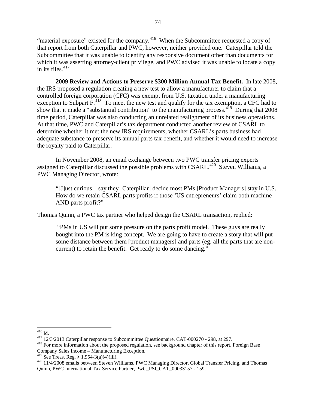"material exposure" existed for the company.<sup>416</sup> When the Subcommittee requested a copy of that report from both Caterpillar and PWC, however, neither provided one. Caterpillar told the Subcommittee that it was unable to identify any responsive document other than documents for which it was asserting attorney-client privilege, and PWC advised it was unable to locate a copy in its files. $417$ 

**2009 Review and Actions to Preserve \$300 Million Annual Tax Benefit.** In late 2008, the IRS proposed a regulation creating a new test to allow a manufacturer to claim that a controlled foreign corporation (CFC) was exempt from U.S. taxation under a manufacturing exception to Subpart  $\overline{F}$ .<sup>418</sup> To meet the new test and qualify for the tax exemption, a CFC had to show that it made a "substantial contribution" to the manufacturing process.<sup>419</sup> During that 2008 time period, Caterpillar was also conducting an unrelated realignment of its business operations. At that time, PWC and Caterpillar's tax department conducted another review of CSARL to determine whether it met the new IRS requirements, whether CSARL's parts business had adequate substance to preserve its annual parts tax benefit, and whether it would need to increase the royalty paid to Caterpillar.

In November 2008, an email exchange between two PWC transfer pricing experts assigned to Caterpillar discussed the possible problems with CSARL.<sup>[420](#page-77-4)</sup> Steven Williams, a PWC Managing Director, wrote:

"[J]ust curious—say they [Caterpillar] decide most PMs [Product Managers] stay in U.S. How do we retain CSARL parts profits if those 'US entrepreneurs' claim both machine AND parts profit?"

Thomas Quinn, a PWC tax partner who helped design the CSARL transaction, replied:

"PMs in US will put some pressure on the parts profit model. These guys are really bought into the PM is king concept. We are going to have to create a story that will put some distance between them [product managers] and parts (eg. all the parts that are noncurrent) to retain the benefit. Get ready to do some dancing."

<span id="page-77-0"></span> $^{416}$  Id.

<span id="page-77-2"></span><span id="page-77-1"></span><sup>&</sup>lt;sup>417</sup> 12/3/2013 Caterpillar response to Subcommittee Questionnaire, CAT-000270 - 298, at 297.<br><sup>418</sup> For more information about the proposed regulation, see background chapter of this report, Foreign Base Company Sales Income – Manufacturing Exception.<br><sup>419</sup> See Treas. Reg. § 1.954-3(a)(4)(iii).

<span id="page-77-4"></span><span id="page-77-3"></span> $420$  11/4/2008 emails between Steven Williams, PWC Managing Director, Global Transfer Pricing, and Thomas Quinn, PWC International Tax Service Partner, PwC\_PSI\_CAT\_00033157 - 159.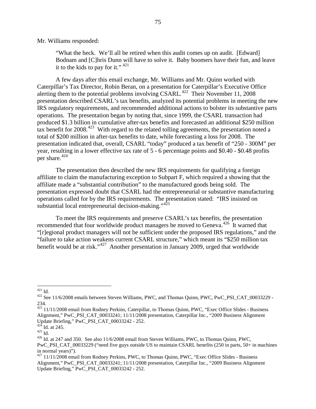"What the heck. We'll all be retired when this audit comes up on audit. [Edward] Bodnam and [C]hris Dunn will have to solve it. Baby boomers have their fun, and leave it to the kids to pay for it."  $421$ 

A few days after this email exchange, Mr. Williams and Mr. Quinn worked with Caterpillar's Tax Director, Robin Beran, on a presentation for Caterpillar's Executive Office alerting them to the potential problems involving CSARL.<sup>422</sup> Their November 11, 2008 presentation described CSARL's tax benefits, analyzed its potential problems in meeting the new IRS regulatory requirements, and recommended additional actions to bolster its substantive parts operations. The presentation began by noting that, since 1999, the CSARL transaction had produced \$1.3 billion in cumulative after-tax benefits and forecasted an additional \$250 million tax benefit for 2008.<sup>423</sup> With regard to the related tolling agreements, the presentation noted a total of \$200 million in after-tax benefits to date, while forecasting a loss for 2008. The presentation indicated that, overall, CSARL "today" produced a tax benefit of "250 - 300M" per year, resulting in a lower effective tax rate of 5 - 6 percentage points and \$0.40 - \$0.48 profits per share. $424$ 

The presentation then described the new IRS requirements for qualifying a foreign affiliate to claim the manufacturing exception to Subpart F, which required a showing that the affiliate made a "substantial contribution" to the manufactured goods being sold. The presentation expressed doubt that CSARL had the entrepreneurial or substantive manufacturing operations called for by the IRS requirements. The presentation stated: "IRS insisted on substantial local entrepreneurial decision-making."<sup>[425](#page-78-4)</sup>

To meet the IRS requirements and preserve CSARL's tax benefits, the presentation recommended that four worldwide product managers be moved to Geneva.<sup>426</sup> It warned that "[r]egional product managers will not be sufficient under the proposed IRS regulations," and the "failure to take action weakens current CSARL structure," which meant its "\$250 million tax benefit would be at risk." $427$  Another presentation in January 2009, urged that worldwide

<span id="page-78-0"></span> $421$  Id.

<span id="page-78-1"></span><sup>&</sup>lt;sup>422</sup> See 11/6/2008 emails between Steven Williams, PWC, and Thomas Quinn, PWC, PwC\_PSI\_CAT\_00033229 -234.

<span id="page-78-2"></span><sup>&</sup>lt;sup>423</sup> 11/11/2008 email from Rodney Perkins, Caterpillar, to Thomas Quinn, PWC, "Exec Office Slides - Business Alignment," PwC\_PSI\_CAT\_00033241; 11/11/2008 presentation, Caterpillar Inc., "2009 Business Alignment Update Briefing," PwC\_PSI\_CAT\_00033242 - 252.<br><sup>424</sup> Id. at 245.

<span id="page-78-5"></span><span id="page-78-4"></span><span id="page-78-3"></span><sup>&</sup>lt;sup>425</sup> Id. at 247 and 350. See also 11/6/2008 email from Steven Williams, PWC, to Thomas Quinn, PWC, <sup>426</sup> Id. at 247 and 350. See also 11/6/2008 email from Steven Williams, PWC, to Thomas Quinn, PWC, PwC\_PSI\_CAT\_00033229 ("need five guys outside US to maintain CSARL benefits (250 in parts, 50+ in machines in normal years)").

<span id="page-78-6"></span> $427$  11/11/2008 email from Rodney Perkins, PWC, to Thomas Quinn, PWC, "Exec Office Slides - Business Alignment," PwC\_PSI\_CAT\_00033241; 11/11/2008 presentation, Caterpillar Inc., "2009 Business Alignment Update Briefing," PwC\_PSI\_CAT\_00033242 - 252.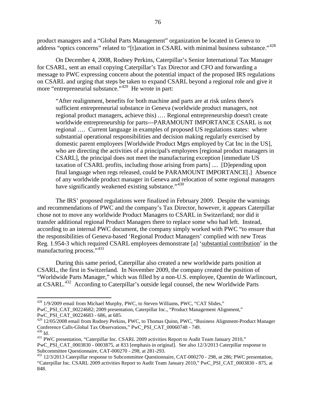product managers and a "Global Parts Management" organization be located in Geneva to address "optics concerns" related to "[t]axation in CSARL with minimal business substance."<sup>[428](#page-79-0)</sup>

On December 4, 2008, Rodney Perkins, Caterpillar's Senior International Tax Manager for CSARL, sent an email copying Caterpillar's Tax Director and CFO and forwarding a message to PWC expressing concern about the potential impact of the proposed IRS regulations on CSARL and urging that steps be taken to expand CSARL beyond a regional role and give it more "entrepreneurial substance."<sup>[429](#page-79-1)</sup> He wrote in part:

"After realignment, benefits for both machine and parts are at risk unless there's sufficient entrepreneurial substance in Geneva (worldwide product managers, not regional product managers, achieve this) .… Regional entrepreneurship doesn't create worldwide entrepreneurship for parts---PARAMOUNT IMPORTANCE CSARL is not regional …. Current language in examples of proposed US regulations states: where substantial operational responsibilities and decision making regularly exercised by domestic parent employees [Worldwide Product Mgrs employed by Cat Inc in the US], who are directing the activities of a principal's employees [regional product managers in CSARL], the principal does not meet the manufacturing exception [immediate US taxation of CSARL profits, including those arising from parts] .... [D]epending upon final language when regs released, could be PARAMOUNT IMPORTANCE[.] Absence of any worldwide product manager in Geneva and relocation of some regional managers have significantly weakened existing substance."<sup>[430](#page-79-2)</sup>

The IRS' proposed regulations were finalized in February 2009. Despite the warnings and recommendations of PWC and the company's Tax Director, however, it appears Caterpillar chose not to move any worldwide Product Managers to CSARL in Switzerland; nor did it transfer additional regional Product Managers there to replace some who had left. Instead, according to an internal PWC document, the company simply worked with PWC "to ensure that the responsibilities of Geneva-based 'Regional Product Managers' complied with new Treas Reg. 1.954-3 which required CSARL employees demonstrate [a] 'substantial contribution' in the manufacturing process."<sup>[431](#page-79-3)</sup>

During this same period, Caterpillar also created a new worldwide parts position at CSARL, the first in Switzerland. In November 2009, the company created the position of "Worldwide Parts Manager," which was filled by a non-U.S. employee, Quentin de Warlincourt, at CSARL.<sup>[432](#page-79-4)</sup> According to Caterpillar's outside legal counsel, the new Worldwide Parts

<span id="page-79-0"></span> $428$  1/9/2009 email from Michael Murphy, PWC, to Steven Williams, PWC, "CAT Slides,"

PwC\_PSI\_CAT\_00224682; 2009 presentation, Caterpillar Inc., "Product Management Alignment," PwC\_PSI\_CAT\_00224683 - 686, at 685.

<span id="page-79-1"></span> $429$  12/05/2008 email from Rodney Perkins, PWC, to Thomas Quinn, PWC, "Business Alignment-Product Manager<br>Conference Calls-Global Tax Observations," PwC PSI CAT 00060748 - 749.

<span id="page-79-2"></span><sup>&</sup>lt;sup>430</sup> Id.<br><sup>431</sup> PWC presentation, "Caterpillar Inc. CSARL 2009 activities Report to Audit Team January 2010,"

<span id="page-79-3"></span>PwC\_PSI\_CAT\_0003830 - 0003875, at 833 [emphasis in original]. See also 12/3/2013 Caterpillar response to Subcommittee Questionnaire, CAT-000270 - 298, at 281-293.<br><sup>432</sup> 12/3/2013 Caterpillar response to Subcommittee Questionnaire, CAT-000270 - 298, at 286; PWC presentation,

<span id="page-79-4"></span><sup>&</sup>quot;Caterpillar Inc. CSARL 2009 activities Report to Audit Team January 2010," PwC\_PSI\_CAT\_0003830 - 875, at 848.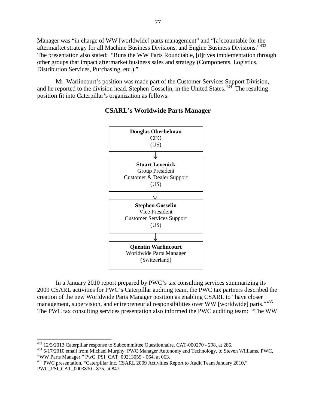Manager was "in charge of WW [worldwide] parts management" and "[a]ccountable for the aftermarket strategy for all Machine Business Divisions, and Engine Business Divisions."[433](#page-80-0) The presentation also stated: "Runs the WW Parts Roundtable, [d]rives implementation through other groups that impact aftermarket business sales and strategy (Components, Logistics, Distribution Services, Purchasing, etc.)."

Mr. Warlincourt's position was made part of the Customer Services Support Division, and he reported to the division head, Stephen Gosselin, in the United States.<sup> $434$ </sup> The resulting position fit into Caterpillar's organization as follows:



### **CSARL's Worldwide Parts Manager**

In a January 2010 report prepared by PWC's tax consulting services summarizing its 2009 CSARL activities for PWC's Caterpillar auditing team, the PWC tax partners described the creation of the new Worldwide Parts Manager position as enabling CSARL to "have closer management, supervision, and entrepreneurial responsibilities over WW [worldwide] parts."<sup>435</sup> The PWC tax consulting services presentation also informed the PWC auditing team: "The WW

<span id="page-80-0"></span><sup>&</sup>lt;sup>433</sup> 12/3/2013 Caterpillar response to Subcommittee Questionnaire, CAT-000270 - 298, at 286.

<span id="page-80-1"></span><sup>&</sup>lt;sup>434</sup> 5/17/2010 email from Michael Murphy, PWC Manager Autonomy and Technology, to Steven Williams, PWC, "WW Parts Manager," PwC PSI CAT 00213059 - 064, at 063.

<span id="page-80-2"></span><sup>&</sup>lt;sup>435</sup> PWC presentation, "Caterpillar Inc. CSARL 2009 Activities Report to Audit Team January 2010," PWC\_PSI\_CAT\_0003830 - 875, at 847.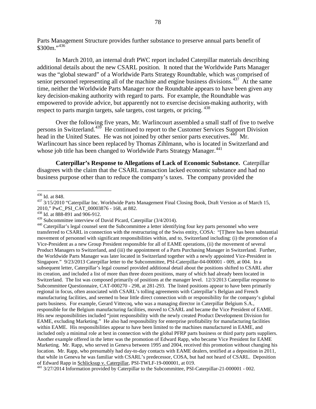Parts Management Structure provides further substance to preserve annual parts benefit of  $$300m.$ <sup>\*[436](#page-81-0)</sup>

In March 2010, an internal draft PWC report included Caterpillar materials describing additional details about the new CSARL position. It noted that the Worldwide Parts Manager was the "global steward" of a Worldwide Parts Strategy Roundtable, which was comprised of senior personnel representing all of the machine and engine business divisions.<sup>437</sup> At the same time, neither the Worldwide Parts Manager nor the Roundtable appears to have been given any key decision-making authority with regard to parts. For example, the Roundtable was empowered to provide advice, but apparently not to exercise decision-making authority, with respect to parts margin targets, sale targets, cost targets, or pricing. <sup>[438](#page-81-2)</sup>

Over the following five years, Mr. Warlincourt assembled a small staff of five to twelve persons in Switzerland.<sup>[439](#page-81-3)</sup> He continued to report to the Customer Services Support Division head in the United States. He was not joined by other senior parts executives.<sup>440</sup> Mr. Warlincourt has since been replaced by Thomas Zihlmann, who is located in Switzerland and whose job title has been changed to Worldwide Parts Strategy Manager.<sup>[441](#page-81-5)</sup>

**Caterpillar's Response to Allegations of Lack of Economic Substance.** Caterpillar disagrees with the claim that the CSARL transaction lacked economic substance and had no business purpose other than to reduce the company's taxes. The company provided the

<span id="page-81-0"></span> $436$  Id. at 848.

<span id="page-81-1"></span> $^{437}$  3/15/2010 "Caterpillar Inc. Worldwide Parts Management Final Closing Book, Draft Version as of March 15, 2010," PwC\_PSI\_CAT\_00003876 - 168, at 882.

<span id="page-81-2"></span><sup>&</sup>lt;sup>238</sup> Id. at 888-891 and 906-912.<br><sup>439</sup> Subcommittee interview of David Picard, Caterpillar (3/4/2014).

<span id="page-81-4"></span><span id="page-81-3"></span><sup>&</sup>lt;sup>440</sup> Caterpillar's legal counsel sent the Subcommittee a letter identifying four key parts personnel who were transferred to CSARL in connection with the restructuring of the Swiss entity, COSA: "[T]here has been substantial movement of personnel with significant responsibilities within, and to, Switzerland including: (i) the promotion of a Vice-President as a new Group President responsible for all of EAME operations, (ii) the movement of several Product Managers to Switzerland, and (iii) the appointment of a Parts Purchasing Manager in Switzerland. Further, the Worldwide Parts Manager was later located in Switzerland together with a newly appointed Vice-President in Singapore." 9/23/2013 Caterpillar letter to the Subcommittee, PSI-Caterpillar-04-000001 - 009, at 004. In a subsequent letter, Caterpillar's legal counsel provided additional detail about the positions shifted to CSARL after its creation, and included a list of more than three dozen positions, many of which had already been located in Switzerland. The list was composed primarily of positions at the manager level. 12/3/2013 Caterpillar response to Subcommittee Questionnaire, CAT-000270 - 298, at 281-293. The listed positions appear to have been primarily regional in focus, often associated with CSARL's tolling agreements with Caterpillar's Belgian and French manufacturing facilities, and seemed to bear little direct connection with or responsibility for the company's global parts business. For example, Gerard Vittecoq, who was a managing director in Caterpillar Belgium S.A., responsible for the Belgium manufacturing facilities, moved to CSARL and became the Vice President of EAME. His new responsibilities included "joint responsibility with the newly created Product Development Division for EAME, excluding Marketing." He also had responsibility for enterprise profitability for manufacturing facilities within EAME. His responsibilities appear to have been limited to the machines manufactured in EAME, and included only a minimal role at best in connection with the global PFRP parts business or third party parts suppliers. Another example offered in the letter was the promotion of Edward Rapp, who became Vice President for EAME Marketing. Mr. Rapp, who served in Geneva between 1995 and 2004, received this promotion without changing his location. Mr. Rapp, who presumably had day-to-day contacts with EAME dealers, testified at a deposition in 2011, that while in Geneva he was familiar with CSARL's predecessor, COSA, but had not heard of CSARL. Deposition of Edward Rapp in Schlicksup v. Caterpillar, PSI-TWLF-19-000001, at 019.

<span id="page-81-5"></span> $^{441}$  3/27/2014 Information provided by Caterpillar to the Subcommittee, PSI-Caterpillar-21-000001 - 002.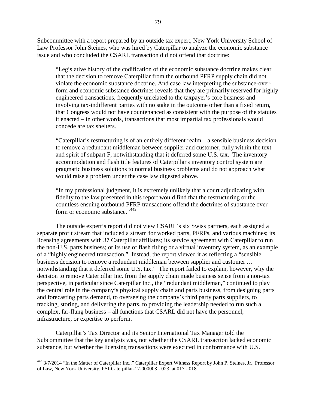Subcommittee with a report prepared by an outside tax expert, New York University School of Law Professor John Steines, who was hired by Caterpillar to analyze the economic substance issue and who concluded the CSARL transaction did not offend that doctrine:

"Legislative history of the codification of the economic substance doctrine makes clear that the decision to remove Caterpillar from the outbound PFRP supply chain did not violate the economic substance doctrine. And case law interpreting the substance-overform and economic substance doctrines reveals that they are primarily reserved for highly engineered transactions, frequently unrelated to the taxpayer's core business and involving tax-indifferent parties with no stake in the outcome other than a fixed return, that Congress would not have countenanced as consistent with the purpose of the statutes it enacted – in other words, transactions that most impartial tax professionals would concede are tax shelters.

"Caterpillar's restructuring is of an entirely different realm – a sensible business decision to remove a redundant middleman between supplier and customer, fully within the text and spirit of subpart F, notwithstanding that it deferred some U.S. tax. The inventory accommodation and flash title features of Caterpillar's inventory control system are pragmatic business solutions to normal business problems and do not approach what would raise a problem under the case law digested above.

"In my professional judgment, it is extremely unlikely that a court adjudicating with fidelity to the law presented in this report would find that the restructuring or the countless ensuing outbound PFRP transactions offend the doctrines of substance over form or economic substance." $442$ 

The outside expert's report did not view CSARL's six Swiss partners, each assigned a separate profit stream that included a stream for worked parts, PFRPs, and various machines; its licensing agreements with 37 Caterpillar affiliates; its service agreement with Caterpillar to run the non-U.S. parts business; or its use of flash titling or a virtual inventory system, as an example of a "highly engineered transaction." Instead, the report viewed it as reflecting a "sensible business decision to remove a redundant middleman between supplier and customer … notwithstanding that it deferred some U.S. tax." The report failed to explain, however, why the decision to remove Caterpillar Inc. from the supply chain made business sense from a non-tax perspective, in particular since Caterpillar Inc., the "redundant middleman," continued to play the central role in the company's physical supply chain and parts business, from designing parts and forecasting parts demand, to overseeing the company's third party parts suppliers, to tracking, storing, and delivering the parts, to providing the leadership needed to run such a complex, far-flung business – all functions that CSARL did not have the personnel, infrastructure, or expertise to perform.

Caterpillar's Tax Director and its Senior International Tax Manager told the Subcommittee that the key analysis was, not whether the CSARL transaction lacked economic substance, but whether the licensing transactions were executed in conformance with U.S.

<span id="page-82-0"></span> $442$  3/7/2014 "In the Matter of Caterpillar Inc.," Caterpillar Expert Witness Report by John P. Steines, Jr., Professor of Law, New York University, PSI-Caterpillar-17-000003 - 023, at 017 - 018.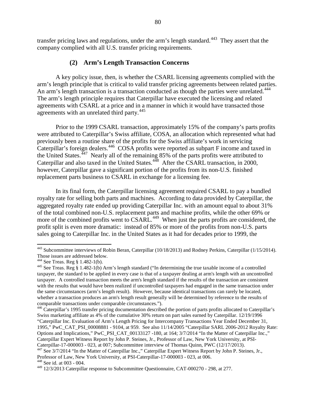transfer pricing laws and regulations, under the arm's length standard.<sup>443</sup> They assert that the company complied with all U.S. transfer pricing requirements.

### **(2) Arm's Length Transaction Concerns**

A key policy issue, then, is whether the CSARL licensing agreements complied with the arm's length principle that is critical to valid transfer pricing agreements between related parties. An arm's length transaction is a transaction conducted as though the parties were unrelated.<sup>444</sup> The arm's length principle requires that Caterpillar have executed the licensing and related agreements with CSARL at a price and in a manner in which it would have transacted those agreements with an unrelated third party.<sup>[445](#page-83-2)</sup>

Prior to the 1999 CSARL transaction, approximately 15% of the company's parts profits were attributed to Caterpillar's Swiss affiliate, COSA, an allocation which represented what had previously been a routine share of the profits for the Swiss affiliate's work in servicing Caterpillar's foreign dealers.<sup>[446](#page-83-3)</sup> COSA profits were reported as subpart F income and taxed in the United States.<sup>447</sup> Nearly all of the remaining 85% of the parts profits were attributed to Caterpillar and also taxed in the United States.<sup>[448](#page-83-5)</sup> After the CSARL transaction, in 2000, however, Caterpillar gave a significant portion of the profits from its non-U.S. finished replacement parts business to CSARL in exchange for a licensing fee.

In its final form, the Caterpillar licensing agreement required CSARL to pay a bundled royalty rate for selling both parts and machines. According to data provided by Caterpillar, the aggregated royalty rate ended up providing Caterpillar Inc. with an amount equal to about 31% of the total combined non-U.S. replacement parts and machine profits, while the other 69% or more of the combined profits went to CSARL.<sup>[449](#page-83-6)</sup> When just the parts profits are considered, the profit split is even more dramatic: instead of 85% or more of the profits from non-U.S. parts sales going to Caterpillar Inc. in the United States as it had for decades prior to 1999, the

<span id="page-83-0"></span><sup>&</sup>lt;sup>443</sup> Subcommittee interviews of Robin Beran, Caterpillar (10/18/2013) and Rodney Perkins, Caterpillar (1/15/2014). Those issues are addressed below.<br><sup>444</sup> See Treas. Reg § 1.482-1(b).<br><sup>445</sup> See Treas. Reg § 1.482-1(b) Arm's length standard ("In determining the true taxable income of a controlled

<span id="page-83-1"></span>

<span id="page-83-2"></span>taxpayer, the standard to be applied in every case is that of a taxpayer dealing at arm's length with an uncontrolled taxpayer. A controlled transaction meets the arm's length standard if the results of the transaction are consistent with the results that would have been realized if uncontrolled taxpayers had engaged in the same transaction under the same circumstances (arm's length result). However, because identical transactions can rarely be located, whether a transaction produces an arm's length result generally will be determined by reference to the results of

<span id="page-83-3"></span>comparable transactions under comparable circumstances."). <sup>446</sup> Caterpillar's 1995 transfer pricing documentation described the portion of parts profits allocated to Caterpillar's Swiss marketing affiliate as 4% of the cumulative 30% return on part sales earned by Caterpillar. 12/19/1996 "Caterpillar Inc. Evaluation of Arm's Length Pricing for Intercompany Transactions Year Ended December 31, 1995," PwC\_CAT\_PSI\_00008881 - 9104, at 959. See also 11/14/2005 "Caterpillar SARL 2006-2012 Royalty Rate: Options and Implications," PwC\_PSI\_CAT\_00133127 -180, at 164; 3/7/2014 "In the Matter of Caterpillar Inc.," Caterpillar Expert Witness Report by John P. Steines, Jr., Professor of Law, New York University, at PSI-<br>Caterpillar-17-000003 - 023, at 007; Subcommittee interview of Thomas Ouinn, PWC (12/17/2013).

<span id="page-83-4"></span><sup>247</sup> See 3/7/2014 "In the Matter of Caterpillar Inc.," Caterpillar Expert Witness Report by John P. Steines, Jr., Professor of Law, New York University, at PSI-Caterpillar-17-000003 - 023, at 006. <sup>448</sup> See id. at 003 - 004.

<span id="page-83-6"></span><span id="page-83-5"></span><sup>449</sup> 12/3/2013 Caterpillar response to Subcommittee Questionnaire, CAT-000270 - 298, at 277.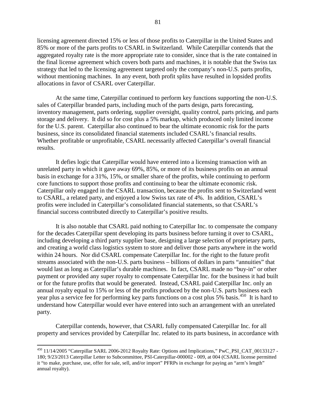licensing agreement directed 15% or less of those profits to Caterpillar in the United States and 85% or more of the parts profits to CSARL in Switzerland. While Caterpillar contends that the aggregated royalty rate is the more appropriate rate to consider, since that is the rate contained in the final license agreement which covers both parts and machines, it is notable that the Swiss tax strategy that led to the licensing agreement targeted only the company's non-U.S. parts profits, without mentioning machines. In any event, both profit splits have resulted in lopsided profits allocations in favor of CSARL over Caterpillar.

At the same time, Caterpillar continued to perform key functions supporting the non-U.S. sales of Caterpillar branded parts, including much of the parts design, parts forecasting, inventory management, parts ordering, supplier oversight, quality control, parts pricing, and parts storage and delivery. It did so for cost plus a 5% markup, which produced only limited income for the U.S. parent. Caterpillar also continued to bear the ultimate economic risk for the parts business, since its consolidated financial statements included CSARL's financial results. Whether profitable or unprofitable, CSARL necessarily affected Caterpillar's overall financial results.

It defies logic that Caterpillar would have entered into a licensing transaction with an unrelated party in which it gave away 69%, 85%, or more of its business profits on an annual basis in exchange for a 31%, 15%, or smaller share of the profits, while continuing to perform core functions to support those profits and continuing to bear the ultimate economic risk. Caterpillar only engaged in the CSARL transaction, because the profits sent to Switzerland went to CSARL, a related party, and enjoyed a low Swiss tax rate of 4%. In addition, CSARL's profits were included in Caterpillar's consolidated financial statements, so that CSARL's financial success contributed directly to Caterpillar's positive results.

It is also notable that CSARL paid nothing to Caterpillar Inc. to compensate the company for the decades Caterpillar spent developing its parts business before turning it over to CSARL, including developing a third party supplier base, designing a large selection of proprietary parts, and creating a world class logistics system to store and deliver those parts anywhere in the world within 24 hours. Nor did CSARL compensate Caterpillar Inc. for the right to the future profit streams associated with the non-U.S. parts business – billions of dollars in parts "annuities" that would last as long as Caterpillar's durable machines. In fact, CSARL made no "buy-in" or other payment or provided any super royalty to compensate Caterpillar Inc. for the business it had built or for the future profits that would be generated. Instead, CSARL paid Caterpillar Inc. only an annual royalty equal to 15% or less of the profits produced by the non-U.S. parts business each year plus a service fee for performing key parts functions on a cost plus 5% basis.<sup>[450](#page-84-0)</sup> It is hard to understand how Caterpillar would ever have entered into such an arrangement with an unrelated party.

Caterpillar contends, however, that CSARL fully compensated Caterpillar Inc. for all property and services provided by Caterpillar Inc. related to its parts business, in accordance with

<span id="page-84-0"></span> $^{450}$  11/14/2005 "Caterpillar SARL 2006-2012 Royalty Rate: Options and Implications," PwC\_PSI\_CAT\_00133127 -180; 9/23/2013 Caterpillar Letter to Subcommittee, PSI-Caterpillar-000002 - 009, at 004 (CSARL license permitted it "to make, purchase, use, offer for sale, sell, and/or import" PFRPs in exchange for paying an "arm's length" annual royalty).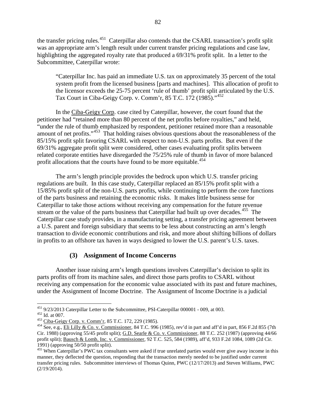the transfer pricing rules.<sup>[451](#page-85-0)</sup> Caterpillar also contends that the CSARL transaction's profit split was an appropriate arm's length result under current transfer pricing regulations and case law, highlighting the aggregated royalty rate that produced a 69/31% profit split. In a letter to the Subcommittee, Caterpillar wrote:

"Caterpillar Inc. has paid an immediate U.S. tax on approximately 35 percent of the total system profit from the licensed business [parts and machines]. This allocation of profit to the licensor exceeds the 25-75 percent 'rule of thumb' profit split articulated by the U.S. Tax Court in Ciba-Geigy Corp. v. Comm'r, 85 T.C. 172 (1985)."[452](#page-85-1)

In the Ciba-Geigy Corp. case cited by Caterpillar, however, the court found that the petitioner had "retained more than 80 percent of the net profits before royalties," and held, "under the rule of thumb emphasized by respondent, petitioner retained more than a reasonable amount of net profits."[453](#page-85-2) That holding raises obvious questions about the reasonableness of the 85/15% profit split favoring CSARL with respect to non-U.S. parts profits. But even if the 69/31% aggregate profit split were considered, other cases evaluating profit splits between related corporate entities have disregarded the 75/25% rule of thumb in favor of more balanced profit allocations that the courts have found to be more equitable.<sup>[454](#page-85-3)</sup>

The arm's length principle provides the bedrock upon which U.S. transfer pricing regulations are built. In this case study, Caterpillar replaced an 85/15% profit split with a 15/85% profit split of the non-U.S. parts profits, while continuing to perform the core functions of the parts business and retaining the economic risks. It makes little business sense for Caterpillar to take those actions without receiving any compensation for the future revenue stream or the value of the parts business that Caterpillar had built up over decades.<sup>[455](#page-85-4)</sup> The Caterpillar case study provides, in a manufacturing setting, a transfer pricing agreement between a U.S. parent and foreign subsidiary that seems to be less about constructing an arm's length transaction to divide economic contributions and risk, and more about shifting billions of dollars in profits to an offshore tax haven in ways designed to lower the U.S. parent's U.S. taxes.

## **(3) Assignment of Income Concerns**

Another issue raising arm's length questions involves Caterpillar's decision to split its parts profits off from its machine sales, and direct those parts profits to CSARL without receiving any compensation for the economic value associated with its past and future machines, under the Assignment of Income Doctrine. The Assignment of Income Doctrine is a judicial

<sup>&</sup>lt;sup>451</sup> 9/23/2013 Caterpillar Letter to the Subcommittee, PSI-Caterpillar 000001 - 009, at 003.

<span id="page-85-3"></span>

<span id="page-85-2"></span><span id="page-85-1"></span><span id="page-85-0"></span><sup>&</sup>lt;sup>452</sup> Id. at 007.<br><sup>453</sup> Ciba-Geigy Corp. v. Comm'r, 85 T.C. 172, 229 (1985).<br><sup>454</sup> See, e.g., Eli Lilly & Co. v. Commissioner, 84 T.C. 996 (1985), rev'd in part and aff'd in part, 856 F.2d 855 (7th Cir. 1988) (approving 55/45 profit split); G.D. Searle & Co. v. Commissioner, 88 T.C. 252 (1987) (approving 44/66 profit split); Bausch & Lomb, Inc. v. Commissioner, 92 T.C. 525, 584 (1989), aff'd, 933 F.2d 1084, 1089 (2d Cir. 1991) (approving 50/50 profit split).

<span id="page-85-4"></span><sup>&</sup>lt;sup>455</sup> When Caterpillar's PWC tax consultants were asked if true unrelated parties would ever give away income in this manner, they deflected the question, responding that the transaction merely needed to be justified under current transfer pricing rules. Subcommittee interviews of Thomas Quinn, PWC (12/17/2013) and Steven Williams, PWC (2/19/2014).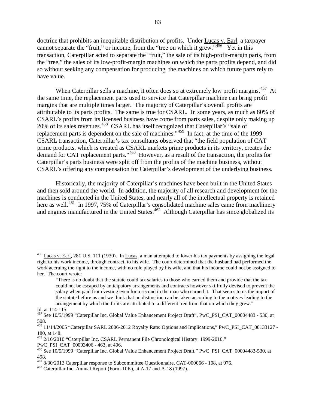doctrine that prohibits an inequitable distribution of profits. Under Lucas v. Earl, a taxpayer cannot separate the "fruit," or income, from the "tree on which it grew."<sup>456</sup> Yet in this transaction, Caterpillar acted to separate the "fruit," the sale of its high-profit-margin parts, from the "tree," the sales of its low-profit-margin machines on which the parts profits depend, and did so without seeking any compensation for producing the machines on which future parts rely to have value.

When Caterpillar sells a machine, it often does so at extremely low profit margins.<sup>[457](#page-86-1)</sup> At the same time, the replacement parts used to service that Caterpillar machine can bring profit margins that are multiple times larger. The majority of Caterpillar's overall profits are attributable to its parts profits. The same is true for CSARL. In some years, as much as 80% of CSARL's profits from its licensed business have come from parts sales, despite only making up 20% of its sales revenues.<sup>[458](#page-86-2)</sup> CSARL has itself recognized that Caterpillar's "sale of replacement parts is dependent on the sale of machines."[459](#page-86-3) In fact, at the time of the 1999 CSARL transaction, Caterpillar's tax consultants observed that "the field population of CAT prime products, which is created as CSARL markets prime products in its territory, creates the demand for CAT replacement parts."<sup>[460](#page-86-4)</sup> However, as a result of the transaction, the profits for Caterpillar's parts business were split off from the profits of the machine business, without CSARL's offering any compensation for Caterpillar's development of the underlying business.

Historically, the majority of Caterpillar's machines have been built in the United States and then sold around the world. In addition, the majority of all research and development for the machines is conducted in the United States, and nearly all of the intellectual property is retained here as well.<sup>[461](#page-86-5)</sup> In 1997, 75% of Caterpillar's consolidated machine sales came from machinery and engines manufactured in the United States.<sup>[462](#page-86-6)</sup> Although Caterpillar has since globalized its

<span id="page-86-0"></span> $^{456}$  Lucas v. Earl, 281 U.S. 111 (1930). In Lucas, a man attempted to lower his tax payments by assigning the legal right to his work income, through contract, to his wife. The court determined that the husband had performed the work accruing the right to the income, with no role played by his wife, and that his income could not be assigned to her. The court wrote:

<sup>&</sup>quot;There is no doubt that the statute could tax salaries to those who earned them and provide that the tax could not be escaped by anticipatory arrangements and contracts however skillfully devised to prevent the salary when paid from vesting even for a second in the man who earned it. That seems to us the import of the statute before us and we think that no distinction can be taken according to the motives leading to the arrangement by which the fruits are attributed to a different tree from that on which they grew."

<span id="page-86-1"></span><sup>&</sup>lt;sup>457</sup> See 10/5/1999 "Caterpillar Inc. Global Value Enhancement Project Draft", PwC\_PSI\_CAT\_00004483 - 530, at 508.

<span id="page-86-2"></span><sup>458</sup> 11/14/2005 "Caterpillar SARL 2006-2012 Royalty Rate: Options and Implications," PwC\_PSI\_CAT\_00133127 - 180, at 148.

<span id="page-86-3"></span> $^{459}$  2/16/2010 "Caterpillar Inc. CSARL Permanent File Chronological History: 1999-2010,"<br>PwC PSI CAT 00003406 - 463, at 406.

<span id="page-86-4"></span><sup>&</sup>lt;sup>460</sup> See 10/5/1999 "Caterpillar Inc. Global Value Enhancement Project Draft," PwC\_PSI\_CAT\_00004483-530, at 498.

<span id="page-86-5"></span> $^{461}$  8/30/2013 Caterpillar response to Subcommittee Questionnaire, CAT-000066 - 108, at 076.  $^{462}$  Caterpillar Inc. Annual Report (Form-10K), at A-17 and A-18 (1997).

<span id="page-86-6"></span>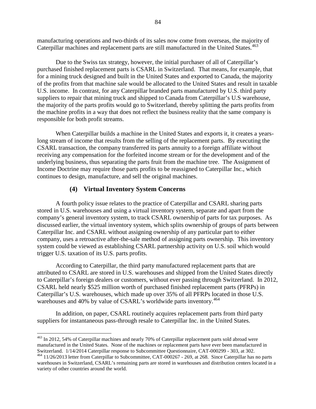manufacturing operations and two-thirds of its sales now come from overseas, the majority of Caterpillar machines and replacement parts are still manufactured in the United States.<sup>463</sup>

Due to the Swiss tax strategy, however, the initial purchaser of all of Caterpillar's purchased finished replacement parts is CSARL in Switzerland. That means, for example, that for a mining truck designed and built in the United States and exported to Canada, the majority of the profits from that machine sale would be allocated to the United States and result in taxable U.S. income. In contrast, for any Caterpillar branded parts manufactured by U.S. third party suppliers to repair that mining truck and shipped to Canada from Caterpillar's U.S warehouse, the majority of the parts profits would go to Switzerland, thereby splitting the parts profits from the machine profits in a way that does not reflect the business reality that the same company is responsible for both profit streams.

When Caterpillar builds a machine in the United States and exports it, it creates a yearslong stream of income that results from the selling of the replacement parts. By executing the CSARL transaction, the company transferred its parts annuity to a foreign affiliate without receiving any compensation for the forfeited income stream or for the development and of the underlying business, thus separating the parts fruit from the machine tree. The Assignment of Income Doctrine may require those parts profits to be reassigned to Caterpillar Inc., which continues to design, manufacture, and sell the original machines.

### **(4) Virtual Inventory System Concerns**

A fourth policy issue relates to the practice of Caterpillar and CSARL sharing parts stored in U.S. warehouses and using a virtual inventory system, separate and apart from the company's general inventory system, to track CSARL ownership of parts for tax purposes. As discussed earlier, the virtual inventory system, which splits ownership of groups of parts between Caterpillar Inc. and CSARL without assigning ownership of any particular part to either company, uses a retroactive after-the-sale method of assigning parts ownership. This inventory system could be viewed as establishing CSARL partnership activity on U.S. soil which would trigger U.S. taxation of its U.S. parts profits.

According to Caterpillar, the third party manufactured replacement parts that are attributed to CSARL are stored in U.S. warehouses and shipped from the United States directly to Caterpillar's foreign dealers or customers, without ever passing through Switzerland. In 2012, CSARL held nearly \$525 million worth of purchased finished replacement parts (PFRPs) in Caterpillar's U.S. warehouses, which made up over 35% of all PFRPs located in those U.S. warehouses and 40% by value of CSARL's worldwide parts inventory.<sup>[464](#page-87-1)</sup>

In addition, on paper, CSARL routinely acquires replacement parts from third party suppliers for instantaneous pass-through resale to Caterpillar Inc. in the United States.

<span id="page-87-0"></span><sup>&</sup>lt;sup>463</sup> In 2012, 54% of Caterpillar machines and nearly 70% of Caterpillar replacement parts sold abroad were manufactured in the United States. None of the machines or replacement parts have ever been manufactured in Switzerland. 1/14/2014 Caterpillar response to Subcommittee Questionnaire, CAT-000299 - 303, at 302.

<span id="page-87-1"></span> $^{464}$  11/26/2013 letter from Caterpillar to Subcommittee, CAT-000267 - 269, at 268. Since Caterpillar has no parts warehouses in Switzerland, CSARL's remaining parts are stored in warehouses and distribution centers located in a variety of other countries around the world.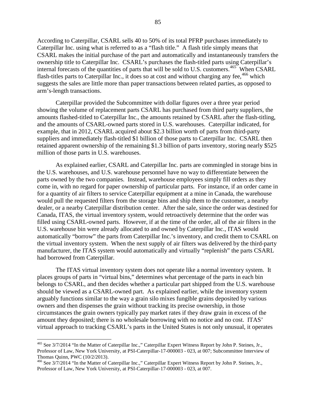According to Caterpillar, CSARL sells 40 to 50% of its total PFRP purchases immediately to Caterpillar Inc. using what is referred to as a "flash title." A flash title simply means that CSARL makes the initial purchase of the part and automatically and instantaneously transfers the ownership title to Caterpillar Inc. CSARL's purchases the flash-titled parts using Caterpillar's internal forecasts of the quantities of parts that will be sold to U.S. customers.<sup>465</sup> When CSARL flash-titles parts to Caterpillar Inc., it does so at cost and without charging any fee,  $466$  which suggests the sales are little more than paper transactions between related parties, as opposed to arm's-length transactions.

Caterpillar provided the Subcommittee with dollar figures over a three year period showing the volume of replacement parts CSARL has purchased from third party suppliers, the amounts flashed-titled to Caterpillar Inc., the amounts retained by CSARL after the flash-titling, and the amounts of CSARL-owned parts stored in U.S. warehouses. Caterpillar indicated, for example, that in 2012, CSARL acquired about \$2.3 billion worth of parts from third-party suppliers and immediately flash-titled \$1 billion of those parts to Caterpillar Inc. CSARL then retained apparent ownership of the remaining \$1.3 billion of parts inventory, storing nearly \$525 million of those parts in U.S. warehouses.

As explained earlier, CSARL and Caterpillar Inc. parts are commingled in storage bins in the U.S. warehouses, and U.S. warehouse personnel have no way to differentiate between the parts owned by the two companies. Instead, warehouse employees simply fill orders as they come in, with no regard for paper ownership of particular parts. For instance, if an order came in for a quantity of air filters to service Caterpillar equipment at a mine in Canada, the warehouse would pull the requested filters from the storage bins and ship them to the customer, a nearby dealer, or a nearby Caterpillar distribution center. After the sale, since the order was destined for Canada, ITAS, the virtual inventory system, would retroactively determine that the order was filled using CSARL-owned parts. However, if at the time of the order, all of the air filters in the U.S. warehouse bin were already allocated to and owned by Caterpillar Inc., ITAS would automatically "borrow" the parts from Caterpillar Inc.'s inventory, and credit them to CSARL on the virtual inventory system. When the next supply of air filters was delivered by the third-party manufacturer, the ITAS system would automatically and virtually "replenish" the parts CSARL had borrowed from Caterpillar.

The ITAS virtual inventory system does not operate like a normal inventory system. It places groups of parts in "virtual bins," determines what percentage of the parts in each bin belongs to CSARL, and then decides whether a particular part shipped from the U.S. warehouse should be viewed as a CSARL-owned part. As explained earlier, while the inventory system arguably functions similar to the way a grain silo mixes fungible grains deposited by various owners and then dispenses the grain without tracking its precise ownership, in those circumstances the grain owners typically pay market rates if they draw grain in excess of the amount they deposited; there is no wholesale borrowing with no notice and no cost. ITAS' virtual approach to tracking CSARL's parts in the United States is not only unusual, it operates

<span id="page-88-0"></span><sup>&</sup>lt;sup>465</sup> See 3/7/2014 "In the Matter of Caterpillar Inc.," Caterpillar Expert Witness Report by John P. Steines, Jr., Professor of Law, New York University, at PSI-Caterpillar-17-000003 - 023, at 007; Subcommittee Interview of Thomas Quinn, PWC (10/2/2013).

<span id="page-88-1"></span><sup>&</sup>lt;sup>466</sup> See 3/7/2014 "In the Matter of Caterpillar Inc.," Caterpillar Expert Witness Report by John P. Steines, Jr., Professor of Law, New York University, at PSI-Caterpillar-17-000003 - 023, at 007.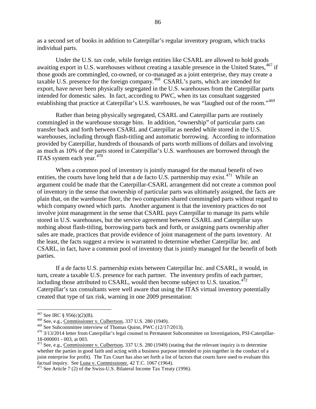as a second set of books in addition to Caterpillar's regular inventory program, which tracks individual parts.

Under the U.S. tax code, while foreign entities like CSARL are allowed to hold goods awaiting export in U.S. warehouses without creating a taxable presence in the United States, <sup>[467](#page-89-0)</sup> if those goods are commingled, co-owned, or co-managed as a joint enterprise, they may create a taxable U.S. presence for the foreign company.[468](#page-89-1) CSARL's parts, which are intended for export, have never been physically segregated in the U.S. warehouses from the Caterpillar parts intended for domestic sales. In fact, according to PWC, when its tax consultant suggested establishing that practice at Caterpillar's U.S. warehouses, he was "laughed out of the room."[469](#page-89-2)

Rather than being physically segregated, CSARL and Caterpillar parts are routinely commingled in the warehouse storage bins. In addition, "ownership" of particular parts can transfer back and forth between CSARL and Caterpillar as needed while stored in the U.S. warehouses, including through flash-titling and automatic borrowing. According to information provided by Caterpillar, hundreds of thousands of parts worth millions of dollars and involving as much as 10% of the parts stored in Caterpillar's U.S. warehouses are borrowed through the ITAS system each year.<sup>[470](#page-89-3)</sup>

When a common pool of inventory is jointly managed for the mutual benefit of two entities, the courts have long held that a de facto U.S. partnership may exist.<sup>[471](#page-89-4)</sup> While an argument could be made that the Caterpillar-CSARL arrangement did not create a common pool of inventory in the sense that ownership of particular parts was ultimately assigned, the facts are plain that, on the warehouse floor, the two companies shared commingled parts without regard to which company owned which parts. Another argument is that the inventory practices do not involve joint management in the sense that CSARL pays Caterpillar to manage its parts while stored in U.S. warehouses, but the service agreement between CSARL and Caterpillar says nothing about flash-titling, borrowing parts back and forth, or assigning parts ownership after sales are made, practices that provide evidence of joint management of the parts inventory. At the least, the facts suggest a review is warranted to determine whether Caterpillar Inc. and CSARL, in fact, have a common pool of inventory that is jointly managed for the benefit of both parties.

If a de facto U.S. partnership exists between Caterpillar Inc. and CSARL, it would, in turn, create a taxable U.S. presence for each partner. The inventory profits of each partner, including those attributed to CSARL, would then become subject to U.S. taxation.<sup>[472](#page-89-5)</sup> Caterpillar's tax consultants were well aware that using the ITAS virtual inventory potentially created that type of tax risk, warning in one 2009 presentation:

<span id="page-89-1"></span><span id="page-89-0"></span><sup>&</sup>lt;sup>467</sup> See IRC § 956(c)(2)(B).<br><sup>468</sup> See, e.g., <u>Commissioner v. Culbertson</u>, 337 U.S. 280 (1949).<br><sup>469</sup> See Subcommittee interview of Thomas Quinn, PWC (12/17/2013).

<span id="page-89-3"></span><span id="page-89-2"></span> $470$  3/13/2014 letter from Caterpillar's legal counsel to Permanent Subcommittee on Investigations, PSI-Caterpillar-<br>18-000001 - 003. at 003.

<span id="page-89-4"></span> $471$  See, e.g., Commissioner v. Culbertson, 337 U.S. 280 (1949) (stating that the relevant inquiry is to determine whether the parties in good faith and acting with a business purpose intended to join together in the conduct of a joint enterprise for profit). The Tax Court has also set forth a list of factors that courts have used to evaluate this factual inquiry. See Luna v. Commissioner, 42 T.C. 1067 (1964).

<span id="page-89-5"></span> $472$  See Article 7 (2) of the Swiss-U.S. Bilateral Income Tax Treaty (1996).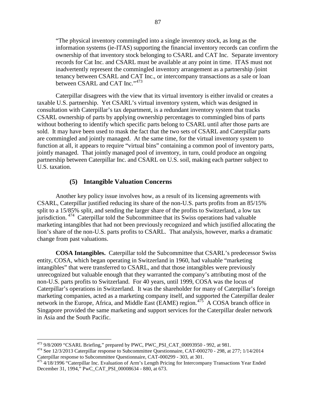"The physical inventory commingled into a single inventory stock, as long as the information systems (ie-ITAS) supporting the financial inventory records can confirm the ownership of that inventory stock belonging to CSARL and CAT Inc. Separate inventory records for Cat Inc. and CSARL must be available at any point in time. ITAS must not inadvertently represent the commingled inventory arrangement as a partnership /joint tenancy between CSARL and CAT Inc., or intercompany transactions as a sale or loan between CSARL and CAT Inc."<sup>[473](#page-90-0)</sup>

Caterpillar disagrees with the view that its virtual inventory is either invalid or creates a taxable U.S. partnership. Yet CSARL's virtual inventory system, which was designed in consultation with Caterpillar's tax department, is a redundant inventory system that tracks CSARL ownership of parts by applying ownership percentages to commingled bins of parts without bothering to identify which specific parts belong to CSARL until after those parts are sold. It may have been used to mask the fact that the two sets of CSARL and Caterpillar parts are commingled and jointly managed. At the same time, for the virtual inventory system to function at all, it appears to require "virtual bins" containing a common pool of inventory parts, jointly managed. That jointly managed pool of inventory, in turn, could produce an ongoing partnership between Caterpillar Inc. and CSARL on U.S. soil, making each partner subject to U.S. taxation.

### **(5) Intangible Valuation Concerns**

Another key policy issue involves how, as a result of its licensing agreements with CSARL, Caterpillar justified reducing its share of the non-U.S. parts profits from an 85/15% split to a 15/85% split, and sending the larger share of the profits to Switzerland, a low tax jurisdiction.  $474$  Caterpillar told the Subcommittee that its Swiss operations had valuable marketing intangibles that had not been previously recognized and which justified allocating the lion's share of the non-U.S. parts profits to CSARL. That analysis, however, marks a dramatic change from past valuations.

**COSA Intangibles.** Caterpillar told the Subcommittee that CSARL's predecessor Swiss entity, COSA, which began operating in Switzerland in 1960, had valuable "marketing intangibles" that were transferred to CSARL, and that those intangibles were previously unrecognized but valuable enough that they warranted the company's attributing most of the non-U.S. parts profits to Switzerland. For 40 years, until 1999, COSA was the locus of Caterpillar's operations in Switzerland. It was the shareholder for many of Caterpillar's foreign marketing companies, acted as a marketing company itself, and supported the Caterpillar dealer network in the Europe, Africa, and Middle East (EAME) region.<sup>475</sup> A COSA branch office in Singapore provided the same marketing and support services for the Caterpillar dealer network in Asia and the South Pacific.

<span id="page-90-0"></span> $473$  9/8/2009 "CSARL Briefing," prepared by PWC, PWC PSI CAT 00093950 - 992, at 981.

<span id="page-90-1"></span> $474$  See 12/3/2013 Caterpillar response to Subcommittee Questionnaire, CAT-000270 - 298, at 277; 1/14/2014 Caterpillar response to Subcommittee Questionnaire, CAT-000299 - 303, at 301.<br><sup>475</sup> 4/18/1996 "Caterpillar Inc. Evaluation of Arm's Length Pricing for Intercompany Transactions Year Ended

<span id="page-90-2"></span>December 31, 1994," PwC\_CAT\_PSI\_00008634 - 880, at 673.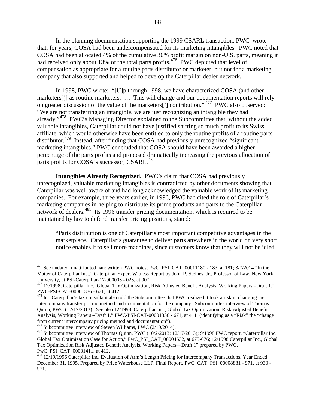In the planning documentation supporting the 1999 CSARL transaction, PWC wrote that, for years, COSA had been undercompensated for its marketing intangibles. PWC noted that COSA had been allocated 4% of the cumulative 30% profit margin on non-U.S. parts, meaning it had received only about 13% of the total parts profits.<sup>[476](#page-91-0)</sup> PWC depicted that level of compensation as appropriate for a routine parts distributor or marketer, but not for a marketing company that also supported and helped to develop the Caterpillar dealer network.

In 1998, PWC wrote: "[U]p through 1998, we have characterized COSA (and other marketers[)] as routine marketers. … This will change and our documentation reports will rely on greater discussion of the value of the marketers['] contribution." [477](#page-91-1) PWC also observed: "We are not transferring an intangible, we are just recognizing an intangible they had already."[478](#page-91-2) PWC's Managing Director explained to the Subcommittee that, without the added valuable intangibles, Caterpillar could not have justified shifting so much profit to its Swiss affiliate, which would otherwise have been entitled to only the routine profits of a routine parts distributor.<sup>479</sup> Instead, after finding that COSA had previously unrecognized "significant" marketing intangibles," PWC concluded that COSA should have been awarded a higher percentage of the parts profits and proposed dramatically increasing the previous allocation of parts profits for COSA's successor, CSARL.<sup>480</sup>

**Intangibles Already Recognized.** PWC's claim that COSA had previously unrecognized, valuable marketing intangibles is contradicted by other documents showing that Caterpillar was well aware of and had long acknowledged the valuable work of its marketing companies. For example, three years earlier, in 1996, PWC had cited the role of Caterpillar's marketing companies in helping to distribute its prime products and parts to the Caterpillar network of dealers.<sup>[481](#page-91-5)</sup> Its 1996 transfer pricing documentation, which is required to be maintained by law to defend transfer pricing positions, stated:

"Parts distribution is one of Caterpillar's most important competitive advantages in the marketplace. Caterpillar's guarantee to deliver parts anywhere in the world on very short notice enables it to sell more machines, since customers know that they will not be idled

<span id="page-91-0"></span> $476$  See undated, unattributed handwritten PWC notes, PwC\_PSI\_CAT\_00011180 - 183, at 181;  $3/7/2014$  "In the Matter of Caterpillar Inc.," Caterpillar Expert Witness Report by John P. Steines, Jr., Professor of Law, New York

<span id="page-91-1"></span>University, at PSI-Caterpillar-17-000003 - 023, at 007.<br><sup>477</sup> 12/1998, Caterpillar Inc., Global Tax Optimization, Risk Adjusted Benefit Analysis, Working Papers –Draft 1,"<br>PWC-PSI-CAT-00001336 - 671, at 412.

<span id="page-91-2"></span> $478$  Id. Caterpillar's tax consultant also told the Subcommittee that PWC realized it took a risk in changing the intercompany transfer pricing method and documentation for the company. Subcommittee interview of Thomas Quinn, PWC (12/17/2013). See also 12/1998, Caterpillar Inc., Global Tax Optimization, Risk Adjusted Benefit Analysis, Working Papers –Draft 1," PWC-PSI-CAT-00001336 - 671, at 411 (identifying as a "Risk" the "change from current intercompany pricing method and documentation").<br><sup>479</sup> Subcommittee interview of Steven Williams, PWC (2/19/2014).

<span id="page-91-3"></span>

<span id="page-91-4"></span><sup>&</sup>lt;sup>480</sup> Subcommittee interview of Thomas Quinn, PWC (10/2/2013; 12/17/2013); 9/1998 PWC report, "Caterpillar Inc. Global Tax Optimization Case for Action," PwC\_PSI\_CAT\_00004632, at 675-676; 12/1998 Caterpillar Inc., Global Tax Optimization Risk Adjusted Benefit Analysis, Working Papers—Draft 1" prepared by PWC,

<span id="page-91-5"></span><sup>&</sup>lt;sup>481</sup> 12/19/1996 Caterpillar Inc. Evaluation of Arm's Length Pricing for Intercompany Transactions, Year Ended December 31, 1995, Prepared by Price Waterhouse LLP, Final Report, PwC\_CAT\_PSI\_00008881 - 971, at 930 - 971.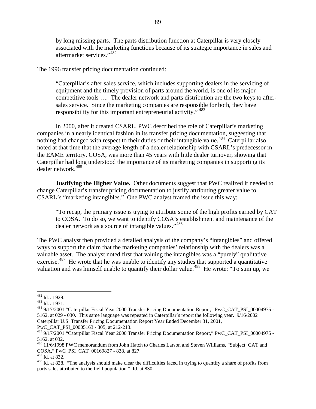by long missing parts. The parts distribution function at Caterpillar is very closely associated with the marketing functions because of its strategic importance in sales and aftermarket services."[482](#page-92-0)

The 1996 transfer pricing documentation continued:

"Caterpillar's after sales service, which includes supporting dealers in the servicing of equipment and the timely provision of parts around the world, is one of its major competitive tools …. The dealer network and parts distribution are the two keys to aftersales service. Since the marketing companies are responsible for both, they have responsibility for this important entrepreneurial activity." <sup>[483](#page-92-1)</sup>

In 2000, after it created CSARL, PWC described the role of Caterpillar's marketing companies in a nearly identical fashion in its transfer pricing documentation, suggesting that nothing had changed with respect to their duties or their intangible value.<sup>484</sup> Caterpillar also noted at that time that the average length of a dealer relationship with CSARL's predecessor in the EAME territory, COSA, was more than 45 years with little dealer turnover, showing that Caterpillar had long understood the importance of its marketing companies in supporting its dealer network.[485](#page-92-3)

**Justifying the Higher Value.** Other documents suggest that PWC realized it needed to change Caterpillar's transfer pricing documentation to justify attributing greater value to CSARL's "marketing intangibles." One PWC analyst framed the issue this way:

"To recap, the primary issue is trying to attribute some of the high profits earned by CAT to COSA. To do so, we want to identify COSA's establishment and maintenance of the dealer network as a source of intangible values."<sup>[486](#page-92-4)</sup>

The PWC analyst then provided a detailed analysis of the company's "intangibles" and offered ways to support the claim that the marketing companies' relationship with the dealers was a valuable asset. The analyst noted first that valuing the intangibles was a "purely" qualitative exercise.<sup>[487](#page-92-5)</sup> He wrote that he was unable to identify any studies that supported a quantitative valuation and was himself unable to quantify their dollar value.<sup>488</sup> He wrote: "To sum up, we

<span id="page-92-0"></span> $482$  Id. at 929.

<span id="page-92-2"></span><span id="page-92-1"></span><sup>&</sup>lt;sup>483</sup> Id. at 931.<br><sup>484</sup> 9/17/2001 "Caterpillar Fiscal Year 2000 Transfer Pricing Documentation Report," PwC\_CAT\_PSI\_00004975 -5162, at 029 - 030. This same language was repeated in Caterpillar's report the following year. 9/16/2002

Caterpillar U.S. Transfer Pricing Documentation Report Year Ended December 31, 2001,

<span id="page-92-3"></span><sup>&</sup>lt;sup>485</sup> 9/17/2001 "Caterpillar Fiscal Year 2000 Transfer Pricing Documentation Report," PwC\_CAT\_PSI\_00004975 -5162, at 032.

<span id="page-92-4"></span><sup>&</sup>lt;sup>486</sup> 11/6/1998 PWC memorandum from John Hatch to Charles Larson and Steven Williams, "Subject: CAT and

<span id="page-92-6"></span><span id="page-92-5"></span>

COSA," PwC\_PSI\_CAT\_00169827 - 838, at 827.<br><sup>487</sup> Id. at 832. <br><sup>488</sup> Id. at 828. "The analysis should make clear the difficulties faced in trying to quantify a share of profits from parts sales attributed to the field population." Id. at 830.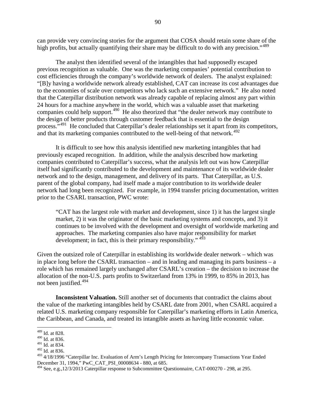can provide very convincing stories for the argument that COSA should retain some share of the high profits, but actually quantifying their share may be difficult to do with any precision."<sup>[489](#page-93-0)</sup>

The analyst then identified several of the intangibles that had supposedly escaped previous recognition as valuable. One was the marketing companies' potential contribution to cost efficiencies through the company's worldwide network of dealers. The analyst explained: "[B]y having a worldwide network already established, CAT can increase its cost advantages due to the economies of scale over competitors who lack such an extensive network." He also noted that the Caterpillar distribution network was already capable of replacing almost any part within 24 hours for a machine anywhere in the world, which was a valuable asset that marketing companies could help support.<sup>[490](#page-93-1)</sup> He also theorized that "the dealer network may contribute to the design of better products through customer feedback that is essential to the design process."<sup>[491](#page-93-2)</sup> He concluded that Caterpillar's dealer relationships set it apart from its competitors, and that its marketing companies contributed to the well-being of that network.<sup>[492](#page-93-3)</sup>

It is difficult to see how this analysis identified new marketing intangibles that had previously escaped recognition. In addition, while the analysis described how marketing companies contributed to Caterpillar's success, what the analysis left out was how Caterpillar itself had significantly contributed to the development and maintenance of its worldwide dealer network and to the design, management, and delivery of its parts. That Caterpillar, as U.S. parent of the global company, had itself made a major contribution to its worldwide dealer network had long been recognized. For example, in 1994 transfer pricing documentation, written prior to the CSARL transaction, PWC wrote:

"CAT has the largest role with market and development, since 1) it has the largest single market, 2) it was the originator of the basic marketing systems and concepts, and 3) it continues to be involved with the development and oversight of worldwide marketing and approaches. The marketing companies also have major responsibility for market development; in fact, this is their primary responsibility." <sup>[493](#page-93-4)</sup>

Given the outsized role of Caterpillar in establishing its worldwide dealer network – which was in place long before the CSARL transaction – and in leading and managing its parts business – a role which has remained largely unchanged after CSARL's creation – the decision to increase the allocation of the non-U.S. parts profits to Switzerland from 13% in 1999, to 85% in 2013, has not been justified. [494](#page-93-5)

**Inconsistent Valuation.** Still another set of documents that contradict the claims about the value of the marketing intangibles held by CSARL date from 2001, when CSARL acquired a related U.S. marketing company responsible for Caterpillar's marketing efforts in Latin America, the Caribbean, and Canada, and treated its intangible assets as having little economic value.

<sup>&</sup>lt;sup>489</sup> Id. at 828.

<span id="page-93-1"></span><span id="page-93-0"></span><sup>490</sup> Id. at 836.

<span id="page-93-2"></span> $491$  Id. at 834.

<span id="page-93-3"></span><sup>492</sup> Id. at 836.

<span id="page-93-4"></span><sup>&</sup>lt;sup>493</sup> 4/18/1996 "Caterpillar Inc. Evaluation of Arm's Length Pricing for Intercompany Transactions Year Ended December 31, 1994," PwC\_CAT\_PSI\_00008634 - 880, at 685.

<span id="page-93-5"></span><sup>494</sup> See, e.g.,12/3/2013 Caterpillar response to Subcommittee Questionnaire, CAT-000270 - 298, at 295.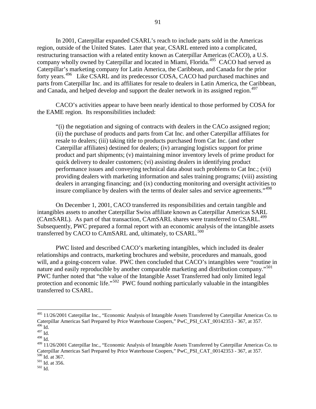In 2001, Caterpillar expanded CSARL's reach to include parts sold in the Americas region, outside of the United States. Later that year, CSARL entered into a complicated, restructuring transaction with a related entity known as Caterpillar Americas (CACO), a U.S. company wholly owned by Caterpillar and located in Miami, Florida.<sup>[495](#page-94-0)</sup> CACO had served as Caterpillar's marketing company for Latin America, the Caribbean, and Canada for the prior forty years.[496](#page-94-1) Like CSARL and its predecessor COSA, CACO had purchased machines and parts from Caterpillar Inc. and its affiliates for resale to dealers in Latin America, the Caribbean, and Canada, and helped develop and support the dealer network in its assigned region.<sup>[497](#page-94-2)</sup>

CACO's activities appear to have been nearly identical to those performed by COSA for the EAME region. Its responsibilities included:

"(i) the negotiation and signing of contracts with dealers in the CACo assigned region; (ii) the purchase of products and parts from Cat Inc. and other Caterpillar affiliates for resale to dealers; (iii) taking title to products purchased from Cat Inc. (and other Caterpillar affiliates) destined for dealers; (iv) arranging logistics support for prime product and part shipments; (v) maintaining minor inventory levels of prime product for quick delivery to dealer customers; (vi) assisting dealers in identifying product performance issues and conveying technical data about such problems to Cat Inc.; (vii) providing dealers with marketing information and sales training programs; (viii) assisting dealers in arranging financing; and (ix) conducting monitoring and oversight activities to insure compliance by dealers with the terms of dealer sales and service agreements."<sup>[498](#page-94-3)</sup>

On December 1, 2001, CACO transferred its responsibilities and certain tangible and intangibles assets to another Caterpillar Swiss affiliate known as Caterpillar Americas SARL (CAmSARL). As part of that transaction, CAmSARL shares were transferred to CSARL.<sup>499</sup> Subsequently, PWC prepared a formal report with an economic analysis of the intangible assets transferred by CACO to CAmSARL and, ultimately, to CSARL.<sup>[500](#page-94-5)</sup>

PWC listed and described CACO's marketing intangibles, which included its dealer relationships and contracts, marketing brochures and website, procedures and manuals, good will, and a going-concern value. PWC then concluded that CACO's intangibles were "routine in nature and easily reproducible by another comparable marketing and distribution company."<sup>[501](#page-94-6)</sup> PWC further noted that "the value of the Intangible Asset Transferred had only limited legal protection and economic life."<sup>502</sup> PWC found nothing particularly valuable in the intangibles transferred to CSARL.

<span id="page-94-0"></span><sup>&</sup>lt;sup>495</sup> 11/26/2001 Caterpillar Inc., "Economic Analysis of Intangible Assets Transferred by Caterpillar Americas Co. to Caterpillar Americas Sarl Prepared by Price Waterhouse Coopers," PwC\_PSI\_CAT\_00142353 - 367, at 357.  $496$  Id.

<span id="page-94-1"></span> $497$  Id.

<span id="page-94-3"></span><span id="page-94-2"></span> $^{498}$  Id.

<span id="page-94-4"></span><sup>&</sup>lt;sup>499</sup> 11/26/2001 Caterpillar Inc., "Economic Analysis of Intangible Assets Transferred by Caterpillar Americas Co. to Caterpillar Americas Sarl Prepared by Price Waterhouse Coopers," PwC\_PSI\_CAT\_00142353 - 367, at 357. 501 Id. at 367. 501 Id. at 356.  $\frac{501}{1d}$ 

<span id="page-94-6"></span><span id="page-94-5"></span>

<span id="page-94-7"></span>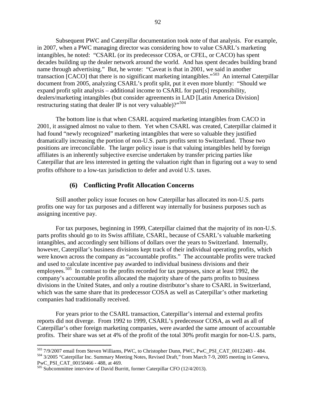Subsequent PWC and Caterpillar documentation took note of that analysis. For example, in 2007, when a PWC managing director was considering how to value CSARL's marketing intangibles, he noted: "CSARL (or its predecessor COSA, or CFEL, or CACO) has spent decades building up the dealer network around the world. And has spent decades building brand name through advertising." But, he wrote: "Caveat is that in 2001, we said in another transaction [CACO] that there is no significant marketing intangibles."<sup>[503](#page-95-0)</sup> An internal Caterpillar document from 2005, analyzing CSARL's profit split, put it even more bluntly: "Should we expand profit split analysis – additional income to CSARL for part[s] responsibility, dealers/marketing intangibles (but consider agreements in LAD [Latin America Division] restructuring stating that dealer IP is not very valuable)?"<sup>[504](#page-95-1)</sup>

The bottom line is that when CSARL acquired marketing intangibles from CACO in 2001, it assigned almost no value to them. Yet when CSARL was created, Caterpillar claimed it had found "newly recognized" marketing intangibles that were so valuable they justified dramatically increasing the portion of non-U.S. parts profits sent to Switzerland. Those two positions are irreconcilable. The larger policy issue is that valuing intangibles held by foreign affiliates is an inherently subjective exercise undertaken by transfer pricing parties like Caterpillar that are less interested in getting the valuation right than in figuring out a way to send profits offshore to a low-tax jurisdiction to defer and avoid U.S. taxes.

# **(6) Conflicting Profit Allocation Concerns**

Still another policy issue focuses on how Caterpillar has allocated its non-U.S. parts profits one way for tax purposes and a different way internally for business purposes such as assigning incentive pay.

For tax purposes, beginning in 1999, Caterpillar claimed that the majority of its non-U.S. parts profits should go to its Swiss affiliate, CSARL, because of CSARL's valuable marketing intangibles, and accordingly sent billions of dollars over the years to Switzerland. Internally, however, Caterpillar's business divisions kept track of their individual operating profits, which were known across the company as "accountable profits." The accountable profits were tracked and used to calculate incentive pay awarded to individual business divisions and their employees.<sup>[505](#page-95-2)</sup> In contrast to the profits recorded for tax purposes, since at least 1992, the company's accountable profits allocated the majority share of the parts profits to business divisions in the United States, and only a routine distributor's share to CSARL in Switzerland, which was the same share that its predecessor COSA as well as Caterpillar's other marketing companies had traditionally received.

For years prior to the CSARL transaction, Caterpillar's internal and external profits reports did not diverge. From 1992 to 1999, CSARL's predecessor COSA, as well as all of Caterpillar's other foreign marketing companies, were awarded the same amount of accountable profits. Their share was set at 4% of the profit of the total 30% profit margin for non-U.S. parts,

<span id="page-95-1"></span><span id="page-95-0"></span> $^{503}$  7/9/2007 email from Steven Williams, PWC, to Christopher Dunn, PWC, PwC\_PSI\_CAT\_00122483 - 484.  $^{504}$  3/2005 "Caterpillar Inc. Summary Meeting Notes, Revised Draft," from March 7-9, 2005 meeting in Geneva, PwC\_P

<span id="page-95-2"></span> $^{505}$  Subcommittee interview of David Burritt, former Caterpillar CFO (12/4/2013).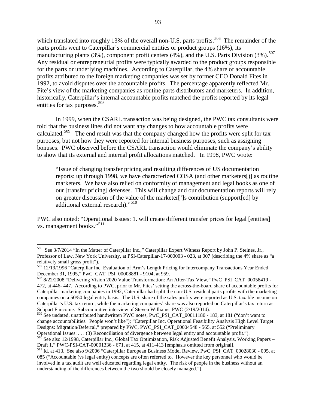which translated into roughly 13% of the overall non-U.S. parts profits.<sup>506</sup> The remainder of the parts profits went to Caterpillar's commercial entities or product groups (16%), its manufacturing plants (3%), component profit centers (4%), and the U.S. Parts Division (3%).<sup>507</sup> Any residual or entrepreneurial profits were typically awarded to the product groups responsible for the parts or underlying machines. According to Caterpillar, the 4% share of accountable profits attributed to the foreign marketing companies was set by former CEO Donald Fites in 1992, to avoid disputes over the accountable profits. The percentage apparently reflected Mr. Fite's view of the marketing companies as routine parts distributors and marketers. In addition, historically, Caterpillar's internal accountable profits matched the profits reported by its legal entities for tax purposes.<sup>[508](#page-96-2)</sup>

In 1999, when the CSARL transaction was being designed, the PWC tax consultants were told that the business lines did not want any changes to how accountable profits were calculated.<sup>[509](#page-96-3)</sup> The end result was that the company changed how the profits were split for tax purposes, but not how they were reported for internal business purposes, such as assigning bonuses. PWC observed before the CSARL transaction would eliminate the company's ability to show that its external and internal profit allocations matched. In 1998, PWC wrote:

"Issue of changing transfer pricing and resulting differences of US documentation reports: up through 1998, we have characterized COSA (and other marketers[)] as routine marketers. We have also relied on conformity of management and legal books as one of our [transfer pricing] defenses. This will change and our documentation reports will rely on greater discussion of the value of the marketer[']s contribution (support[ed] by additional external research)."[510](#page-96-4) 

PWC also noted: "Operational Issues: 1. will create different transfer prices for legal [entities] vs. management books."<sup>[511](#page-96-5)</sup>

<span id="page-96-0"></span><sup>&</sup>lt;sup>506</sup> See 3/7/2014 "In the Matter of Caterpillar Inc.," Caterpillar Expert Witness Report by John P. Steines, Jr., Professor of Law, New York University, at PSI-Caterpillar-17-000003 - 023, at 007 (describing the 4% share as "a relatively small gross profit").

<span id="page-96-1"></span><sup>&</sup>lt;sup>507</sup> 12/19/1996 "Caterpillar Inc. Evaluation of Arm's Length Pricing for Intercompany Transactions Year Ended<br>December 31, 1995," PwC\_CAT\_PSI\_00008881 - 9104, at 959.

<span id="page-96-2"></span><sup>&</sup>lt;sup>508</sup> 8/22/2008 "Delivering Vision 2020 Value Transformation: An After-Tax View," PwC\_PSI\_CAT\_00058419 -472, at 446- 447. According to PWC, prior to Mr. Fites' setting the across-the-board share of accountable profits for Caterpillar marketing companies in 1992, Caterpillar had split the non-U.S. residual parts profits with the marketing companies on a 50/50 legal entity basis. The U.S. share of the sales profits were reported as U.S. taxable income on Caterpillar's U.S. tax return, while the marketing companies' share was also reported on Caterpillar's tax return as Subpart F income. Subcommittee interview of Steven Williams, PWC (2/19/2014).

<span id="page-96-3"></span><sup>509</sup> See undated, unattributed handwritten PWC notes, PwC\_PSI\_CAT\_00011180 - 183, at 181 ("don't want to change accountabilities. People won't like"); "Caterpillar Inc. Operational Feasibility Analysis High Level Target Designs: Migration/Deferral," prepared by PWC, PWC\_PSI\_CAT\_00004548 - 565, at 552 ("Preliminary Operational Issues: . . . (3) Reconciliation of divergence between legal entity and accountable profit.").

<span id="page-96-4"></span> $510$  See also 12/1998, Caterpillar Inc., Global Tax Optimization, Risk Adjusted Benefit Analysis, Working Papers – Draft 1," PWC-PSI-CAT-00001336 - 671, at 415, at 411-413 [emphasis omitted from original].

<span id="page-96-5"></span><sup>&</sup>lt;sup>511</sup> Id. at 413. See also 9/2006 "Caterpillar European Business Model Review, PwC\_PSI\_CAT\_00028030 - 095, at 085 ("Accountable (vs legal entity) concepts are often referred to. However the key personnel who would be involved in a tax audit are well educated regarding legal entity. The risk of people in the business without an understanding of the differences between the two should be closely managed.").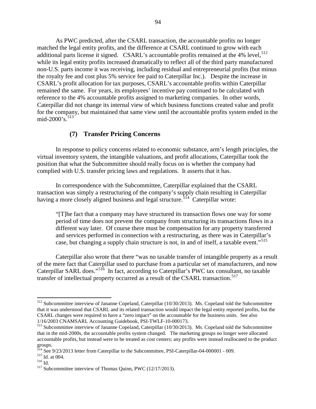As PWC predicted, after the CSARL transaction, the accountable profits no longer matched the legal entity profits, and the difference at CSARL continued to grow with each additional parts license it signed. CSARL's accountable profits remained at the 4% level, <sup>[512](#page-97-0)</sup> while its legal entity profits increased dramatically to reflect all of the third party manufactured non-U.S. parts income it was receiving, including residual and entrepreneurial profits (but minus the royalty fee and cost plus 5% service fee paid to Caterpillar Inc.). Despite the increase in CSARL's profit allocation for tax purposes, CSARL's accountable profits within Caterpillar remained the same. For years, its employees' incentive pay continued to be calculated with reference to the 4% accountable profits assigned to marketing companies. In other words, Caterpillar did not change its internal view of which business functions created value and profit for the company, but maintained that same view until the accountable profits system ended in the mid-2000's. $513$ 

### **(7) Transfer Pricing Concerns**

In response to policy concerns related to economic substance, arm's length principles, the virtual inventory system, the intangible valuations, and profit allocations, Caterpillar took the position that what the Subcommittee should really focus on is whether the company had complied with U.S. transfer pricing laws and regulations. It asserts that it has.

In correspondence with the Subcommittee, Caterpillar explained that the CSARL transaction was simply a restructuring of the company's supply chain resulting in Caterpillar having a more closely aligned business and legal structure.<sup>514</sup> Caterpillar wrote:

"[T]he fact that a company may have structured its transaction flows one way for some period of time does not prevent the company from structuring its transactions flows in a different way later. Of course there must be compensation for any property transferred and services performed in connection with a restructuring, as there was in Caterpillar's case, but changing a supply chain structure is not, in and of itself, a taxable event."<sup>[515](#page-97-3)</sup>

Caterpillar also wrote that there "was no taxable transfer of intangible property as a result of the mere fact that Caterpillar used to purchase from a particular set of manufacturers, and now Caterpillar SARL does."[516](#page-97-4) In fact, according to Caterpillar's PWC tax consultant, no taxable transfer of intellectual property occurred as a result of the CSARL transaction.<sup>[517](#page-97-5)</sup>

<span id="page-97-0"></span><sup>&</sup>lt;sup>512</sup> Subcommittee interview of Jananne Copeland, Caterpillar (10/30/2013). Ms. Copeland told the Subcommittee that it was understood that CSARL and its related transaction would impact the legal entity reported profits, but the CSARL changes were required to have a "zero impact" on the accountable for the business units. See also

<span id="page-97-1"></span> $1513$  Subcommittee interview of Jananne Copeland, Caterpillar (10/30/2013). Ms. Copeland told the Subcommittee that in the mid-2000s, the accountable profits system changed. The marketing groups no longer were allocated accountable profits, but instead were to be treated as cost centers; any profits were instead reallocated to the product groups.

<span id="page-97-2"></span><sup>&</sup>lt;sup>514</sup> See 9/23/2013 letter from Caterpillar to the Subcommittee, PSI-Caterpillar-04-000001 - 009.<br><sup>515</sup> Id. at 004.<br><sup>516</sup> Id. 517 Subcommittee interview of Thomas Quinn, PWC (12/17/2013).

<span id="page-97-3"></span>

<span id="page-97-5"></span><span id="page-97-4"></span>